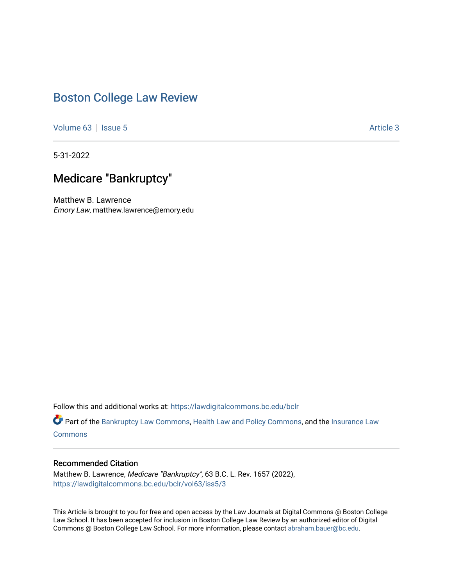# [Boston College Law Review](https://lawdigitalcommons.bc.edu/bclr)

[Volume 63](https://lawdigitalcommons.bc.edu/bclr/vol63) | [Issue 5](https://lawdigitalcommons.bc.edu/bclr/vol63/iss5) [Article 3](https://lawdigitalcommons.bc.edu/bclr/vol63/iss5/3) | Issue 5 Article 3 | Issue 5 Article 3 | Issue 5 Article 3 | Issue 5 Article 3 | Issue 5 | Issue 5 | Issue 5 | Issue 5 | Issue 5 | Issue 5 | Issue 5 | Issue 5 | Issue 5 | Issue 5 | Issue 5 |

5-31-2022

# Medicare "Bankruptcy"

Matthew B. Lawrence Emory Law, matthew.lawrence@emory.edu

Follow this and additional works at: [https://lawdigitalcommons.bc.edu/bclr](https://lawdigitalcommons.bc.edu/bclr?utm_source=lawdigitalcommons.bc.edu%2Fbclr%2Fvol63%2Fiss5%2F3&utm_medium=PDF&utm_campaign=PDFCoverPages) 

Part of the [Bankruptcy Law Commons,](https://network.bepress.com/hgg/discipline/583?utm_source=lawdigitalcommons.bc.edu%2Fbclr%2Fvol63%2Fiss5%2F3&utm_medium=PDF&utm_campaign=PDFCoverPages) [Health Law and Policy Commons,](https://network.bepress.com/hgg/discipline/901?utm_source=lawdigitalcommons.bc.edu%2Fbclr%2Fvol63%2Fiss5%2F3&utm_medium=PDF&utm_campaign=PDFCoverPages) and the [Insurance Law](https://network.bepress.com/hgg/discipline/607?utm_source=lawdigitalcommons.bc.edu%2Fbclr%2Fvol63%2Fiss5%2F3&utm_medium=PDF&utm_campaign=PDFCoverPages) **[Commons](https://network.bepress.com/hgg/discipline/607?utm_source=lawdigitalcommons.bc.edu%2Fbclr%2Fvol63%2Fiss5%2F3&utm_medium=PDF&utm_campaign=PDFCoverPages)** 

## Recommended Citation

Matthew B. Lawrence, Medicare "Bankruptcy", 63 B.C. L. Rev. 1657 (2022), [https://lawdigitalcommons.bc.edu/bclr/vol63/iss5/3](https://lawdigitalcommons.bc.edu/bclr/vol63/iss5/3?utm_source=lawdigitalcommons.bc.edu%2Fbclr%2Fvol63%2Fiss5%2F3&utm_medium=PDF&utm_campaign=PDFCoverPages) 

This Article is brought to you for free and open access by the Law Journals at Digital Commons @ Boston College Law School. It has been accepted for inclusion in Boston College Law Review by an authorized editor of Digital Commons @ Boston College Law School. For more information, please contact [abraham.bauer@bc.edu.](mailto:abraham.bauer@bc.edu)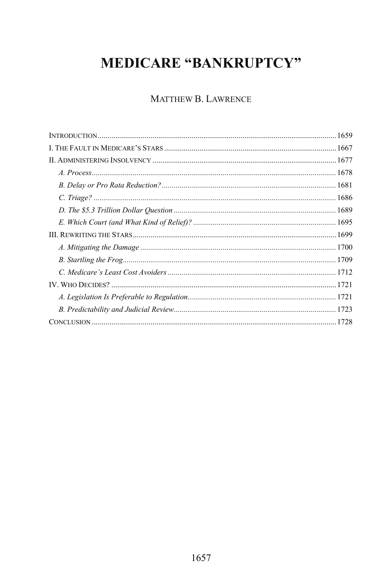# **MEDICARE "BANKRUPTCY"**

## MATTHEW B. LAWRENCE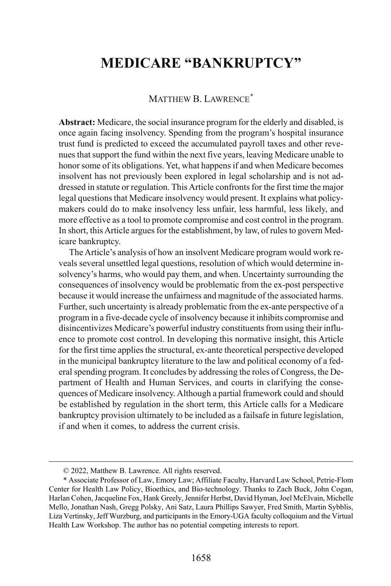# **MEDICARE "BANKRUPTCY"**

### MATTHEW B. LAWRENCE<sup>[\\*](#page-2-0)</sup>

**Abstract:** Medicare, the social insurance program for the elderly and disabled, is once again facing insolvency. Spending from the program's hospital insurance trust fund is predicted to exceed the accumulated payroll taxes and other revenues that support the fund within the next five years, leaving Medicare unable to honor some of its obligations. Yet, what happens if and when Medicare becomes insolvent has not previously been explored in legal scholarship and is not addressed in statute or regulation. This Article confronts for the first time the major legal questions that Medicare insolvency would present. It explains what policymakers could do to make insolvency less unfair, less harmful, less likely, and more effective as a tool to promote compromise and cost control in the program. In short, this Article argues for the establishment, by law, of rules to govern Medicare bankruptcy.

The Article's analysis of how an insolvent Medicare program would work reveals several unsettled legal questions, resolution of which would determine insolvency's harms, who would pay them, and when. Uncertainty surrounding the consequences of insolvency would be problematic from the ex-post perspective because it would increase the unfairness and magnitude of the associated harms. Further, such uncertainty is already problematic from the ex-ante perspective of a program in a five-decade cycle of insolvency because it inhibits compromise and disincentivizes Medicare's powerful industry constituents from using their influence to promote cost control. In developing this normative insight, this Article for the first time applies the structural, ex-ante theoretical perspective developed in the municipal bankruptcy literature to the law and political economy of a federal spending program. It concludes by addressing the roles of Congress, the Department of Health and Human Services, and courts in clarifying the consequences of Medicare insolvency. Although a partial framework could and should be established by regulation in the short term, this Article calls for a Medicare bankruptcy provision ultimately to be included as a failsafe in future legislation, if and when it comes, to address the current crisis.

 <sup>© 2022,</sup> Matthew B. Lawrence. All rights reserved.

<span id="page-2-0"></span><sup>\*</sup> Associate Professor of Law, Emory Law; Affiliate Faculty, Harvard Law School, Petrie-Flom Center for Health Law Policy, Bioethics, and Bio-technology. Thanks to Zach Buck, John Cogan, Harlan Cohen, Jacqueline Fox, Hank Greely, Jennifer Herbst, David Hyman, Joel McElvain, Michelle Mello, Jonathan Nash, Gregg Polsky, Ani Satz, Laura Phillips Sawyer, Fred Smith, Martin Sybblis, Liza Vertinsky, Jeff Wurzburg, and participants in the Emory-UGA faculty colloquium and the Virtual Health Law Workshop. The author has no potential competing interests to report.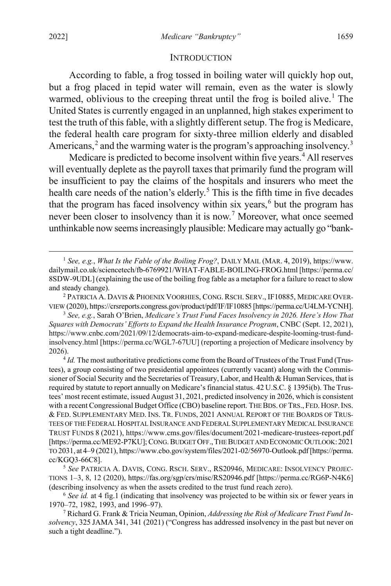#### <span id="page-3-9"></span><span id="page-3-8"></span><span id="page-3-7"></span>INTRODUCTION

According to fable, a frog tossed in boiling water will quickly hop out, but a frog placed in tepid water will remain, even as the water is slowly warmed, oblivious to the creeping threat until the frog is boiled alive.<sup>[1](#page-3-0)</sup> The United States is currently engaged in an unplanned, high stakes experiment to test the truth of this fable, with a slightly different setup. The frog is Medicare, the federal health care program for sixty-three million elderly and disabled Americans, $<sup>2</sup>$  $<sup>2</sup>$  $<sup>2</sup>$  and the warming water is the program's approaching insolvency.<sup>[3](#page-3-2)</sup></sup>

Medicare is predicted to become insolvent within five years.<sup>[4](#page-3-3)</sup> All reserves will eventually deplete as the payroll taxes that primarily fund the program will be insufficient to pay the claims of the hospitals and insurers who meet the health care needs of the nation's elderly.<sup>[5](#page-3-4)</sup> This is the fifth time in five decades that the program has faced insolvency within six years, $6$  but the program has never been closer to insolvency than it is now.<sup>[7](#page-3-6)</sup> Moreover, what once seemed unthinkable now seems increasingly plausible: Medicare may actually go "bank-

<span id="page-3-2"></span><sup>3</sup> *See, e.g.*, Sarah O'Brien, *Medicare's Trust Fund Faces Insolvency in 2026. Here's How That Squares with Democrats' Efforts to Expand the Health Insurance Program*, CNBC (Sept. 12, 2021), https://www.cnbc.com/2021/09/12/democrats-aim-to-expand-medicare-despite-looming-trust-fundinsolvency.html [https://perma.cc/WGL7-67UU] (reporting a projection of Medicare insolvency by 2026).

<span id="page-3-3"></span><sup>4</sup> *Id.* The most authoritative predictions come from the Board of Trustees of the Trust Fund (Trustees), a group consisting of two presidential appointees (currently vacant) along with the Commissioner of Social Security and the Secretaries of Treasury, Labor, and Health & Human Services, that is required by statute to report annually on Medicare's financial status. 42 U.S.C. § 1395i(b). The Trustees' most recent estimate, issued August 31, 2021, predicted insolvency in 2026, which is consistent with a recent Congressional Budget Office (CBO) baseline report. THE BDS. OFTRS., FED.HOSP.INS. & FED. SUPPLEMENTARY MED. INS. TR. FUNDS, 2021 ANNUAL REPORT OF THE BOARDS OF TRUS-TEES OF THE FEDERAL HOSPITAL INSURANCE AND FEDERAL SUPPLEMENTARY MEDICAL INSURANCE TRUST FUNDS 8 (2021), https://www.cms.gov/files/document/2021-medicare-trustees-report.pdf [https://perma.cc/ME92-P7KU]; CONG.BUDGET OFF.,THE BUDGET AND ECONOMIC OUTLOOK:2021 TO 2031, at 4–9 (2021), https://www.cbo.gov/system/files/2021-02/56970-Outlook.pdf [https://perma. cc/KGQ3-66C8].

<span id="page-3-4"></span><sup>5</sup> *See* PATRICIA A. DAVIS, CONG. RSCH. SERV., RS20946, MEDICARE: INSOLVENCY PROJEC-TIONS 1–3, 8, 12 (2020), https://fas.org/sgp/crs/misc/RS20946.pdf [https://perma.cc/RG6P-N4K6] (describing insolvency as when the assets credited to the trust fund reach zero).

<span id="page-3-5"></span><sup>6</sup> *See id.* at 4 fig.1 (indicating that insolvency was projected to be within six or fewer years in 1970–72, 1982, 1993, and 1996–97).

<span id="page-3-6"></span><sup>7</sup> Richard G. Frank & Tricia Neuman, Opinion, *Addressing the Risk of Medicare Trust Fund Insolvency*, 325 JAMA 341, 341 (2021) ("Congress has addressed insolvency in the past but never on such a tight deadline.").

<span id="page-3-0"></span> <sup>1</sup> *See, e.g.*, *What Is the Fable of the Boiling Frog?*, DAILY MAIL (MAR. 4, 2019), https://www. dailymail.co.uk/sciencetech/fb-6769921/WHAT-FABLE-BOILING-FROG.html [https://perma.cc/ 8SDW-9UDL] (explaining the use of the boiling frog fable as a metaphor for a failure to react to slow and steady change).

<span id="page-3-1"></span><sup>2</sup> PATRICIA A. DAVIS & PHOENIX VOORHIES, CONG.RSCH. SERV., IF10885, MEDICARE OVER-VIEW (2020), https://crsreports.congress.gov/product/pdf/IF/IF10885 [https://perma.cc/U4LM-YCNH].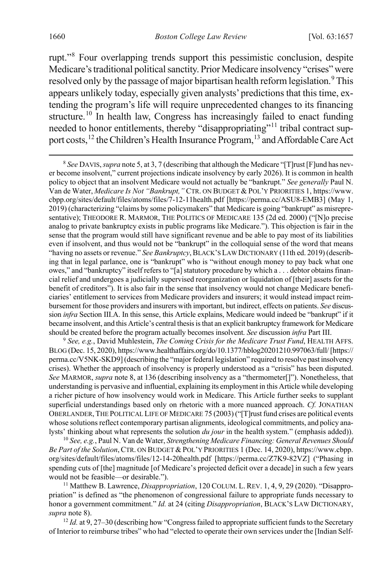<span id="page-4-8"></span><span id="page-4-0"></span>rupt."[8](#page-4-1) Four overlapping trends support this pessimistic conclusion, despite Medicare's traditional political sanctity. Prior Medicare insolvency "crises" were resolved only by the passage of major bipartisan health reform legislation.<sup>[9](#page-4-2)</sup> This appears unlikely today, especially given analysts' predictions that this time, extending the program's life will require unprecedented changes to its financing structure.<sup>[10](#page-4-3)</sup> In health law, Congress has increasingly failed to enact funding needed to honor entitlements, thereby "disappropriating"<sup>[11](#page-4-4)</sup> tribal contract sup-port costs,<sup>[12](#page-4-5)</sup> the Children's Health Insurance Program,<sup>[13](#page-4-6)</sup> and Affordable Care Act

<span id="page-4-9"></span><span id="page-4-7"></span><span id="page-4-6"></span><span id="page-4-1"></span> 8 *See* DAVIS, *supra* not[e 5,](#page-3-7) at 3, 7 (describing that although the Medicare "[T]rust [F]und has never become insolvent," current projections indicate insolvency by early 2026). It is common in health policy to object that an insolvent Medicare would not actually be "bankrupt." *See generally* Paul N. Van de Water, *Medicare Is Not "Bankrupt,"* CTR. ON BUDGET & POL'Y PRIORITIES 1, https://www. cbpp.org/sites/default/files/atoms/files/7-12-11health.pdf [https://perma.cc/ASU8-EMB3] (May 1, 2019) (characterizing "claims by some policymakers" that Medicare is going "bankrupt" as misrepresentative); THEODORE R. MARMOR, THE POLITICS OF MEDICARE 135 (2d ed. 2000) ("[N]o precise analog to private bankruptcy exists in public programs like Medicare."). This objection is fair in the sense that the program would still have significant revenue and be able to pay most of its liabilities even if insolvent, and thus would not be "bankrupt" in the colloquial sense of the word that means "having no assets or revenue." *See Bankruptcy*, BLACK'S LAW DICTIONARY (11th ed. 2019) (describing that in legal parlance, one is "bankrupt" who is "without enough money to pay back what one owes," and "bankruptcy" itself refers to "[a] statutory procedure by which a . . . debtor obtains financial relief and undergoes a judicially supervised reorganization or liquidation of [their] assets for the benefit of creditors"). It is also fair in the sense that insolvency would not change Medicare beneficiaries' entitlement to services from Medicare providers and insurers; it would instead impact reimbursement for those providers and insurers with important, but indirect, effects on patients. *See* discussion *infra* Section III.A. In this sense, this Article explains, Medicare would indeed be "bankrupt" if it became insolvent, and this Article's central thesis is that an explicit bankruptcy framework for Medicare should be created before the program actually becomes insolvent. *See* discussion *infra* Part III.

<span id="page-4-2"></span><sup>9</sup> *See, e.g.*, David Muhlestein, *The Coming Crisis for the Medicare Trust Fund*, HEALTH AFFS. BLOG (Dec. 15, 2020), https://www.healthaffairs.org/do/10.1377/hblog20201210.997063/full/[https:// perma.cc/V5NK-SKD9] (describing the "major federal legislation" required to resolve past insolvency crises). Whether the approach of insolvency is properly understood as a "crisis" has been disputed. *See* MARMOR, *supra* not[e 8,](#page-4-0) at 136 (describing insolvency as a "thermometer[]"). Nonetheless, that understanding is pervasive and influential, explaining its employment in this Article while developing a richer picture of how insolvency would work in Medicare. This Article further seeks to supplant superficial understandings based only on rhetoric with a more nuanced approach. *Cf.* JONATHAN OBERLANDER, THE POLITICAL LIFE OF MEDICARE 75 (2003) ("[T]rust fund crises are political events whose solutions reflect contemporary partisan alignments, ideological commitments, and policy analysts' thinking about what represents the solution *du jour* in the health system." (emphasis added)).

<span id="page-4-3"></span><sup>10</sup> *See, e.g.*, Paul N. Van de Water, *Strengthening Medicare Financing: General Revenues Should Be Part of the Solution*,CTR. ON BUDGET & POL'Y PRIORITIES 1 (Dec. 14, 2020), https://www.cbpp. org/sites/default/files/atoms/files/12-14-20health.pdf [https://perma.cc/Z7K9-82VZ] ("Phasing in spending cuts of [the] magnitude [of Medicare's projected deficit over a decade] in such a few years would not be feasible—or desirable.").

<span id="page-4-4"></span><sup>11</sup> Matthew B. Lawrence, *Disappropriation*, 120 COLUM. L. REV. 1, 4, 9, 29 (2020). "Disappropriation" is defined as "the phenomenon of congressional failure to appropriate funds necessary to honor a government commitment." *Id.* at 24 (citing *Disappropriation*, BLACK'S LAW DICTIONARY, *supra* not[e 8\)](#page-4-0).

<span id="page-4-5"></span><sup>12</sup> *Id.* at 9, 27-30 (describing how "Congress failed to appropriate sufficient funds to the Secretary of Interior to reimburse tribes" who had "elected to operate their own services under the [Indian Self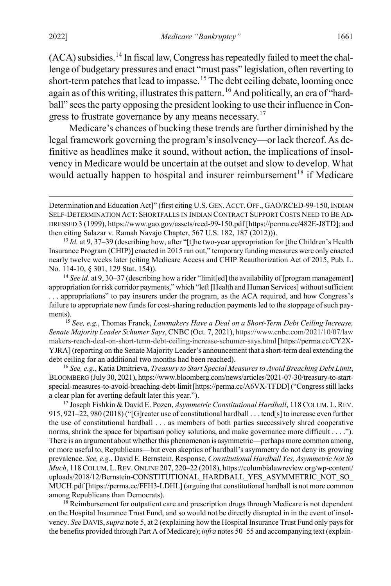$(ACA)$  subsidies.<sup>[14](#page-5-0)</sup> In fiscal law, Congress has repeatedly failed to meet the challenge of budgetary pressures and enact "must pass" legislation, often reverting to short-term patches that lead to impasse.<sup>[15](#page-5-1)</sup> The debt ceiling debate, looming once again as of this writing, illustrates this pattern. <sup>[16](#page-5-2)</sup> And politically, an era of "hardball" sees the party opposing the president looking to use their influence in Con-gress to frustrate governance by any means necessary.<sup>[17](#page-5-3)</sup>

<span id="page-5-5"></span>Medicare's chances of bucking these trends are further diminished by the legal framework governing the program's insolvency—or lack thereof.As definitive as headlines make it sound, without action, the implications of insolvency in Medicare would be uncertain at the outset and slow to develop. What would actually happen to hospital and insurer reimbursement<sup>[18](#page-5-4)</sup> if Medicare

Determination and Education Act]" (first citing U.S.GEN. ACCT. OFF., GAO/RCED-99-150, INDIAN SELF-DETERMINATION ACT: SHORTFALLS IN INDIAN CONTRACT SUPPORT COSTS NEED TO BE AD-DRESSED 3 (1999), https://www.gao.gov/assets/rced-99-150.pdf [https://perma.cc/482E-J8TD]; and then citing Salazar v. Ramah Navajo Chapter, 567 U.S. 182, 187 (2012))).

<sup>&</sup>lt;sup>13</sup> *Id.* at 9, 37–39 (describing how, after "[t]he two-year appropriation for [the Children's Health Insurance Program (CHIP)] enacted in 2015 ran out," temporary funding measures were only enacted nearly twelve weeks later (citing Medicare Access and CHIP Reauthorization Act of 2015, Pub. L. No. 114-10, § 301, 129 Stat. 154)).

<span id="page-5-0"></span><sup>&</sup>lt;sup>14</sup> See id. at 9, 30–37 (describing how a rider "limit[ed] the availability of [program management] appropriation for risk corridor payments," which "left [Health and Human Services] without sufficient . . . appropriations" to pay insurers under the program, as the ACA required, and how Congress's failure to appropriate new funds for cost-sharing reduction payments led to the stoppage of such payments).

<span id="page-5-1"></span><sup>15</sup> *See, e.g.*, Thomas Franck, *Lawmakers Have a Deal on a Short-Term Debt Ceiling Increase, Senate Majority Leader Schumer Says*, CNBC(Oct. 7, 2021), https://www.cnbc.com/2021/10/07/law makers-reach-deal-on-short-term-debt-ceiling-increase-schumer-says.html [https://perma.cc/CY2X-YJRA] (reporting on the Senate Majority Leader's announcement that a short-term deal extending the debt ceiling for an additional two months had been reached).

<span id="page-5-2"></span><sup>16</sup> *See, e.g.*, Katia Dmitrieva, *Treasury to Start Special Measures to Avoid Breaching Debt Limit*, BLOOMBERG (July 30, 2021), https://www.bloomberg.com/news/articles/2021-07-30/treasury-to-startspecial-measures-to-avoid-breaching-debt-limit [https://perma.cc/A6VX-TFDD] ("Congress still lacks a clear plan for averting default later this year.").

<span id="page-5-3"></span><sup>17</sup> Joseph Fishkin & David E. Pozen, *Asymmetric Constitutional Hardball*, 118 COLUM. L.REV. 915, 921–22, 980 (2018) ("[G]reater use of constitutional hardball . . . tend[s] to increase even further the use of constitutional hardball . . . as members of both parties successively shred cooperative norms, shrink the space for bipartisan policy solutions, and make governance more difficult . . . ."). There is an argument about whether this phenomenon is asymmetric—perhaps more common among, or more useful to, Republicans—but even skeptics of hardball's asymmetry do not deny its growing prevalence. *See, e.g.*, David E. Bernstein, Response, *Constitutional Hardball Yes, Asymmetric Not So Much*, 118 COLUM. L.REV. ONLINE 207, 220–22 (2018), https://columbialawreview.org/wp-content/ uploads/2018/12/Bernstein-CONSTITUTIONAL\_HARDBALL\_YES\_ASYMMETRIC\_NOT\_SO\_ MUCH.pdf [https://perma.cc/FFH3-LDHL] (arguing that constitutional hardball is not more common among Republicans than Democrats).

<span id="page-5-4"></span> $18$  Reimbursement for outpatient care and prescription drugs through Medicare is not dependent on the Hospital Insurance Trust Fund, and so would not be directly disrupted in in the event of insolvency. *See* DAVIS, *supra* not[e 5,](#page-3-7) at 2 (explaining how the Hospital Insurance Trust Fund only pays for the benefits provided through Part A of Medicare); *infra* note[s 50](#page-12-0)[–55](#page-13-0) and accompanying text (explain-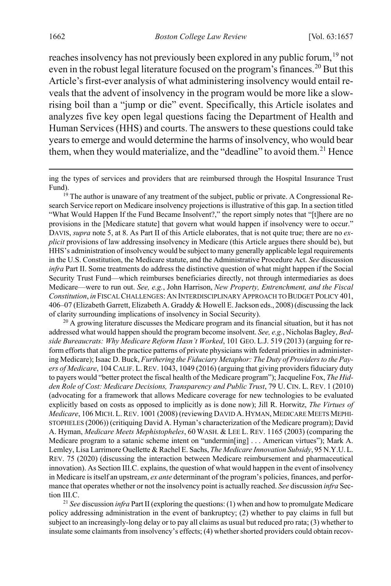<span id="page-6-4"></span><span id="page-6-3"></span>reaches insolvency has not previously been explored in any public forum, <sup>[19](#page-6-0)</sup> not even in the robust legal literature focused on the program's finances.<sup>[20](#page-6-1)</sup> But this Article's first-ever analysis of what administering insolvency would entail reveals that the advent of insolvency in the program would be more like a slowrising boil than a "jump or die" event. Specifically, this Article isolates and analyzes five key open legal questions facing the Department of Health and Human Services (HHS) and courts. The answers to these questions could take years to emerge and would determine the harms of insolvency, who would bear them, when they would materialize, and the "deadline" to avoid them.<sup>[21](#page-6-2)</sup> Hence

<span id="page-6-0"></span><sup>19</sup> The author is unaware of any treatment of the subject, public or private. A Congressional Research Service report on Medicare insolvency projections is illustrative of this gap. In a section titled "What Would Happen If the Fund Became Insolvent?," the report simply notes that "[t]here are no provisions in the [Medicare statute] that govern what would happen if insolvency were to occur." DAVIS, *supra* not[e 5,](#page-3-7) at 8. As Part II of this Article elaborates, that is not quite true; there are no *explicit* provisions of law addressing insolvency in Medicare (this Article argues there should be), but HHS's administration of insolvency would be subject to many generally applicable legal requirements in the U.S. Constitution, the Medicare statute, and the Administrative Procedure Act. *See* discussion *infra* Part II. Some treatments do address the distinctive question of what might happen if the Social Security Trust Fund—which reimburses beneficiaries directly, not through intermediaries as does Medicare—were to run out. *See, e.g.*, John Harrison, *New Property, Entrenchment, and the Fiscal Constitution*, *in* FISCAL CHALLENGES: AN INTERDISCIPLINARY APPROACH TO BUDGET POLICY 401, 406–07 (Elizabeth Garrett, Elizabeth A. Graddy & Howell E. Jackson eds., 2008) (discussing the lack of clarity surrounding implications of insolvency in Social Security).

<span id="page-6-1"></span> $20$  A growing literature discusses the Medicare program and its financial situation, but it has not addressed what would happen should the program become insolvent. *See, e.g.*, Nicholas Bagley, *Bedside Bureaucrats: Why Medicare Reform Hasn't Worked*, 101 GEO. L.J. 519 (2013) (arguing for reform efforts that align the practice patterns of private physicians with federal priorities in administering Medicare); Isaac D. Buck, *Furthering the Fiduciary Metaphor: The Duty of Providers to the Payers of Medicare*, 104 CALIF. L.REV. 1043, 1049 (2016) (arguing that giving providers fiduciary duty to payers would "better protect the fiscal health of the Medicare program"); Jacqueline Fox, *The Hidden Role of Cost: Medicare Decisions, Transparency and Public Trust*, 79 U. CIN. L. REV. 1 (2010) (advocating for a framework that allows Medicare coverage for new technologies to be evaluated explicitly based on costs as opposed to implicitly as is done now); Jill R. Horwitz, *The Virtues of Medicare*, 106 MICH. L. REV. 1001 (2008) (reviewing DAVID A. HYMAN, MEDICARE MEETS MEPHI-STOPHELES (2006)) (critiquing David A. Hyman's characterization of the Medicare program); David A. Hyman, *Medicare Meets Mephistopheles*, 60 WASH. & LEE L. REV. 1165 (2003) (comparing the Medicare program to a satanic scheme intent on "undermin[ing] . . . American virtues"); Mark A. Lemley, Lisa Larrimore Ouellette & Rachel E. Sachs, *The Medicare Innovation Subsidy*, 95 N.Y.U.L. REV. 75 (2020) (discussing the interaction between Medicare reimbursement and pharmaceutical innovation). As Section III.C. explains, the question of what would happen in the event of insolvency in Medicare is itself an upstream, *ex ante* determinant of the program's policies, finances, and performance that operates whether or not the insolvency point is actually reached. *See* discussion *infra* Section III.C.

<span id="page-6-2"></span><sup>21</sup> *See* discussion *infra* Part II (exploring the questions: (1) when and how to promulgate Medicare policy addressing administration in the event of bankruptcy; (2) whether to pay claims in full but subject to an increasingly-long delay or to pay all claims as usual but reduced pro rata; (3) whether to insulate some claimants from insolvency's effects; (4) whether shorted providers could obtain recov-

ing the types of services and providers that are reimbursed through the Hospital Insurance Trust Fund).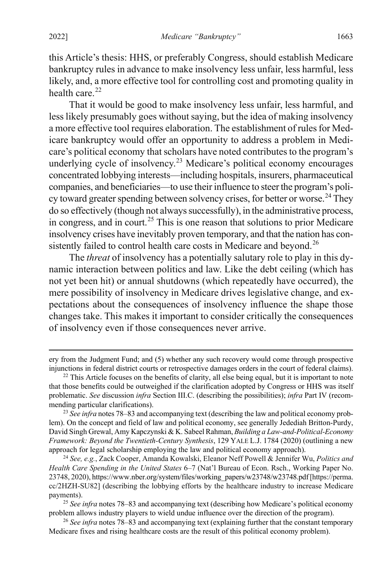this Article's thesis: HHS, or preferably Congress, should establish Medicare bankruptcy rules in advance to make insolvency less unfair, less harmful, less likely, and, a more effective tool for controlling cost and promoting quality in health care. $22$ 

<span id="page-7-5"></span>That it would be good to make insolvency less unfair, less harmful, and less likely presumably goes without saying, but the idea of making insolvency a more effective tool requires elaboration. The establishment of rules for Medicare bankruptcy would offer an opportunity to address a problem in Medicare's political economy that scholars have noted contributes to the program's underlying cycle of insolvency.<sup>[23](#page-7-1)</sup> Medicare's political economy encourages concentrated lobbying interests—including hospitals, insurers, pharmaceutical companies, and beneficiaries—to use their influence to steer the program's poli-cy toward greater spending between solvency crises, for better or worse.<sup>[24](#page-7-2)</sup> They do so effectively (though not always successfully), in the administrative process, in congress, and in court. [25](#page-7-3) This is one reason that solutions to prior Medicare insolvency crises have inevitably proven temporary, and that the nation has con-sistently failed to control health care costs in Medicare and beyond.<sup>[26](#page-7-4)</sup>

<span id="page-7-6"></span>The *threat* of insolvency has a potentially salutary role to play in this dynamic interaction between politics and law. Like the debt ceiling (which has not yet been hit) or annual shutdowns (which repeatedly have occurred), the mere possibility of insolvency in Medicare drives legislative change, and expectations about the consequences of insolvency influence the shape those changes take. This makes it important to consider critically the consequences of insolvency even if those consequences never arrive.

ery from the Judgment Fund; and (5) whether any such recovery would come through prospective injunctions in federal district courts or retrospective damages orders in the court of federal claims).

<span id="page-7-0"></span> $22$  This Article focuses on the benefits of clarity, all else being equal, but it is important to note that those benefits could be outweighed if the clarification adopted by Congress or HHS was itself problematic. *See* discussion *infra* Section III.C. (describing the possibilities); *infra* Part IV (recommending particular clarifications).

<span id="page-7-1"></span><sup>23</sup> *See infra* notes [78](#page-16-0)[–83](#page-17-0) and accompanying text (describing the law and political economy problem). On the concept and field of law and political economy, see generally Jedediah Britton-Purdy, David Singh Grewal, Amy Kapczynski & K. Sabeel Rahman, *Building a Law-and-Political-Economy Framework: Beyond the Twentieth-Century Synthesis*, 129 YALE L.J. 1784 (2020) (outlining a new approach for legal scholarship employing the law and political economy approach).

<span id="page-7-2"></span><sup>24</sup> *See, e.g.*, Zack Cooper, Amanda Kowalski, Eleanor Neff Powell & Jennifer Wu, *Politics and Health Care Spending in the United States* 6–7 (Nat'l Bureau of Econ. Rsch., Working Paper No. 23748, 2020), https://www.nber.org/system/files/working\_papers/w23748/w23748.pdf[https://perma. cc/2HZH-SU82] (describing the lobbying efforts by the healthcare industry to increase Medicare payments).

<span id="page-7-3"></span><sup>25</sup> *See infra* notes [78–](#page-16-0)[83](#page-17-0) and accompanying text (describing how Medicare's political economy problem allows industry players to wield undue influence over the direction of the program).

<span id="page-7-4"></span><sup>26</sup> *See infra* note[s 78–](#page-16-0)[83](#page-17-0) and accompanying text (explaining further that the constant temporary Medicare fixes and rising healthcare costs are the result of this political economy problem).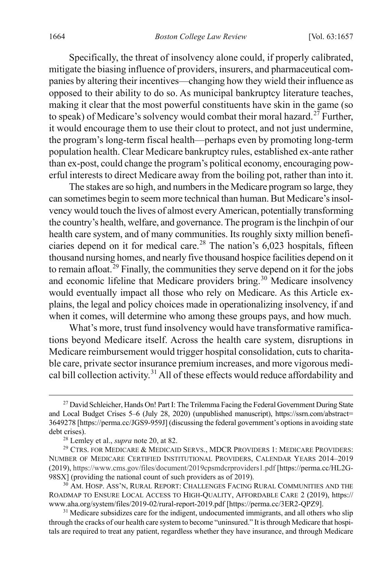Specifically, the threat of insolvency alone could, if properly calibrated, mitigate the biasing influence of providers, insurers, and pharmaceutical companies by altering their incentives—changing how they wield their influence as opposed to their ability to do so. As municipal bankruptcy literature teaches, making it clear that the most powerful constituents have skin in the game (so to speak) of Medicare's solvency would combat their moral hazard.<sup>[27](#page-8-0)</sup> Further, it would encourage them to use their clout to protect, and not just undermine, the program's long-term fiscal health—perhaps even by promoting long-term population health. Clear Medicare bankruptcy rules, established ex-ante rather than ex-post, could change the program's political economy, encouraging powerful interests to direct Medicare away from the boiling pot, rather than into it.

The stakes are so high, and numbers in the Medicare program so large, they can sometimes begin to seem more technical than human. But Medicare's insolvency would touch the lives of almost every American, potentially transforming the country's health, welfare, and governance. The program is the linchpin of our health care system, and of many communities. Its roughly sixty million beneficiaries depend on it for medical care. [28](#page-8-1) The nation's 6,023 hospitals, fifteen thousand nursing homes, and nearly five thousand hospice facilities depend on it to remain afloat.<sup>[29](#page-8-2)</sup> Finally, the communities they serve depend on it for the jobs and economic lifeline that Medicare providers bring.<sup>[30](#page-8-3)</sup> Medicare insolvency would eventually impact all those who rely on Medicare. As this Article explains, the legal and policy choices made in operationalizing insolvency, if and when it comes, will determine who among these groups pays, and how much.

What's more, trust fund insolvency would have transformative ramifications beyond Medicare itself. Across the health care system, disruptions in Medicare reimbursement would trigger hospital consolidation, cuts to charitable care, private sector insurance premium increases, and more vigorous medi-cal bill collection activity.<sup>[31](#page-8-4)</sup> All of these effects would reduce affordability and

<span id="page-8-0"></span><sup>&</sup>lt;sup>27</sup> David Schleicher, Hands On! Part I: The Trilemma Facing the Federal Government During State and Local Budget Crises 5–6 (July 28, 2020) (unpublished manuscript), https://ssrn.com/abstract= 3649278 [https://perma.cc/JGS9-959J] (discussing the federal government's options in avoiding state debt crises).

<sup>28</sup> Lemley et al., *supra* not[e 20,](#page-6-3) at 82.

<span id="page-8-2"></span><span id="page-8-1"></span><sup>29</sup> CTRS. FOR MEDICARE & MEDICAID SERVS., MDCR PROVIDERS 1: MEDICARE PROVIDERS: NUMBER OF MEDICARE CERTIFIED INSTITUTIONAL PROVIDERS, CALENDAR YEARS 2014–2019 (2019), https://www.cms.gov/files/document/2019cpsmdcrproviders1.pdf [https://perma.cc/HL2G-98SX] (providing the national count of such providers as of 2019).

<span id="page-8-3"></span> $^{30}$  AM. HOSP. ASS'N, RURAL REPORT: CHALLENGES FACING RURAL COMMUNITIES AND THE ROADMAP TO ENSURE LOCAL ACCESS TO HIGH-QUALITY, AFFORDABLE CARE 2 (2019), https:// www.aha.org/system/files/2019-02/rural-report-2019.pdf [https://perma.cc/3ER2-QPZ9].

<span id="page-8-4"></span> $31$  Medicare subsidizes care for the indigent, undocumented immigrants, and all others who slip through the cracks of our health care system to become "uninsured." It is through Medicare that hospitals are required to treat any patient, regardless whether they have insurance, and through Medicare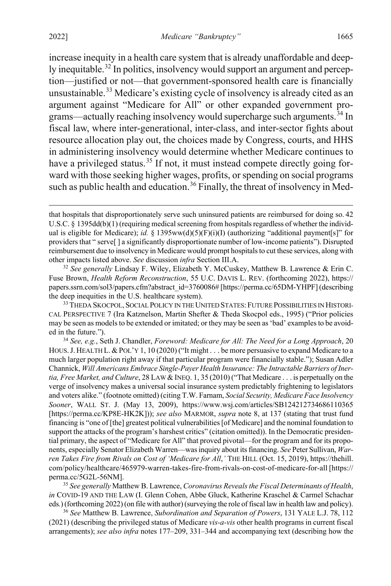<span id="page-9-6"></span><span id="page-9-5"></span>increase inequity in a health care system that is already unaffordable and deep-ly inequitable.<sup>[32](#page-9-0)</sup> In politics, insolvency would support an argument and perception—justified or not—that government-sponsored health care is financially unsustainable.<sup>[33](#page-9-1)</sup> Medicare's existing cycle of insolvency is already cited as an argument against "Medicare for All" or other expanded government pro-grams—actually reaching insolvency would supercharge such arguments.<sup>[34](#page-9-2)</sup> In fiscal law, where inter-generational, inter-class, and inter-sector fights about resource allocation play out, the choices made by Congress, courts, and HHS in administering insolvency would determine whether Medicare continues to have a privileged status.<sup>[35](#page-9-3)</sup> If not, it must instead compete directly going forward with those seeking higher wages, profits, or spending on social programs such as public health and education.<sup>[36](#page-9-4)</sup> Finally, the threat of insolvency in Med-

<span id="page-9-0"></span><sup>32</sup> *See generally* Lindsay F. Wiley, Elizabeth Y. McCuskey, Matthew B. Lawrence & Erin C. Fuse Brown, *Health Reform Reconstruction*, 55 U.C. DAVIS L. REV. (forthcoming 2022), https:// papers.ssrn.com/sol3/papers.cfm?abstract\_id=3760086# [https://perma.cc/65DM-YHPF] (describing the deep inequities in the U.S. healthcare system).

<span id="page-9-1"></span><sup>33</sup> THEDA SKOCPOL, SOCIAL POLICY IN THE UNITED STATES: FUTURE POSSIBILITIES IN HISTORI-CAL PERSPECTIVE 7 (Ira Katznelson, Martin Shefter & Theda Skocpol eds., 1995) ("Prior policies may be seen as models to be extended or imitated; or they may be seen as 'bad' examples to be avoided in the future.").

<span id="page-9-2"></span><sup>34</sup> *See, e.g.*, Seth J. Chandler, *Foreword: Medicare for All: The Need for a Long Approach*, 20 HOUS. J. HEALTH L. & POL'Y 1, 10 (2020) ("It might . . . be more persuasive to expand Medicare to a much larger population right away if that particular program were financially stable."); Susan Adler Channick, *Will Americans Embrace Single-Payer Health Insurance: The Intractable Barriers of Inertia, Free Market, and Culture, 28 LAW & INEQ. 1, 35 (2010)* ("That Medicare . . . is perpetually on the verge of insolvency makes a universal social insurance system predictably frightening to legislators and voters alike." (footnote omitted) (citing T.W. Farnam, *Social Security, Medicare Face Insolvency Sooner*, WALL ST. J. (May 13, 2009), https://www.wsj.com/articles/SB124212734686110365 [https://perma.cc/KP8E-HK2K])); *see also* MARMOR, *supra* note [8,](#page-4-0) at 137 (stating that trust fund financing is "one of [the] greatest political vulnerabilities[of Medicare] and the nominal foundation to support the attacks of the program's harshest critics" (citation omitted)). In the Democratic presidential primary, the aspect of "Medicare for All" that proved pivotal—for the program and for its proponents, especially Senator Elizabeth Warren—was inquiry about its financing. *See* Peter Sullivan, *Warren Takes Fire from Rivals on Cost of 'Medicare for All*,' THE HILL (Oct. 15, 2019), https://thehill. com/policy/healthcare/465979-warren-takes-fire-from-rivals-on-cost-of-medicare-for-all [https:// perma.cc/5G2L-56NM].

<span id="page-9-3"></span><sup>35</sup> *See generally* Matthew B. Lawrence, *Coronavirus Reveals the Fiscal Determinants of Health*, *in* COVID-19 AND THE LAW (I. Glenn Cohen, Abbe Gluck, Katherine Kraschel & Carmel Schachar eds*.*) (forthcoming 2022) (on file with author) (surveying the role of fiscal law in health law and policy).

<span id="page-9-4"></span><sup>36</sup> *See* Matthew B. Lawrence, *Subordination and Separation of Powers*, 131 YALE L.J. 78, 112 (2021) (describing the privileged status of Medicare *vis-a-vis* other health programs in current fiscal arrangements); *see also infra* note[s 177](#page-33-0)[–209,](#page-39-0) [331–](#page-65-0)[344](#page-67-0) and accompanying text (describing how the

that hospitals that disproportionately serve such uninsured patients are reimbursed for doing so. <sup>42</sup> U.S.C. § 1395dd(b)(1) (requiring medical screening from hospitals regardless of whether the individual is eligible for Medicare); *id.* § 1395ww(d)(5)(F)(i)(I) (authorizing "additional payment[s]" for providers that " serve[ ] a significantly disproportionate number of low-income patients"). Disrupted reimbursement due to insolvency in Medicare would prompt hospitals to cut these services, along with other impacts listed above. *See* discussion *infra* Section III.A.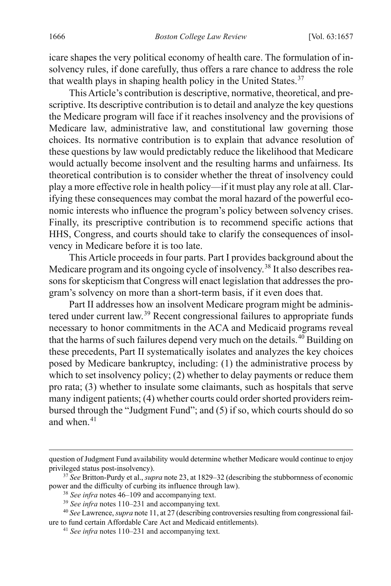icare shapes the very political economy of health care. The formulation of insolvency rules, if done carefully, thus offers a rare chance to address the role that wealth plays in shaping health policy in the United States. $37$ 

This Article's contribution is descriptive, normative, theoretical, and prescriptive. Its descriptive contribution is to detail and analyze the key questions the Medicare program will face if it reaches insolvency and the provisions of Medicare law, administrative law, and constitutional law governing those choices. Its normative contribution is to explain that advance resolution of these questions by law would predictably reduce the likelihood that Medicare would actually become insolvent and the resulting harms and unfairness. Its theoretical contribution is to consider whether the threat of insolvency could play a more effective role in health policy—if it must play any role at all. Clarifying these consequences may combat the moral hazard of the powerful economic interests who influence the program's policy between solvency crises. Finally, its prescriptive contribution is to recommend specific actions that HHS, Congress, and courts should take to clarify the consequences of insolvency in Medicare before it is too late.

This Article proceeds in four parts. Part I provides background about the Medicare program and its ongoing cycle of insolvency. [38](#page-10-1) It also describes reasons for skepticism that Congress will enact legislation that addresses the program's solvency on more than a short-term basis, if it even does that.

Part II addresses how an insolvent Medicare program might be administered under current law.[39](#page-10-2) Recent congressional failures to appropriate funds necessary to honor commitments in the ACA and Medicaid programs reveal that the harms of such failures depend very much on the details.<sup>[40](#page-10-3)</sup> Building on these precedents, Part II systematically isolates and analyzes the key choices posed by Medicare bankruptcy, including: (1) the administrative process by which to set insolvency policy; (2) whether to delay payments or reduce them pro rata; (3) whether to insulate some claimants, such as hospitals that serve many indigent patients; (4) whether courts could order shorted providers reimbursed through the "Judgment Fund"; and (5) if so, which courts should do so and when  $41$ 

question of Judgment Fund availability would determine whether Medicare would continue to enjoy privileged status post-insolvency).

<span id="page-10-0"></span><sup>37</sup> *See* Britton-Purdy et al., *supra* not[e 23,](#page-7-5) at 1829–32 (describing the stubbornness of economic power and the difficulty of curbing its influence through law).

<sup>38</sup> *See infra* note[s 46–](#page-11-0)[109](#page-21-0) and accompanying text.

<sup>39</sup> *See infra* note[s 110](#page-21-1)[–231](#page-43-0) and accompanying text.

<span id="page-10-4"></span><span id="page-10-3"></span><span id="page-10-2"></span><span id="page-10-1"></span><sup>40</sup> *See* Lawrence, *supra* not[e 11,](#page-4-7) at 27 (describing controversies resulting from congressional failure to fund certain Affordable Care Act and Medicaid entitlements).

<sup>41</sup> *See infra* note[s 110](#page-21-1)[–231](#page-43-0) and accompanying text.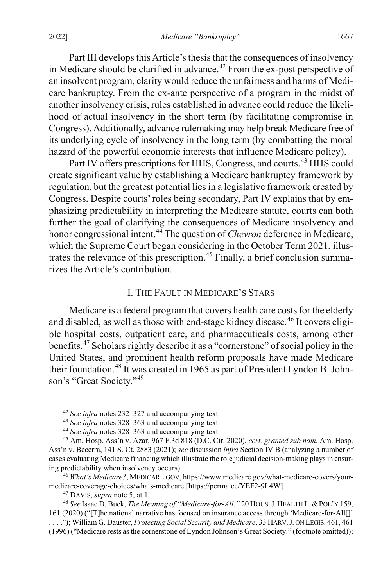Part III develops this Article's thesis that the consequences of insolvency in Medicare should be clarified in advance.<sup>[42](#page-11-1)</sup> From the ex-post perspective of an insolvent program, clarity would reduce the unfairness and harms of Medicare bankruptcy. From the ex-ante perspective of a program in the midst of another insolvency crisis, rules established in advance could reduce the likelihood of actual insolvency in the short term (by facilitating compromise in Congress). Additionally, advance rulemaking may help break Medicare free of its underlying cycle of insolvency in the long term (by combatting the moral hazard of the powerful economic interests that influence Medicare policy).

Part IV offers prescriptions for HHS, Congress, and courts.<sup>[43](#page-11-2)</sup> HHS could create significant value by establishing a Medicare bankruptcy framework by regulation, but the greatest potential lies in a legislative framework created by Congress. Despite courts' roles being secondary, Part IV explains that by emphasizing predictability in interpreting the Medicare statute, courts can both further the goal of clarifying the consequences of Medicare insolvency and honor congressional intent.[44](#page-11-3) The question of *Chevron* deference in Medicare, which the Supreme Court began considering in the October Term 2021, illus-trates the relevance of this prescription.<sup>[45](#page-11-4)</sup> Finally, a brief conclusion summarizes the Article's contribution.

#### <span id="page-11-0"></span>I. THE FAULT IN MEDICARE'S STARS

<span id="page-11-8"></span>Medicare is a federal program that covers health care costs for the elderly and disabled, as well as those with end-stage kidney disease.<sup>[46](#page-11-5)</sup> It covers eligible hospital costs, outpatient care, and pharmaceuticals costs, among other benefits.[47](#page-11-6) Scholars rightly describe it as a "cornerstone" of social policy in the United States, and prominent health reform proposals have made Medicare their foundation.<sup>[48](#page-11-7)</sup> It was created in 1965 as part of President Lyndon B. John-son's "Great Society."<sup>[49](#page-11-8)</sup>

<span id="page-11-9"></span> <sup>42</sup> *See infra* note[s 232](#page-43-1)[–327](#page-64-0) and accompanying text.

<sup>43</sup> *See infra* note[s 328](#page-65-1)[–363](#page-71-0) and accompanying text.

<sup>44</sup> *See infra* note[s 328](#page-65-1)[–363](#page-71-0) and accompanying text.

<span id="page-11-4"></span><span id="page-11-3"></span><span id="page-11-2"></span><span id="page-11-1"></span><sup>45</sup> Am. Hosp. Ass'n v. Azar, 967 F.3d 818 (D.C. Cir. 2020), *cert. granted sub nom.* Am. Hosp. Ass'n v. Becerra, 141 S. Ct. 2883 (2021); *see* discussion *infra* Section IV.B (analyzing a number of cases evaluating Medicare financing which illustrate the role judicial decision-making plays in ensuring predictability when insolvency occurs).

<span id="page-11-5"></span><sup>46</sup> *What's Medicare?*, MEDICARE.GOV, https://www.medicare.gov/what-medicare-covers/yourmedicare-coverage-choic[es/](#page-3-7)whats-medicare [https://perma.cc/YEF2-9L4W].<br><sup>47</sup> DAVIS, *supra* note 5, at 1.<br><sup>48</sup> See Isaac D. Buck, *The Meaning of "Medicare-for-All*," 20 HOUS. J. HEALTH L. & POL'Y 159,

<span id="page-11-7"></span><span id="page-11-6"></span><sup>161 (2020) (&</sup>quot;[T]he national narrative has focused on insurance access through 'Medicare-for-All[]'

<sup>. . . .&</sup>quot;); William G. Dauster, *Protecting Social Security and Medicare*, 33 HARV.J. ON LEGIS. 461, 461 (1996) ("Medicare rests as the cornerstone of Lyndon Johnson's Great Society." (footnote omitted));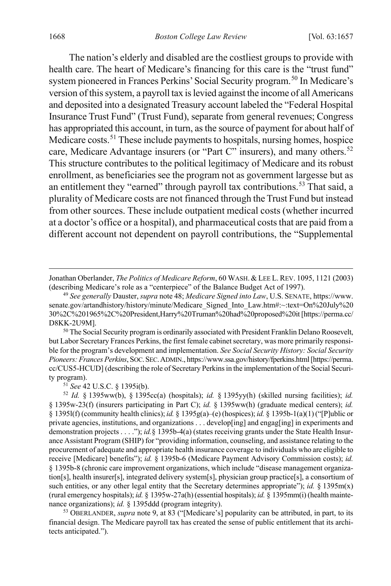<span id="page-12-6"></span><span id="page-12-5"></span><span id="page-12-0"></span>The nation's elderly and disabled are the costliest groups to provide with health care. The heart of Medicare's financing for this care is the "trust fund" system pioneered in Frances Perkins' Social Security program.<sup>[50](#page-12-1)</sup> In Medicare's version of this system, a payroll tax is levied against the income of all Americans and deposited into a designated Treasury account labeled the "Federal Hospital Insurance Trust Fund" (Trust Fund), separate from general revenues; Congress has appropriated this account, in turn, as the source of payment for about half of Medicare costs.<sup>[51](#page-12-2)</sup> These include payments to hospitals, nursing homes, hospice care, Medicare Advantage insurers (or "Part C" insurers), and many others.<sup>[52](#page-12-3)</sup> This structure contributes to the political legitimacy of Medicare and its robust enrollment, as beneficiaries see the program not as government largesse but as an entitlement they "earned" through payroll tax contributions.<sup>[53](#page-12-4)</sup> That said, a plurality of Medicare costs are not financed through the Trust Fund but instead from other sources. These include outpatient medical costs (whether incurred at a doctor's office or a hospital), and pharmaceutical costs that are paid from a different account not dependent on payroll contributions, the "Supplemental

Jonathan Oberlander, *The Politics of Medicare Reform*, 60 WASH. & LEE L.REV. 1095, 1121 (2003) (describing Medicare's role as a "centerpiece" of the Balance Budget Act of 1997).

<span id="page-12-1"></span><sup>50</sup> The Social Security program is ordinarily associated with President Franklin Delano Roosevelt, but Labor Secretary Frances Perkins, the first female cabinet secretary, was more primarily responsible for the program's development and implementation. *See Social Security History: Social Security Pioneers: Frances Perkins*, SOC.SEC.ADMIN., https://www.ssa.gov/history/fperkins.html [https://perma. cc/CUS5-HCUD] (describing the role of Secretary Perkins in the implementation of the Social Security program).

<span id="page-12-4"></span>financial design. The Medicare payroll tax has created the sense of public entitlement that its architects anticipated.").

 $\overline{a}$ 

<sup>49</sup> *See generally* Dauster, *supra* not[e 48;](#page-11-9) *Medicare Signed into Law*, U.S. SENATE, https://www. senate.gov/artandhistory/history/minute/Medicare\_Signed\_Into\_Law.htm#:~:text=On%20July%20 30%2C%201965%2C%20President,Harry%20Truman%20had%20proposed%20it[https://perma.cc/ D8KK-2U9M].

<span id="page-12-3"></span><span id="page-12-2"></span><sup>51</sup> *See* 42 U.S.C. § 1395i(b). 52 *Id.* § 1395ww(b), § 1395cc(a) (hospitals); *id.* § 1395yy(h) (skilled nursing facilities); *id.*  § 1395w-23(f) (insurers participating in Part C); *id.* § 1395ww(h) (graduate medical centers); *id.* § 1395l(f) (community health clinics); *id.* § 1395g(a)–(e) (hospices); *id.* § 1395b-1(a)(1) ("[P]ublic or private agencies, institutions, and organizations . . . develop[ing] and engag[ing] in experiments and demonstration projects . . . ."); *id.*§ 1395b-4(a) (states receiving grants under the State Health Insurance Assistant Program (SHIP) for "providing information, counseling, and assistance relating to the procurement of adequate and appropriate health insurance coverage to individuals who are eligible to receive [Medicare] benefits"); *id.* § 1395b-6 (Medicare Payment Advisory Commission costs); *id.* § 1395b-8 (chronic care improvement organizations, which include "disease management organization[s], health insurer[s], integrated delivery system[s], physician group practice[s], a consortium of such entities, or any other legal entity that the Secretary determines appropriate"); *id.* § 1395m(x) (rural emergency hospitals); *id.* § 1395w-27a(h) (essential hospitals); *id.* § 1395mm(i) (health maintenance organizations); *id.* § 1395[ddd](#page-4-8) (program integrity).<br><sup>53</sup> OBERLANDER, *supra* note 9, at 83 ("[Medicare's] popularity can be attributed, in part, to its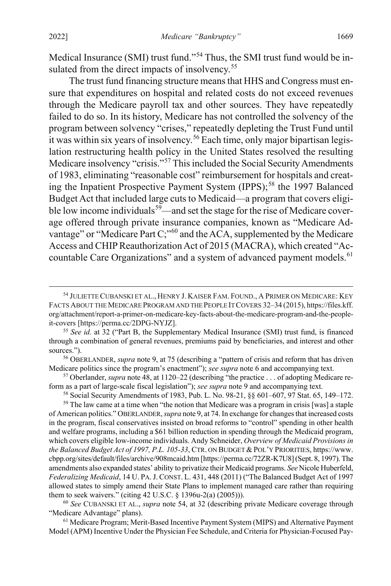<span id="page-13-1"></span><span id="page-13-0"></span>Medical Insurance (SMI) trust fund."<sup>[54](#page-13-2)</sup> Thus, the SMI trust fund would be in-sulated from the direct impacts of insolvency.<sup>[55](#page-13-3)</sup>

The trust fund financing structure means that HHS and Congress must ensure that expenditures on hospital and related costs do not exceed revenues through the Medicare payroll tax and other sources. They have repeatedly failed to do so. In its history, Medicare has not controlled the solvency of the program between solvency "crises," repeatedly depleting the Trust Fund until it was within six years of insolvency.<sup>[56](#page-13-4)</sup> Each time, only major bipartisan legislation restructuring health policy in the United States resolved the resulting Medicare insolvency "crisis."[57](#page-13-5) This included the Social Security Amendments of 1983, eliminating "reasonable cost" reimbursement for hospitals and creating the Inpatient Prospective Payment System (IPPS); [58](#page-13-6) the 1997 Balanced Budget Act that included large cuts to Medicaid—a program that covers eligible low income individuals<sup>59</sup>—and set the stage for the rise of Medicare coverage offered through private insurance companies, known as "Medicare Ad-vantage" or "Medicare Part C;"<sup>[60](#page-13-8)</sup> and the ACA, supplemented by the Medicare Access and CHIP Reauthorization Act of 2015 (MACRA), which created "Ac-countable Care Organizations" and a system of advanced payment models.<sup>[61](#page-13-9)</sup>

<span id="page-13-4"></span><sup>56</sup> OBERLANDER, *supra* not[e 9,](#page-4-8) at 75 (describing a "pattern of crisis and reform that has driven Medicare politics since the program's enactment"); *see supra* note 6 and accompanying text.<br><sup>57</sup> Oberlander, *supra* note 48, at 1120–22 (describing "the practice . . . of adopting Medicare re-

<span id="page-13-5"></span>form as a part of large-scale fiscal legislation"); *see supra* not[e 9](#page-4-8) and accompanying text.

<sup>58</sup> Social Security Amendments of 1983, Pub. L. No. 98-21,  $\S$  601–607, 97 Stat. 65, 149–172.<br><sup>59</sup> The law came at a time when "the notion that Medicare was a program in crisis [was] a staple

<span id="page-13-7"></span><span id="page-13-6"></span>of American politics." OBERLANDER, *supra* not[e 9,](#page-4-8) at 74. In exchange for changes that increased costs in the program, fiscal conservatives insisted on broad reforms to "control" spending in other health and welfare programs, including a \$61 billion reduction in spending through the Medicaid program, which covers eligible low-income individuals. Andy Schneider, *Overview of Medicaid Provisions in the Balanced Budget Act of 1997, P.L. 105-33*, CTR. ON BUDGET & POL'Y PRIORITIES, https://www. cbpp.org/sites/default/files/archive/908mcaid.htm [https://perma.cc/72ZR-K7U8] (Sept. 8, 1997). The amendments also expanded states' ability to privatize their Medicaid programs. *See* Nicole Huberfeld, *Federalizing Medicaid*, 14 U. PA.J. CONST. L. 431, 448 (2011) ("The Balanced Budget Act of 1997 allowed states to simply amend their State Plans to implement managed care rather than requiring them to seek waivers." (citing 42 U.S.C. § 1396u-2(a) (2005))).

<span id="page-13-8"></span><sup>60</sup> *See* CUBANSKI ET AL., *supra* not[e 54,](#page-13-1) at 32 (describing private Medicare coverage through "Medicare Advantage" plans).

<span id="page-13-9"></span><sup>61</sup> Medicare Program; Merit-Based Incentive Payment System (MIPS) and Alternative Payment Model (APM) Incentive Under the Physician Fee Schedule, and Criteria for Physician-Focused Pay-

<span id="page-13-2"></span> <sup>54</sup> JULIETTE CUBANSKI ET AL., HENRY J. KAISER FAM. FOUND., <sup>A</sup> PRIMER ON MEDICARE: KEY FACTS ABOUT THE MEDICARE PROGRAM AND THE PEOPLE IT COVERS 32–34 (2015), https://files.kff. org/attachment/report-a-primer-on-medicare-key-facts-about-the-medicare-program-and-the-peopleit-covers [https://perma.cc/2DPG-NYJZ].

<span id="page-13-3"></span><sup>55</sup> *See id.* at 32 ("Part B, the Supplementary Medical Insurance (SMI) trust fund, is financed through a combination of general revenues, premiums paid by beneficiaries, and interest and other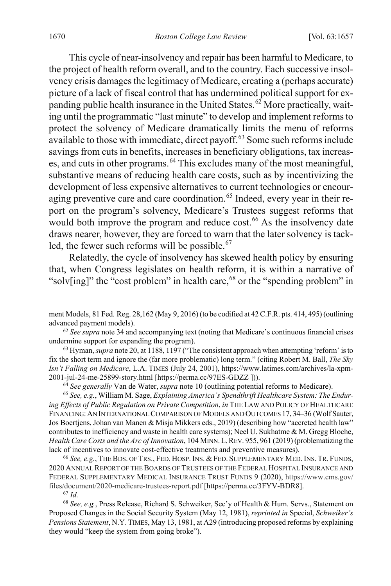This cycle of near-insolvency and repair has been harmful to Medicare, to the project of health reform overall, and to the country. Each successive insolvency crisis damages the legitimacy of Medicare, creating a (perhaps accurate) picture of a lack of fiscal control that has undermined political support for ex-panding public health insurance in the United States.<sup>[62](#page-14-0)</sup> More practically, waiting until the programmatic "last minute" to develop and implement reforms to protect the solvency of Medicare dramatically limits the menu of reforms available to those with immediate, direct payoff. [63](#page-14-1) Some such reforms include savings from cuts in benefits, increases in beneficiary obligations, tax increas-es, and cuts in other programs.<sup>[64](#page-14-2)</sup> This excludes many of the most meaningful, substantive means of reducing health care costs, such as by incentivizing the development of less expensive alternatives to current technologies or encour-aging preventive care and care coordination.<sup>[65](#page-14-3)</sup> Indeed, every year in their report on the program's solvency, Medicare's Trustees suggest reforms that would both improve the program and reduce cost.<sup>[66](#page-14-4)</sup> As the insolvency date draws nearer, however, they are forced to warn that the later solvency is tack-led, the fewer such reforms will be possible.<sup>[67](#page-14-5)</sup>

<span id="page-14-7"></span>Relatedly, the cycle of insolvency has skewed health policy by ensuring that, when Congress legislates on health reform, it is within a narrative of "solv[ing]" the "cost problem" in health care,  $68$  or the "spending problem" in

<sup>64</sup> *See generally* Van de Water, *supra* not[e 10](#page-4-9) (outlining potential reforms to Medicare).

<span id="page-14-3"></span><span id="page-14-2"></span><sup>65</sup> *See, e.g.*, William M. Sage, *Explaining America's Spendthrift Healthcare System: The Enduring Effects of Public Regulation on Private Competition*, *in* THE LAW AND POLICY OF HEALTHCARE FINANCING:AN INTERNATIONAL COMPARISON OF MODELS AND OUTCOMES 17, 34–36 (Wolf Sauter, Jos Boertjens, Johan van Manen & Misja Mikkers eds., 2019) (describing how "accreted health law" contributes to inefficiency and waste in health care systems); Neel U. Sukhatme & M. Gregg Bloche, *Health Care Costs and the Arc of Innovation*, 104 MINN.L.REV. 955, 961 (2019) (problematizing the lack of incentives to innovate cost-effective treatments and preventive measures).

<span id="page-14-4"></span><sup>66</sup> *See, e.g.*, THEBDS. OF TRS., FED. HOSP.INS. & FED. SUPPLEMENTARY MED.INS. TR. FUNDS, 2020 ANNUAL REPORT OF THE BOARDS OF TRUSTEES OF THE FEDERAL HOSPITAL INSURANCE AND FEDERAL SUPPLEMENTARY MEDICAL INSURANCE TRUST FUNDS 9 (2020), https://www.cms.gov/ files/document/2020-medicare-trustees-report.pdf [https://perma.cc/3FYV-BDR8].

<sup>67</sup> *Id.*

 $\overline{a}$ 

<span id="page-14-6"></span><span id="page-14-5"></span><sup>68</sup> *See, e.g.*, Press Release, Richard S. Schweiker, Sec'y of Health & Hum. Servs., Statement on Proposed Changes in the Social Security System (May 12, 1981), *reprinted in* Special, *Schweiker's Pensions Statement*, N.Y. TIMES, May 13, 1981, at A29 (introducing proposed reforms by explaining they would "keep the system from going broke").

ment Models, 81 Fed. Reg. 28,162 (May 9, 2016) (to be codified at 42 C.F.R. pts. 414, 495) (outlining advanced payment models). 62 *See supra* not[e 34](#page-9-5) and accompanying text (noting that Medicare's continuous financial crises

<span id="page-14-0"></span>undermine support for expanding the program).

<span id="page-14-1"></span><sup>63</sup> Hyman, *supra* not[e 20,](#page-6-3) at 1188, 1197 ("The consistent approach when attempting 'reform' is to fix the short term and ignore the (far more problematic) long term." (citing Robert M. Ball, *The Sky Isn't Falling on Medicare*, L.A. TIMES (July 24, 2001), https://www.latimes.com/archives/la-xpm-2001-jul-24-me-25899-story.html [https://perma.cc/97ES-GDZZ ])).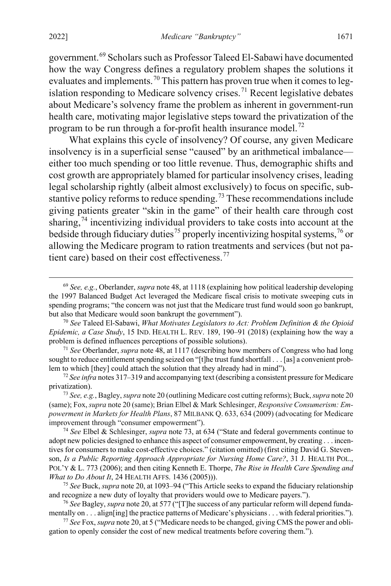government.[69](#page-15-1) Scholars such as Professor Taleed El-Sabawi have documented how the way Congress defines a regulatory problem shapes the solutions it evaluates and implements.  $^{70}$  $^{70}$  $^{70}$  This pattern has proven true when it comes to leg-islation responding to Medicare solvency crises.<sup>[71](#page-15-3)</sup> Recent legislative debates about Medicare's solvency frame the problem as inherent in government-run health care, motivating major legislative steps toward the privatization of the program to be run through a for-profit health insurance model.<sup>[72](#page-15-4)</sup>

<span id="page-15-0"></span>What explains this cycle of insolvency? Of course, any given Medicare insolvency is in a superficial sense "caused" by an arithmetical imbalance either too much spending or too little revenue. Thus, demographic shifts and cost growth are appropriately blamed for particular insolvency crises, leading legal scholarship rightly (albeit almost exclusively) to focus on specific, sub-stantive policy reforms to reduce spending.<sup>[73](#page-15-5)</sup> These recommendations include giving patients greater "skin in the game" of their health care through cost sharing,  $74$  incentivizing individual providers to take costs into account at the bedside through fiduciary duties<sup>[75](#page-15-7)</sup> properly incentivizing hospital systems,<sup>[76](#page-15-8)</sup> or allowing the Medicare program to ration treatments and services (but not pa-tient care) based on their cost effectiveness.<sup>[77](#page-15-9)</sup>

<span id="page-15-1"></span> <sup>69</sup> *See, e.g.*, Oberlander, *supra* not[e 48,](#page-11-9) at 1118 (explaining how political leadership developing the 1997 Balanced Budget Act leveraged the Medicare fiscal crisis to motivate sweeping cuts in spending programs; "the concern was not just that the Medicare trust fund would soon go bankrupt, but also that Medicare would soon bankrupt the government").

<span id="page-15-2"></span><sup>70</sup> *See* Taleed El-Sabawi, *What Motivates Legislators to Act: Problem Definition & the Opioid Epidemic, a Case Study*, 15 IND. HEALTH L. REV. 189, 190–91 (2018) (explaining how the way a problem is defined influences perceptions of possible solutions). 71 *See* Oberlander, *supra* not[e 48,](#page-11-9) at 1117 (describing how members of Congress who had long

<span id="page-15-3"></span>sought to reduce entitlement spending seized on "[t]he trust fund shortfall . . . [as] a convenient problem to which [they] could attach the solution that they already had in mind").

<span id="page-15-4"></span><sup>72</sup> *See infra* note[s 317](#page-62-0)[–319](#page-63-0) and accompanying text (describing a consistent pressure for Medicare privatization). 73 *See, e.g.*, Bagley, *supra* not[e 20](#page-6-3) (outlining Medicare cost cutting reforms); Buck, *supra* not[e 20](#page-6-3)

<span id="page-15-5"></span><sup>(</sup>same); Fox, *supra* not[e 20](#page-6-3) (same); Brian Elbel & Mark Schlesinger, *Responsive Consumerism: Empowerment in Markets for Health Plans*, 87 MILBANK Q. 633, 634 (2009) (advocating for Medicare improvement through "consumer empowerment").

<span id="page-15-6"></span><sup>74</sup> *See* Elbel & Schlesinger, *supra* not[e 73,](#page-15-0) at 634 ("State and federal governments continue to adopt new policies designed to enhance this aspect of consumer empowerment, by creating . . . incentives for consumers to make cost-effective choices." (citation omitted) (first citing David G. Stevenson, *Is a Public Reporting Approach Appropriate for Nursing Home Care?*, 31 J. HEALTH POL., POL'Y & L. 773 (2006); and then citing Kenneth E. Thorpe, *The Rise in Health Care Spending and What to Do About It*, 24 HEALTH AFFS. 1436 (2005))).

<span id="page-15-7"></span><sup>75</sup> *See* Buck, *supra* not[e 20,](#page-6-3) at 1093–94 ("This Article seeks to expand the fiduciary relationship and recognize a new duty of loyalty that providers would owe to Medicare payers."). <sup>76</sup> *See* Bagley, *supra* not[e 20,](#page-6-3) at 577 ("[T]he success of any particular reform will depend funda-

<span id="page-15-8"></span>mentally on . . . align[ing] the practice patterns of Medicare's physicians . . . with federal priorities.").

<span id="page-15-9"></span><sup>77</sup> *See* Fox, *supra* not[e 20,](#page-6-3) at 5 ("Medicare needs to be changed, giving CMS the power and obligation to openly consider the cost of new medical treatments before covering them.").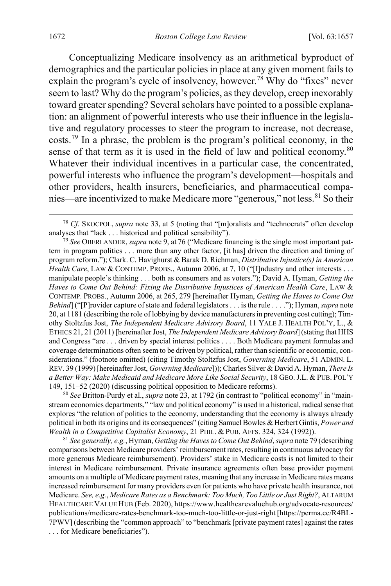<span id="page-16-1"></span><span id="page-16-0"></span>Conceptualizing Medicare insolvency as an arithmetical byproduct of demographics and the particular policies in place at any given moment fails to explain the program's cycle of insolvency, however.<sup>[78](#page-16-2)</sup> Why do "fixes" never seem to last? Why do the program's policies, as they develop, creep inexorably toward greater spending? Several scholars have pointed to a possible explanation: an alignment of powerful interests who use their influence in the legislative and regulatory processes to steer the program to increase, not decrease, costs.[79](#page-16-3) In a phrase, the problem is the program's political economy, in the sense of that term as it is used in the field of law and political economy.<sup>[80](#page-16-4)</sup> Whatever their individual incentives in a particular case, the concentrated, powerful interests who influence the program's development—hospitals and other providers, health insurers, beneficiaries, and pharmaceutical compa-nies—are incentivized to make Medicare more "generous," not less.<sup>[81](#page-16-5)</sup> So their

<span id="page-16-4"></span><sup>80</sup> *See* Britton-Purdy et al., *supra* note [23,](#page-7-5) at 1792 (in contrast to "political economy" in "mainstream economics departments," "law and political economy" is used in a historical, radical sense that explores "the relation of politics to the economy, understanding that the economy is always already political in both its origins and its consequences" (citing Samuel Bowles & Herbert Gintis, *Power and Wealth in a Competitive Capitalist Economy*, 21 PHIL. & PUB. AFFS. 324, 324 (1992)).

<span id="page-16-5"></span><sup>81</sup> *See generally, e.g.*, Hyman, *Getting the Haves to Come Out Behind*,*supra* not[e 79](#page-16-1) (describing comparisons between Medicare providers' reimbursement rates, resulting in continuous advocacy for more generous Medicare reimbursement). Providers' stake in Medicare costs is not limited to their interest in Medicare reimbursement. Private insurance agreements often base provider payment amounts on a multiple of Medicare payment rates, meaning that any increase in Medicare rates means increased reimbursement for many providers even for patients who have private health insurance, not Medicare. *See, e.g.*, *Medicare Rates as a Benchmark: Too Much, Too Little or Just Right?*, ALTARUM HEALTHCARE VALUE HUB (Feb. 2020), https://www.healthcarevaluehub.org/advocate-resources/ publications/medicare-rates-benchmark-too-much-too-little-or-just-right [https://perma.cc/R4BL-7PWV] (describing the "common approach" to "benchmark [private payment rates] against the rates . . . for Medicare beneficiaries").

<span id="page-16-2"></span> <sup>78</sup> *Cf.* SKOCPOL, *supra* note [33,](#page-9-6) at 5 (noting that "[m]oralists and "technocrats" often develop analyses that "lack . . . historical and political sensibility").

<span id="page-16-3"></span><sup>79</sup> *See* OBERLANDER, *supra* not[e 9,](#page-4-8) at 76 ("Medicare financing is the single most important pattern in program politics . . . more than any other factor, [it has] driven the direction and timing of program reform."); Clark. C. Havighurst & Barak D. Richman, *Distributive Injustice(s) in American Health Care*, LAW & CONTEMP. PROBS., Autumn 2006, at 7, 10 ("[I]ndustry and other interests . . . manipulate people's thinking . . . both as consumers and as voters."); David A. Hyman, *Getting the Haves to Come Out Behind: Fixing the Distributive Injustices of American Health Care*, LAW & CONTEMP. PROBS., Autumn 2006, at 265, 279 [hereinafter Hyman, *Getting the Haves to Come Out Behind*] ("[P]rovider capture of state and federal legislators . . . is the rule . . . ."); Hyman, *supra* note [20,](#page-6-3) at 1181 (describing the role of lobbying by device manufacturers in preventing cost cutting); Timothy Stoltzfus Jost, *The Independent Medicare Advisory Board*, 11 YALE J. HEALTH POL'Y, L., & ETHICS 21, 21 (2011) [hereinafter Jost, *The Independent Medicare Advisory Board*] (stating that HHS and Congress "are . . . driven by special interest politics . . . . Both Medicare payment formulas and coverage determinations often seem to be driven by political, rather than scientific or economic, considerations." (footnote omitted) (citing Timothy Stoltzfus Jost, *Governing Medicare*, 51 ADMIN. L. REV. 39 (1999) [hereinafter Jost, *Governing Medicare*])); Charles Silver & David A. Hyman, *There Is a Better Way: Make Medicaid and Medicare More Like Social Security*, 18 GEO.J.L. & PUB. POL'Y 149, 151–52 (2020) (discussing political opposition to Medicare reforms).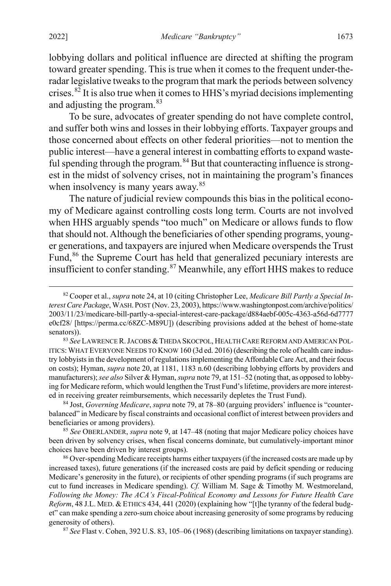lobbying dollars and political influence are directed at shifting the program toward greater spending. This is true when it comes to the frequent under-theradar legislative tweaks to the program that mark the periods between solvency crises. $82$  It is also true when it comes to HHS's myriad decisions implementing and adjusting the program.[83](#page-17-2)

<span id="page-17-0"></span>To be sure, advocates of greater spending do not have complete control, and suffer both wins and losses in their lobbying efforts. Taxpayer groups and those concerned about effects on other federal priorities—not to mention the public interest—have a general interest in combatting efforts to expand waste-ful spending through the program.<sup>[84](#page-17-3)</sup> But that counteracting influence is strongest in the midst of solvency crises, not in maintaining the program's finances when insolvency is many years away.<sup>[85](#page-17-4)</sup>

The nature of judicial review compounds this bias in the political economy of Medicare against controlling costs long term. Courts are not involved when HHS arguably spends "too much" on Medicare or allows funds to flow that should not. Although the beneficiaries of other spending programs, younger generations, and taxpayers are injured when Medicare overspends the Trust Fund,<sup>[86](#page-17-5)</sup> the Supreme Court has held that generalized pecuniary interests are insufficient to confer standing.<sup>[87](#page-17-6)</sup> Meanwhile, any effort HHS makes to reduce

<span id="page-17-6"></span><sup>87</sup> *See* Flast v. Cohen, 392 U.S. 83, 105–06 (1968) (describing limitations on taxpayer standing).

<span id="page-17-1"></span> <sup>82</sup> Cooper et al., *supra* not[e 24,](#page-7-6) at 10 (citing Christopher Lee, *Medicare Bill Partly a Special Interest Care Package*, WASH.POST (Nov. 23, 2003), https://www.washingtonpost.com/archive/politics/ 2003/11/23/medicare-bill-partly-a-special-interest-care-package/d884aebf-005c-4363-a56d-6d7777 e0cf28/ [https://perma.cc/68ZC-M89U]) (describing provisions added at the behest of home-state senators)).

<span id="page-17-2"></span><sup>83</sup> *See* LAWRENCE R.JACOBS &THEDA SKOCPOL, HEALTH CARE REFORM AND AMERICAN POL-ITICS:WHAT EVERYONE NEEDS TO KNOW 160 (3d ed. 2016) (describing the role of health care industry lobbyists in the development of regulations implementing the Affordable Care Act, and their focus on costs); Hyman, *supra* note [20,](#page-6-3) at 1181, 1183 n.60 (describing lobbying efforts by providers and manufacturers); *see also* Silver & Hyman, *supra* not[e 79,](#page-16-1) at 151–52 (noting that, as opposed to lobbying for Medicare reform, which would lengthen the Trust Fund's lifetime, providers are more interested in receiving greater reimbursements, which necessarily depletes the Trust Fund).

<span id="page-17-3"></span><sup>84</sup> Jost, *Governing Medicare*, *supra* not[e 79,](#page-16-1) at 78–80 (arguing providers' influence is "counterbalanced" in Medicare by fiscal constraints and occasional conflict of interest between providers and beneficiaries or among providers).

<span id="page-17-4"></span><sup>85</sup> *See* OBERLANDER, *supra* not[e 9,](#page-4-8) at 147–48 (noting that major Medicare policy choices have been driven by solvency crises, when fiscal concerns dominate, but cumulatively-important minor choices have been driven by interest groups).

<span id="page-17-5"></span><sup>&</sup>lt;sup>86</sup> Over-spending Medicare receipts harms either taxpayers (if the increased costs are made up by increased taxes), future generations (if the increased costs are paid by deficit spending or reducing Medicare's generosity in the future), or recipients of other spending programs (if such programs are cut to fund increases in Medicare spending). *Cf.* William M. Sage & Timothy M. Westmoreland, *Following the Money: The ACA's Fiscal-Political Economy and Lessons for Future Health Care Reform*, 48 J.L. MED. & ETHICS 434, 441 (2020) (explaining how "[t]he tyranny of the federal budget" can make spending a zero-sum choice about increasing generosity of some programs by reducing generosity of others).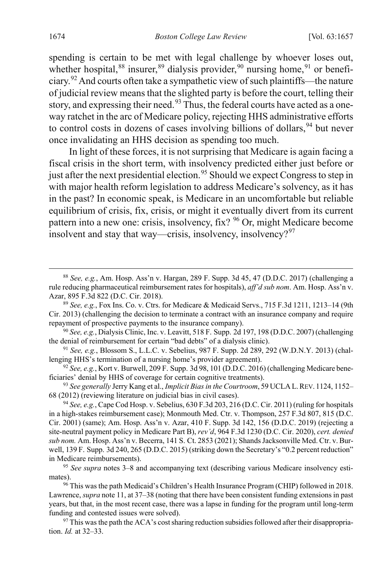spending is certain to be met with legal challenge by whoever loses out, whether hospital,  $88$  insurer,  $89$  dialysis provider,  $90$  nursing home,  $91$  or benefi-ciary.<sup>[92](#page-18-4)</sup> And courts often take a sympathetic view of such plaintiffs—the nature of judicial review means that the slighted party is before the court, telling their story, and expressing their need.<sup>[93](#page-18-5)</sup> Thus, the federal courts have acted as a oneway ratchet in the arc of Medicare policy, rejecting HHS administrative efforts to control costs in dozens of cases involving billions of dollars,  $94$  but never once invalidating an HHS decision as spending too much.

In light of these forces, it is not surprising that Medicare is again facing a fiscal crisis in the short term, with insolvency predicted either just before or just after the next presidential election.<sup>[95](#page-18-7)</sup> Should we expect Congress to step in with major health reform legislation to address Medicare's solvency, as it has in the past? In economic speak, is Medicare in an uncomfortable but reliable equilibrium of crisis, fix, crisis, or might it eventually divert from its current pattern into a new one: crisis, insolvency, fix? [96](#page-18-8) Or, might Medicare become insolvent and stay that way—crisis, insolvency, insolvency? $97$ 

<span id="page-18-0"></span> <sup>88</sup> *See, e.g.*, Am. Hosp. Ass'n v. Hargan, 289 F. Supp. 3d 45, 47 (D.D.C. 2017) (challenging a rule reducing pharmaceutical reimbursement rates for hospitals), *aff'd sub nom*. Am. Hosp. Ass'n v. Azar, 895 F.3d 822 (D.C. Cir. 2018).

<span id="page-18-1"></span><sup>89</sup> *See, e.g.*, Fox Ins. Co. v. Ctrs. for Medicare & Medicaid Servs., 715 F.3d 1211, 1213–14 (9th Cir. 2013) (challenging the decision to terminate a contract with an insurance company and require repayment of prospective payments to the insurance company).

<span id="page-18-2"></span><sup>90</sup> *See, e.g.*, Dialysis Clinic, Inc. v. Leavitt, 518 F. Supp. 2d 197, 198 (D.D.C. 2007) (challenging the denial of reimbursement for certain "bad debts" of a dialysis clinic).

<span id="page-18-3"></span><sup>91</sup> *See, e.g.*, Blossom S., L.L.C. v. Sebelius, 987 F. Supp. 2d 289, 292 (W.D.N.Y. 2013) (challenging HHS's termination of a nursing home's provider agreement).

<span id="page-18-4"></span><sup>92</sup> *See, e.g.*, Kort v. Burwell, 209 F. Supp. 3d 98, 101 (D.D.C. 2016) (challenging Medicare beneficiaries' denial by HHS of coverage for certain cognitive treatments).

<span id="page-18-5"></span><sup>93</sup> *See generally* Jerry Kang et al., *Implicit Bias in the Courtroom*, 59 UCLAL.REV. 1124, 1152– 68 (2012) (reviewing literature on judicial bias in civil cases).

<span id="page-18-6"></span><sup>94</sup> *See, e.g.*, Cape Cod Hosp. v. Sebelius, 630 F.3d 203, 216 (D.C. Cir. 2011) (ruling for hospitals in a high-stakes reimbursement case); Monmouth Med. Ctr. v. Thompson, 257 F.3d 807, 815 (D.C. Cir. 2001) (same); Am. Hosp. Ass'n v. Azar, 410 F. Supp. 3d 142, 156 (D.D.C. 2019) (rejecting a site-neutral payment policy in Medicare Part B), *rev'd*, 964 F.3d 1230 (D.C. Cir. 2020), *cert. denied sub nom.* Am. Hosp. Ass'n v. Becerra, 141 S. Ct. 2853 (2021); Shands Jacksonville Med. Ctr. v. Burwell, 139 F. Supp. 3d 240, 265 (D.D.C. 2015) (striking down the Secretary's "0.2 percent reduction" in Medicare reimbursements).

<span id="page-18-7"></span><sup>95</sup> *See supra* notes [3–](#page-3-9)[8](#page-4-0) and accompanying text (describing various Medicare insolvency estimates).

<span id="page-18-8"></span><sup>&</sup>lt;sup>96</sup> This was the path Medicaid's Children's Health Insurance Program (CHIP) followed in 2018. Lawrence, *supra* not[e 11,](#page-4-7) at 37–38 (noting that there have been consistent funding extensions in past years, but that, in the most recent case, there was a lapse in funding for the program until long-term funding and contested issues were solved).

<span id="page-18-9"></span><sup>&</sup>lt;sup>97</sup> This was the path the ACA's cost sharing reduction subsidies followed after their disappropriation. *Id.* at 32–33.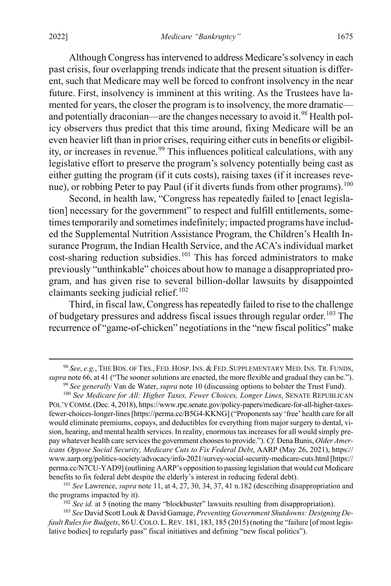# Although Congress has intervened to address Medicare's solvency in each past crisis, four overlapping trends indicate that the present situation is different, such that Medicare may well be forced to confront insolvency in the near future. First, insolvency is imminent at this writing. As the Trustees have lamented for years, the closer the program is to insolvency, the more dramatic— and potentially draconian—are the changes necessary to avoid it.<sup>[98](#page-19-0)</sup> Health policy observers thus predict that this time around, fixing Medicare will be an even heavier lift than in prior crises, requiring either cuts in benefits or eligibil-ity, or increases in revenue.<sup>[99](#page-19-1)</sup> This influences political calculations, with any

legislative effort to preserve the program's solvency potentially being cast as either gutting the program (if it cuts costs), raising taxes (if it increases reve-nue), or robbing Peter to pay Paul (if it diverts funds from other programs).<sup>[100](#page-19-2)</sup>

Second, in health law, "Congress has repeatedly failed to [enact legislation] necessary for the government" to respect and fulfill entitlements, sometimes temporarily and sometimes indefinitely; impacted programs have included the Supplemental Nutrition Assistance Program, the Children's Health Insurance Program, the Indian Health Service, and the ACA's individual market cost-sharing reduction subsidies.<sup>[101](#page-19-3)</sup> This has forced administrators to make previously "unthinkable" choices about how to manage a disappropriated program, and has given rise to several billion-dollar lawsuits by disappointed claimants seeking judicial relief. $102$ 

Third, in fiscal law, Congress has repeatedly failed to rise to the challenge of budgetary pressures and address fiscal issues through regular order.<sup>[103](#page-19-5)</sup> The recurrence of "game-of-chicken" negotiations in the "new fiscal politics" make

<span id="page-19-3"></span><sup>101</sup> *See* Lawrence, *supra* not[e 11,](#page-4-7) at 4, 27, 30, 34, 37, 41 n.182 (describing disappropriation and the programs impacted by it).

<sup>102</sup> *See id.* at 5 (noting the many "blockbuster" lawsuits resulting from disappropriation).

<span id="page-19-5"></span><span id="page-19-4"></span><sup>103</sup> *See* David Scott Louk & David Gamage, *Preventing Government Shutdowns: Designing Default Rules for Budgets*, 86 U.COLO. L.REV. 181, 183, 185 (2015) (noting the "failure [of most legislative bodies] to regularly pass" fiscal initiatives and defining "new fiscal politics").

<span id="page-19-0"></span> <sup>98</sup> *See, e.g.*, THE BDS. OF TRS., FED. HOSP.INS. & FED. SUPPLEMENTARY MED.INS. TR. FUNDS, *supra* not[e 66,](#page-14-7) at 41 ("The sooner solutions are enacted, the more flexible and gradual they can be.").

<sup>99</sup> *See generally* Van de Water, *supra* note [10](#page-4-9) (discussing options to bolster the Trust Fund). <sup>100</sup> *See Medicare for All: Higher Taxes, Fewer Choices, Longer Lines*, SENATE REPUBLICAN

<span id="page-19-2"></span><span id="page-19-1"></span>POL'Y COMM. (Dec. 4, 2018), https://www.rpc.senate.gov/policy-papers/medicare-for-all-higher-taxesfewer-choices-longer-lines[https://perma.cc/B5G4-KKNG] ("Proponents say 'free' health care for all would eliminate premiums, copays, and deductibles for everything from major surgery to dental, vision, hearing, and mental health services. In reality, enormous tax increases for all would simply prepay whatever health care services the government chooses to provide."). *Cf.* Dena Bunis, *Older Americans Oppose Social Security, Medicare Cuts to Fix Federal Debt*, AARP (May 26, 2021), https:// www.aarp.org/politics-society/advocacy/info-2021/survey-social-security-medicare-cuts.html[https:// perma.cc/N7CU-YAD9] (outlining AARP's opposition to passing legislation that would cut Medicare benefits to fix federal debt despite the elderly's interest in reducing federal debt).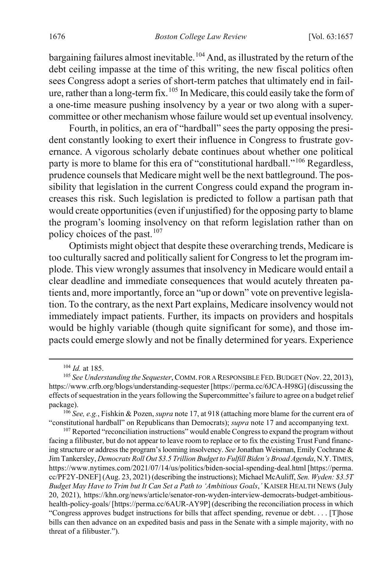bargaining failures almost inevitable.<sup>[104](#page-20-0)</sup> And, as illustrated by the return of the debt ceiling impasse at the time of this writing, the new fiscal politics often sees Congress adopt a series of short-term patches that ultimately end in fail-ure, rather than a long-term fix.<sup>[105](#page-20-1)</sup> In Medicare, this could easily take the form of a one-time measure pushing insolvency by a year or two along with a supercommittee or other mechanism whose failure would set up eventual insolvency.

Fourth, in politics, an era of "hardball" sees the party opposing the president constantly looking to exert their influence in Congress to frustrate governance. A vigorous scholarly debate continues about whether one political party is more to blame for this era of "constitutional hardball."[106](#page-20-2) Regardless, prudence counsels that Medicare might well be the next battleground. The possibility that legislation in the current Congress could expand the program increases this risk. Such legislation is predicted to follow a partisan path that would create opportunities (even if unjustified) for the opposing party to blame the program's looming insolvency on that reform legislation rather than on policy choices of the past. $107$ 

Optimists might object that despite these overarching trends, Medicare is too culturally sacred and politically salient for Congress to let the program implode. This view wrongly assumes that insolvency in Medicare would entail a clear deadline and immediate consequences that would acutely threaten patients and, more importantly, force an "up or down" vote on preventive legislation. To the contrary, as the next Part explains, Medicare insolvency would not immediately impact patients. Further, its impacts on providers and hospitals would be highly variable (though quite significant for some), and those impacts could emerge slowly and not be finally determined for years. Experience

 <sup>104</sup> *Id.* at 185.

<span id="page-20-1"></span><span id="page-20-0"></span><sup>105</sup> *See Understanding the Sequester*, COMM. FOR A RESPONSIBLE FED.BUDGET (Nov. 22, 2013), https://www.crfb.org/blogs/understanding-sequester [https://perma.cc/6JCA-H98G] (discussing the effects of sequestration in the years following the Supercommittee's failure to agree on a budget relief package).

<span id="page-20-2"></span><sup>106</sup> *See, e.g.*, Fishkin & Pozen, *supra* not[e 17,](#page-5-5) at 918 (attaching more blame for the current era of "constitutional hardball" on Republicans than Democrats); *supra* note [17](#page-5-5) and accompanying text.

<span id="page-20-3"></span><sup>&</sup>lt;sup>107</sup> Reported "reconciliation instructions" would enable Congress to expand the program without facing a filibuster, but do not appear to leave room to replace or to fix the existing Trust Fund financing structure or address the program's looming insolvency. *See* Jonathan Weisman, Emily Cochrane & Jim Tankersley, *Democrats Roll Out \$3.5 Trillion Budget to Fulfill Biden's Broad Agenda*, N.Y.TIMES, https://www.nytimes.com/2021/07/14/us/politics/biden-social-spending-deal.html [https://perma. cc/PF2Y-DNEF] (Aug. 23, 2021) (describing the instructions); Michael McAuliff, *Sen. Wyden: \$3.5T Budget May Have to Trim but It Can Set a Path to 'Ambitious Goals*,*'* KAISER HEALTH NEWS (July 20, 2021), https://khn.org/news/article/senator-ron-wyden-interview-democrats-budget-ambitioushealth-policy-goals/ [https://perma.cc/6AUR-AY9P] (describing the reconciliation process in which "Congress approves budget instructions for bills that affect spending, revenue or debt. . . . [T]hose bills can then advance on an expedited basis and pass in the Senate with a simple majority, with no threat of a filibuster.").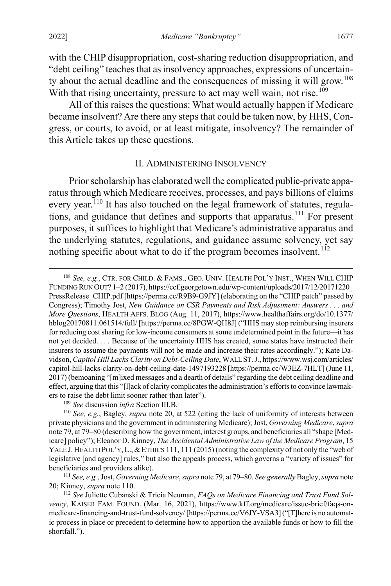with the CHIP disappropriation, cost-sharing reduction disappropriation, and "debt ceiling" teaches that as insolvency approaches, expressions of uncertain-ty about the actual deadline and the consequences of missing it will grow.<sup>[108](#page-21-2)</sup> With that rising uncertainty, pressure to act may well wain, not rise.<sup>[109](#page-21-3)</sup>

All of this raises the questions: What would actually happen if Medicare became insolvent? Are there any steps that could be taken now, by HHS, Congress, or courts, to avoid, or at least mitigate, insolvency? The remainder of this Article takes up these questions.

#### <span id="page-21-7"></span><span id="page-21-0"></span>II. ADMINISTERING INSOLVENCY

<span id="page-21-1"></span>Prior scholarship has elaborated well the complicated public-private apparatus through which Medicare receives, processes, and pays billions of claims every year.<sup>[110](#page-21-4)</sup> It has also touched on the legal framework of statutes, regula-tions, and guidance that defines and supports that apparatus.<sup>[111](#page-21-5)</sup> For present purposes, it suffices to highlight that Medicare's administrative apparatus and the underlying statutes, regulations, and guidance assume solvency, yet say nothing specific about what to do if the program becomes insolvent.<sup>[112](#page-21-6)</sup>

<span id="page-21-2"></span> <sup>108</sup> *See, e.g.*, CTR. FOR CHILD. & FAMS., GEO. UNIV. HEALTH POL'Y INST., WHEN WILL CHIP FUNDING RUN OUT? 1–2 (2017), https://ccf.georgetown.edu/wp-content/uploads/2017/12/20171220\_ PressRelease\_CHIP.pdf [https://perma.cc/R9B9-G9JY] (elaborating on the "CHIP patch" passed by Congress); Timothy Jost, *New Guidance on CSR Payments and Risk Adjustment: Answers . . . and More Questions*, HEALTH AFFS. BLOG (Aug. 11, 2017), https://www.healthaffairs.org/do/10.1377/ hblog20170811.061514/full/ [https://perma.cc/8PGW-QH8J] ("HHS may stop reimbursing insurers for reducing cost sharing for low-income consumers at some undetermined point in the future—it has not yet decided. . . . Because of the uncertainty HHS has created, some states have instructed their insurers to assume the payments will not be made and increase their rates accordingly."); Kate Davidson, *Capitol Hill Lacks Clarity on Debt-Ceiling Date*, WALL ST.J., https://www.wsj.com/articles/ capitol-hill-lacks-clarity-on-debt-ceiling-date-1497193228 [https://perma.cc/W3EZ-7HLT] (June 11, 2017) (bemoaning "[m]ixed messages and a dearth of details" regarding the debt ceiling deadline and effect, arguing that this "[l]ack of clarity complicates the administration's efforts to convince lawmakers to raise the debt limit sooner rather than later").<br><sup>109</sup> See discussion *infra* Section III.B.

<span id="page-21-4"></span><span id="page-21-3"></span><sup>&</sup>lt;sup>110</sup> See, e.g., Bagley, *supra* not[e 20,](#page-6-3) at 522 (citing the lack of uniformity of interests between private physicians and the government in administering Medicare); Jost, *Governing Medicare*, *supra*  not[e 79,](#page-16-1) at 79–80 (describing how the government, interest groups, and beneficiaries all "shape [Medicare] policy"); Eleanor D. Kinney, *The Accidental Administrative Law of the Medicare Program*, 15 YALE J. HEALTH POL'Y, L., & ETHICS 111, 111 (2015) (noting the complexity of not only the "web of legislative [and agency] rules," but also the appeals process, which governs a "variety of issues" for beneficiaries and providers alike).

<span id="page-21-5"></span><sup>111</sup> *See, e.g.*, Jost, *Governing Medicare*, *supra* not[e 79,](#page-16-1) at 79–80. *See generally* Bagley, *supra* note [20;](#page-6-3) Kinney, *supra* not[e 110.](#page-21-1) 112 *See* Juliette Cubanski & Tricia Neuman, *FAQs on Medicare Financing and Trust Fund Sol-*

<span id="page-21-6"></span>*vency*, KAISER FAM. FOUND. (Mar. 16, 2021), https://www.kff.org/medicare/issue-brief/faqs-onmedicare-financing-and-trust-fund-solvency/ [https://perma.cc/V6JY-VSA3] ("[T]here is no automatic process in place or precedent to determine how to apportion the available funds or how to fill the shortfall.").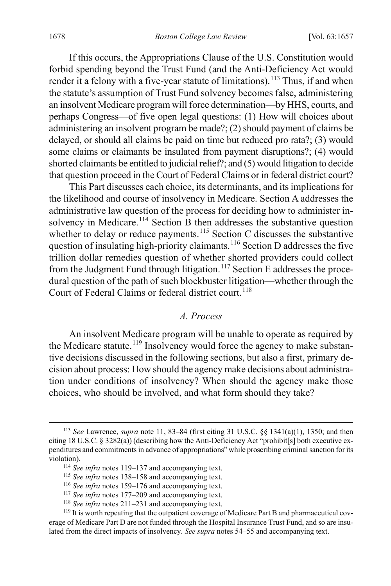<span id="page-22-8"></span>If this occurs, the Appropriations Clause of the U.S. Constitution would forbid spending beyond the Trust Fund (and the Anti-Deficiency Act would render it a felony with a five-year statute of limitations).<sup>[113](#page-22-1)</sup> Thus, if and when the statute's assumption of Trust Fund solvency becomes false, administering an insolvent Medicare program will force determination—by HHS, courts, and perhaps Congress—of five open legal questions: (1) How will choices about administering an insolvent program be made?; (2) should payment of claims be delayed, or should all claims be paid on time but reduced pro rata?; (3) would some claims or claimants be insulated from payment disruptions?; (4) would shorted claimants be entitled to judicial relief?; and (5) would litigation to decide that question proceed in the Court of Federal Claims or in federal district court?

This Part discusses each choice, its determinants, and its implications for the likelihood and course of insolvency in Medicare. Section A addresses the administrative law question of the process for deciding how to administer in-solvency in Medicare.<sup>[114](#page-22-2)</sup> Section B then addresses the substantive question whether to delay or reduce payments.<sup>[115](#page-22-3)</sup> Section C discusses the substantive question of insulating high-priority claimants.<sup>[116](#page-22-4)</sup> Section D addresses the five trillion dollar remedies question of whether shorted providers could collect from the Judgment Fund through litigation.<sup>[117](#page-22-5)</sup> Section E addresses the procedural question of the path of such blockbuster litigation—whether through the Court of Federal Claims or federal district court.<sup>[118](#page-22-6)</sup>

#### <span id="page-22-0"></span>*A. Process*

An insolvent Medicare program will be unable to operate as required by the Medicare statute.<sup>[119](#page-22-7)</sup> Insolvency would force the agency to make substantive decisions discussed in the following sections, but also a first, primary decision about process: How should the agency make decisions about administration under conditions of insolvency? When should the agency make those choices, who should be involved, and what form should they take?

<span id="page-22-2"></span><span id="page-22-1"></span> <sup>113</sup> *See* Lawrence, *supra* note [11,](#page-4-7) 83–84 (first citing 31 U.S.C. §§ 1341(a)(1), 1350; and then citing 18 U.S.C. § 3282(a)) (describing how the Anti-Deficiency Act "prohibit[s] both executive expenditures and commitments in advance of appropriations" while proscribing criminal sanction for its violation).

<sup>114</sup> *See infra* notes [119–](#page-22-0)[137](#page-25-0) and accompanying text.

<sup>115</sup> *See infra* notes [138–](#page-26-0)[158](#page-30-0) and accompanying text.

<sup>116</sup> *See infra* notes [159–](#page-30-1)[176](#page-33-1) and accompanying text.

<sup>117</sup> *See infra* notes [177–](#page-33-0)[209](#page-39-0) and accompanying text.

<sup>118</sup> *See infra* notes [211–](#page-40-0)[231](#page-43-0) and accompanying text.

<span id="page-22-7"></span><span id="page-22-6"></span><span id="page-22-5"></span><span id="page-22-4"></span><span id="page-22-3"></span><sup>&</sup>lt;sup>119</sup> It is worth repeating that the outpatient coverage of Medicare Part B and pharmaceutical coverage of Medicare Part D are not funded through the Hospital Insurance Trust Fund, and so are insulated from the direct impacts of insolvency. *See supra* notes 54–55 and accompanying text.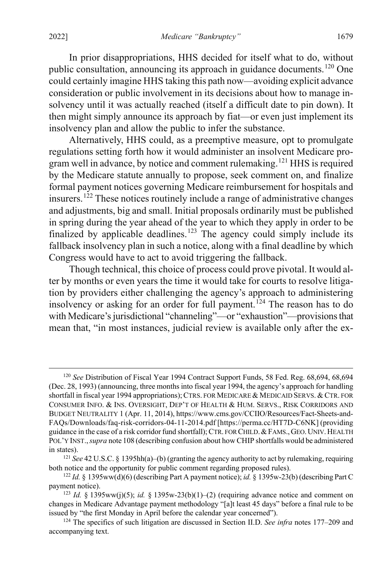<span id="page-23-5"></span>In prior disappropriations, HHS decided for itself what to do, without public consultation, announcing its approach in guidance documents.<sup>[120](#page-23-0)</sup> One could certainly imagine HHS taking this path now—avoiding explicit advance consideration or public involvement in its decisions about how to manage insolvency until it was actually reached (itself a difficult date to pin down). It then might simply announce its approach by fiat—or even just implement its insolvency plan and allow the public to infer the substance.

Alternatively, HHS could, as a preemptive measure, opt to promulgate regulations setting forth how it would administer an insolvent Medicare pro-gram well in advance, by notice and comment rulemaking.<sup>[121](#page-23-1)</sup> HHS is required by the Medicare statute annually to propose, seek comment on, and finalize formal payment notices governing Medicare reimbursement for hospitals and insurers.[122](#page-23-2) These notices routinely include a range of administrative changes and adjustments, big and small. Initial proposals ordinarily must be published in spring during the year ahead of the year to which they apply in order to be finalized by applicable deadlines.<sup>[123](#page-23-3)</sup> The agency could simply include its fallback insolvency plan in such a notice, along with a final deadline by which Congress would have to act to avoid triggering the fallback.

<span id="page-23-6"></span>Though technical, this choice of process could prove pivotal. It would alter by months or even years the time it would take for courts to resolve litigation by providers either challenging the agency's approach to administering insolvency or asking for an order for full payment.<sup>[124](#page-23-4)</sup> The reason has to do with Medicare's jurisdictional "channeling"—or "exhaustion"—provisionsthat mean that, "in most instances, judicial review is available only after the ex-

<span id="page-23-0"></span><sup>&</sup>lt;sup>120</sup> See Distribution of Fiscal Year 1994 Contract Support Funds, 58 Fed. Reg. 68,694, 68,694 (Dec. 28, 1993) (announcing, three months into fiscal year 1994, the agency's approach for handling shortfall in fiscal year 1994 appropriations); CTRS. FOR MEDICARE & MEDICAID SERVS. & CTR. FOR CONSUMER INFO. & INS. OVERSIGHT, DEP'T OF HEALTH & HUM. SERVS., RISK CORRIDORS AND BUDGET NEUTRALITY 1 (Apr. 11, 2014), https://www.cms.gov/CCIIO/Resources/Fact-Sheets-and-FAQs/Downloads/faq-risk-corridors-04-11-2014.pdf [https://perma.cc/HT7D-C6NK] (providing guidance in the case of a risk corridor fund shortfall); CTR. FOR CHILD.&FAMS.,GEO.UNIV.HEALTH POL'Y INST.,*supra* note [108](#page-21-7) (describing confusion about how CHIP shortfalls would be administered in states).

<span id="page-23-1"></span><sup>121</sup> *See* 42 U.S.C. § 1395hh(a)–(b) (granting the agency authority to act by rulemaking, requiring both notice and the opportunity for public comment regarding proposed rules).

<span id="page-23-2"></span><sup>122</sup> *Id.* § 1395ww(d)(6) (describing Part A payment notice); *id.* § 1395w-23(b) (describing Part C payment notice).

<span id="page-23-3"></span><sup>&</sup>lt;sup>123</sup> *Id.* § 1395ww(j)(5); *id.* § 1395w-23(b)(1)–(2) (requiring advance notice and comment on changes in Medicare Advantage payment methodology "[a]t least 45 days" before a final rule to be issued by "the first Monday in April before the calendar year concerned").

<span id="page-23-4"></span><sup>124</sup> The specifics of such litigation are discussed in Section II.D. *See infra* notes [177–](#page-33-0)[209](#page-39-0) and accompanying text.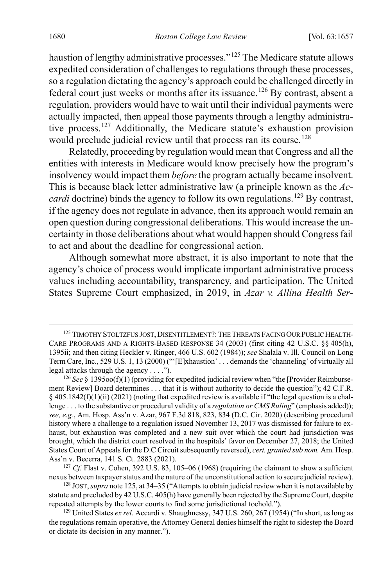<span id="page-24-0"></span>haustion of lengthy administrative processes."<sup>[125](#page-24-1)</sup> The Medicare statute allows expedited consideration of challenges to regulations through these processes, so a regulation dictating the agency's approach could be challenged directly in federal court just weeks or months after its issuance.<sup>[126](#page-24-2)</sup> By contrast, absent a regulation, providers would have to wait until their individual payments were actually impacted, then appeal those payments through a lengthy administrative process. [127](#page-24-3) Additionally, the Medicare statute's exhaustion provision would preclude judicial review until that process ran its course.<sup>[128](#page-24-4)</sup>

Relatedly, proceeding by regulation would mean that Congress and all the entities with interests in Medicare would know precisely how the program's insolvency would impact them *before* the program actually became insolvent. This is because black letter administrative law (a principle known as the *Accardi* doctrine) binds the agency to follow its own regulations.<sup>[129](#page-24-5)</sup> By contrast, if the agency does not regulate in advance, then its approach would remain an open question during congressional deliberations. This would increase the uncertainty in those deliberations about what would happen should Congress fail to act and about the deadline for congressional action.

Although somewhat more abstract, it is also important to note that the agency's choice of process would implicate important administrative process values including accountability, transparency, and participation. The United States Supreme Court emphasized, in 2019, in *Azar v. Allina Health Ser-*

<span id="page-24-1"></span><sup>125</sup> TIMOTHY STOLTZFUS JOST, DISENTITLEMENT?: THE THREATS FACING OUR PUBLIC HEALTH-CARE PROGRAMS AND A RIGHTS-BASED RESPONSE 34 (2003) (first citing 42 U.S.C. §§ 405(h), 1395ii; and then citing Heckler v. Ringer, 466 U.S. 602 (1984)); *see* Shalala v. Ill. Council on Long Term Care, Inc., 529 U.S. 1, 13 (2000) ("'[E]xhaustion' . . . demands the 'channeling' of virtually all legal attacks through the agency . . . .").

<span id="page-24-2"></span><sup>&</sup>lt;sup>126</sup> See § 1395oo(f)(1) (providing for expedited judicial review when "the [Provider Reimbursement Review] Board determines . . . that it is without authority to decide the question"); 42 C.F.R.  $§$  405.1842(f)(1)(ii) (2021) (noting that expedited review is available if "the legal question is a challenge . . . to the substantive or procedural validity of a *regulation or CMS Ruling*" (emphasis added)); *see, e.g.*, Am. Hosp. Ass'n v. Azar, 967 F.3d 818, 823, 834 (D.C. Cir. 2020) (describing procedural history where a challenge to a regulation issued November 13, 2017 was dismissed for failure to exhaust, but exhaustion was completed and a new suit over which the court had jurisdiction was brought, which the district court resolved in the hospitals' favor on December 27, 2018; the United States Court of Appeals for the D.C Circuit subsequently reversed), *cert. granted sub nom.* Am. Hosp. Ass'n v. Becerra, 141 S. Ct. 2883 (2021).

<span id="page-24-3"></span><sup>&</sup>lt;sup>127</sup> *Cf.* Flast v. Cohen, 392 U.S. 83, 105-06 (1968) (requiring the claimant to show a sufficient nexus between taxpayer status and the nature of the unconstitutional action to secure judicial review).

<span id="page-24-4"></span><sup>128</sup> JOST, *supra* not[e 125,](#page-24-0) at 34–35 ("Attempts to obtain judicial review when it is not available by statute and precluded by 42 U.S.C. 405(h) have generally been rejected by the Supreme Court, despite repeated attempts by the lower courts to find some jurisdictional toehold.").

<span id="page-24-5"></span><sup>&</sup>lt;sup>129</sup> United States *ex rel.* Accardi v. Shaughnessy, 347 U.S. 260, 267 (1954) ("In short, as long as the regulations remain operative, the Attorney General denies himself the right to sidestep the Board or dictate its decision in any manner.").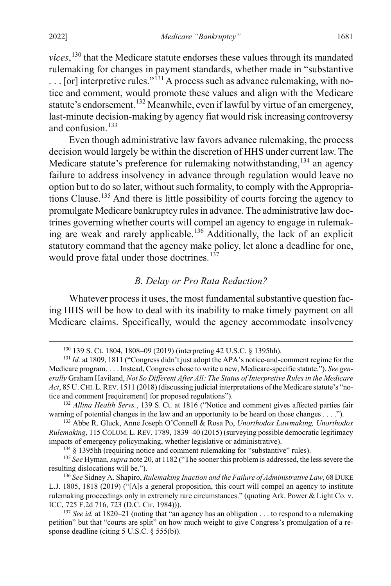*vices*, [130](#page-25-1) that the Medicare statute endorses these values through its mandated rulemaking for changes in payment standards, whether made in "substantive  $\ldots$  [or] interpretive rules."<sup>[131](#page-25-2)</sup> A process such as advance rulemaking, with notice and comment, would promote these values and align with the Medicare statute's endorsement.<sup>[132](#page-25-3)</sup> Meanwhile, even if lawful by virtue of an emergency, last-minute decision-making by agency fiat would risk increasing controversy and confusion. $133$ 

Even though administrative law favors advance rulemaking, the process decision would largely be within the discretion of HHS under current law. The Medicare statute's preference for rulemaking notwithstanding,  $134$  an agency failure to address insolvency in advance through regulation would leave no option but to do so later, without such formality, to comply with the Appropriations Clause.[135](#page-25-6) And there is little possibility of courts forcing the agency to promulgate Medicare bankruptcy rules in advance. The administrative law doctrines governing whether courts will compel an agency to engage in rulemaking are weak and rarely applicable. [136](#page-25-7) Additionally, the lack of an explicit statutory command that the agency make policy, let alone a deadline for one, would prove fatal under those doctrines. $137$ 

#### <span id="page-25-9"></span><span id="page-25-0"></span>*B. Delay or Pro Rata Reduction?*

Whatever process it uses, the most fundamental substantive question facing HHS will be how to deal with its inability to make timely payment on all Medicare claims. Specifically, would the agency accommodate insolvency

 <sup>130</sup> 139 S. Ct. 1804, 1808–09 (2019) (interpreting 42 U.S.C. § 1395hh).

<span id="page-25-2"></span><span id="page-25-1"></span><sup>&</sup>lt;sup>131</sup> *Id.* at 1809, 1811 ("Congress didn't just adopt the APA's notice-and-comment regime for the Medicare program. . . . Instead, Congress chose to write a new, Medicare-specific statute."). *See generally* Graham Haviland, *Not So Different After All: The Status of Interpretive Rules in the Medicare Act*, 85 U.CHI.L.REV. 1511 (2018) (discussing judicial interpretations of the Medicare statute's "notice and comment [requirement] for proposed regulations").

<span id="page-25-3"></span><sup>132</sup> *Allina Health Servs.*, 139 S. Ct. at 1816 ("Notice and comment gives affected parties fair warning of potential changes in the law and an opportunity to be heard on those changes . . . .").

<span id="page-25-4"></span><sup>133</sup> Abbe R. Gluck, Anne Joseph O'Connell & Rosa Po, *Unorthodox Lawmaking, Unorthodox Rulemaking*, 115 COLUM. L.REV. 1789, 1839–40 (2015) (surveying possible democratic legitimacy impacts of emergency policymaking, whether legislative or administrative).

 $134 \text{ }\frac{1}{3}$  1395hh (requiring notice and comment rulemaking for "substantive" rules).

<span id="page-25-6"></span><span id="page-25-5"></span><sup>135</sup> *See* Hyman, *supra* not[e 20,](#page-6-3) at 1182 ("The sooner this problem is addressed, the less severe the resulting dislocations will be.").

<span id="page-25-7"></span><sup>136</sup> *See* Sidney A. Shapiro, *Rulemaking Inaction and the Failure of Administrative Law*, 68 DUKE L.J. 1805, 1818 (2019) ("[A]s a general proposition, this court will compel an agency to institute rulemaking proceedings only in extremely rare circumstances." (quoting Ark. Power & Light Co. v. ICC, 725 F.2d 716, 723 (D.C. Cir. 1984))).

<span id="page-25-8"></span><sup>&</sup>lt;sup>137</sup> *See id.* at 1820–21 (noting that "an agency has an obligation . . . to respond to a rulemaking petition" but that "courts are split" on how much weight to give Congress's promulgation of a response deadline (citing 5 U.S.C. § 555(b)).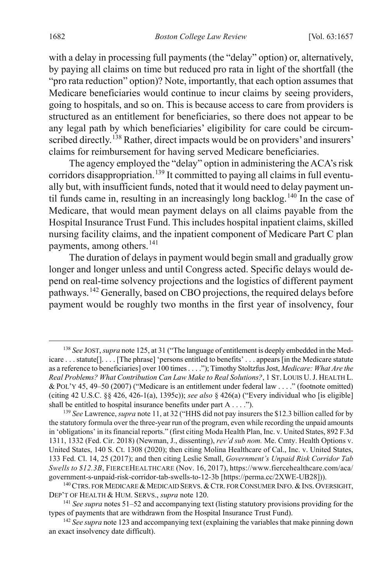with a delay in processing full payments (the "delay" option) or, alternatively, by paying all claims on time but reduced pro rata in light of the shortfall (the "pro rata reduction" option)? Note, importantly, that each option assumes that Medicare beneficiaries would continue to incur claims by seeing providers, going to hospitals, and so on. This is because access to care from providers is structured as an entitlement for beneficiaries, so there does not appear to be any legal path by which beneficiaries' eligibility for care could be circum-scribed directly.<sup>[138](#page-26-1)</sup> Rather, direct impacts would be on providers' and insurers' claims for reimbursement for having served Medicare beneficiaries.

<span id="page-26-0"></span>The agency employed the "delay" option in administering the ACA's risk corridors disappropriation.<sup>[139](#page-26-2)</sup> It committed to paying all claims in full eventually but, with insufficient funds, noted that it would need to delay payment un-til funds came in, resulting in an increasingly long backlog.<sup>[140](#page-26-3)</sup> In the case of Medicare, that would mean payment delays on all claims payable from the Hospital Insurance Trust Fund. Thisincludes hospital inpatient claims, skilled nursing facility claims, and the inpatient component of Medicare Part C plan payments, among others. [141](#page-26-4)

The duration of delays in payment would begin small and gradually grow longer and longer unless and until Congress acted. Specific delays would depend on real-time solvency projections and the logistics of different payment pathways.<sup>[142](#page-26-5)</sup> Generally, based on CBO projections, the required delays before payment would be roughly two months in the first year of insolvency, four

<span id="page-26-1"></span> <sup>138</sup> *See* JOST, *supra* not[e 125,](#page-24-0) at 31 ("The language of entitlement is deeply embedded in the Medicare . . . statute[]. . . . [The phrase] 'persons entitled to benefits' . . . appears [in the Medicare statute as a reference to beneficiaries] over 100 times . . . ."); Timothy Stoltzfus Jost, *Medicare: What Are the Real Problems? What Contribution Can Law Make to Real Solutions?*, 1 ST. LOUIS U.J. HEALTH L. & POL'Y 45, 49–50 (2007) ("Medicare is an entitlement under federal law . . . ." (footnote omitted) (citing 42 U.S.C. §§ 426, 426-1(a), 1395c)); *see also* § 426(a) ("Every individual who [is eligible] shall be entitled to hospital insurance benefits under part A . . . .").

<span id="page-26-2"></span><sup>139</sup> *See* Lawrence, *supra* not[e 11,](#page-4-7) at 32 ("HHS did not pay insurers the \$12.3 billion called for by the statutory formula over the three-year run of the program, even while recording the unpaid amounts in 'obligations' in its financial reports." (first citing Moda Health Plan, Inc. v. United States, 892 F.3d 1311, 1332 (Fed. Cir. 2018) (Newman, J., dissenting), *rev'd sub nom.* Me. Cmty. Health Options v. United States, 140 S. Ct. 1308 (2020); then citing Molina Healthcare of Cal., Inc. v. United States, 133 Fed. Cl. 14, 25 (2017); and then citing Leslie Small, *Government's Unpaid Risk Corridor Tab Swells to \$12.3B*, FIERCEHEALTHCARE (Nov. 16, 2017), https://www.fiercehealthcare.com/aca/ government-s-unpaid-risk-corridor-tab-swells-to-12-3b [https://perma.cc/2XWE-UB28])).

<span id="page-26-3"></span> $140$  CTRS. FOR MEDICARE & MEDICAID SERVS. & CTR. FOR CONSUMER INFO. & INS. OVERSIGHT, DEP'T OF HEALTH & HUM. SERVS., *supra* not[e 120.](#page-23-5)

<span id="page-26-4"></span><sup>141</sup> *See supra* notes [51–](#page-12-5)[52](#page-12-6) and accompanying text (listing statutory provisions providing for the types of payments that are withdrawn from the Hospital Insurance Trust Fund).

<span id="page-26-5"></span><sup>&</sup>lt;sup>142</sup> See supra not[e 123](#page-23-6) and accompanying text (explaining the variables that make pinning down an exact insolvency date difficult).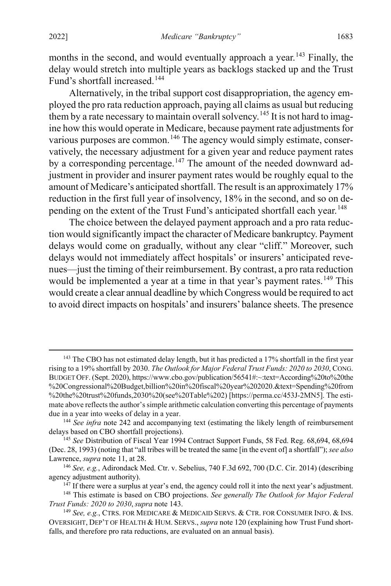<span id="page-27-0"></span>months in the second, and would eventually approach a year.<sup>[143](#page-27-1)</sup> Finally, the delay would stretch into multiple years as backlogs stacked up and the Trust Fund's shortfall increased.<sup>[144](#page-27-2)</sup>

Alternatively, in the tribal support cost disappropriation, the agency employed the pro rata reduction approach, paying all claims as usual but reducing them by a rate necessary to maintain overall solvency.<sup>[145](#page-27-3)</sup> It is not hard to imagine how this would operate in Medicare, because payment rate adjustments for various purposes are common.<sup>[146](#page-27-4)</sup> The agency would simply estimate, conservatively, the necessary adjustment for a given year and reduce payment rates by a corresponding percentage.<sup>[147](#page-27-5)</sup> The amount of the needed downward adjustment in provider and insurer payment rates would be roughly equal to the amount of Medicare's anticipated shortfall. The result is an approximately 17% reduction in the first full year of insolvency, 18% in the second, and so on de-pending on the extent of the Trust Fund's anticipated shortfall each year.<sup>[148](#page-27-6)</sup>

The choice between the delayed payment approach and a pro rata reduction would significantly impact the character of Medicare bankruptcy. Payment delays would come on gradually, without any clear "cliff." Moreover, such delays would not immediately affect hospitals' or insurers' anticipated revenues—just the timing of their reimbursement. By contrast, a pro rata reduction would be implemented a year at a time in that year's payment rates.<sup>[149](#page-27-7)</sup> This would create a clear annual deadline by which Congress would be required to act to avoid direct impacts on hospitals' and insurers' balance sheets. The presence

<span id="page-27-1"></span><sup>&</sup>lt;sup>143</sup> The CBO has not estimated delay length, but it has predicted a 17% shortfall in the first year rising to a 19% shortfall by 2030. *The Outlook for Major Federal Trust Funds: 2020 to 2030*, CONG. BUDGET OFF. (Sept. 2020), https://www.cbo.gov/publication/56541#:~:text=According%20to%20the %20Congressional%20Budget,billion%20in%20fiscal%20year%202020.&text=Spending%20from %20the%20trust%20funds,2030%20(see%20Table%202) [https://perma.cc/453J-2MN5]. The estimate above reflects the author's simple arithmetic calculation converting this percentage of payments due in a year into weeks of delay in a year.

<span id="page-27-2"></span><sup>&</sup>lt;sup>144</sup> See infra not[e 242](#page-46-0) and accompanying text (estimating the likely length of reimbursement delays based on CBO shortfall projections).

<span id="page-27-3"></span><sup>145</sup> *See* Distribution of Fiscal Year 1994 Contract Support Funds, 58 Fed. Reg. 68,694, 68,694 (Dec. 28, 1993) (noting that "all tribes will be treated the same [in the event of] a shortfall"); *see also* Lawrence, *supra* note [11,](#page-4-7) at 28.<br><sup>146</sup> *See, e.g.*, Adirondack Med. Ctr. v. Sebelius, 740 F.3d 692, 700 (D.C. Cir. 2014) (describing

<span id="page-27-4"></span>agency adjustment authority).

<sup>&</sup>lt;sup>147</sup> If there were a surplus at year's end, the agency could roll it into the next year's adjustment.

<span id="page-27-6"></span><span id="page-27-5"></span><sup>148</sup> This estimate is based on CBO projections. *See generally The Outlook for Major Federal Trust Funds: 2020 to 2030*, *supra* not[e 143.](#page-27-0)<br><sup>149</sup> *See, e.g.*, CTRS. FOR MEDICARE & MEDICAID SERVS. & CTR. FOR CONSUMER INFO. & INS.

<span id="page-27-7"></span>OVERSIGHT, DEP'T OF HEALTH & HUM. SERVS., *supra* not[e 120 \(](#page-23-5)explaining how Trust Fund shortfalls, and therefore pro rata reductions, are evaluated on an annual basis).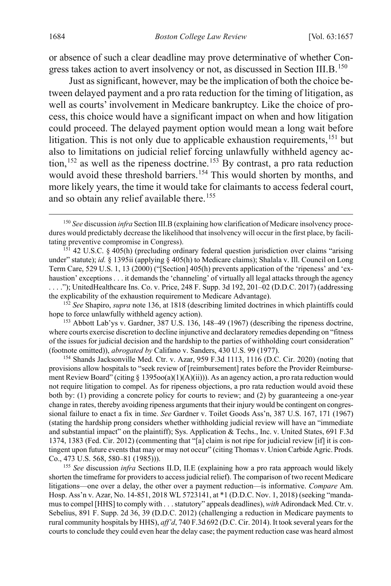or absence of such a clear deadline may prove determinative of whether Con-gress takes action to avert insolvency or not, as discussed in Section III.B.<sup>[150](#page-28-0)</sup>

Just as significant, however, may be the implication of both the choice between delayed payment and a pro rata reduction for the timing of litigation, as well as courts' involvement in Medicare bankruptcy. Like the choice of process, this choice would have a significant impact on when and how litigation could proceed. The delayed payment option would mean a long wait before litigation. This is not only due to applicable exhaustion requirements,  $151$  but also to limitations on judicial relief forcing unlawfully withheld agency ac-tion,<sup>[152](#page-28-2)</sup> as well as the ripeness doctrine.<sup>[153](#page-28-3)</sup> By contrast, a pro rata reduction would avoid these threshold barriers.<sup>[154](#page-28-4)</sup> This would shorten by months, and more likely years, the time it would take for claimants to access federal court, and so obtain any relief available there.<sup>[155](#page-28-5)</sup>

<span id="page-28-2"></span><sup>152</sup> *See* Shapiro, *supra* note [136,](#page-25-9) at 1818 (describing limited doctrines in which plaintiffs could hope to force unlawfully withheld agency action).

<span id="page-28-3"></span><sup>153</sup> Abbott Lab'ys v. Gardner, 387 U.S. 136, 148–49 (1967) (describing the ripeness doctrine, where courts exercise discretion to decline injunctive and declaratory remedies depending on "fitness of the issues for judicial decision and the hardship to the parties of withholding court consideration" (footnote omitted)), *abrogated by* Califano v. Sanders, 430 U.S. 99 (1977).

<span id="page-28-4"></span><sup>154</sup> Shands Jacksonville Med. Ctr. v. Azar, 959 F.3d 1113, 1116 (D.C. Cir. 2020) (noting that provisions allow hospitals to "seek review of [reimbursement] rates before the Provider Reimbursement Review Board" (citing § 1395oo(a)(1)(A)(ii))). As an agency action, a pro rata reduction would not require litigation to compel. As for ripeness objections, a pro rata reduction would avoid these both by: (1) providing a concrete policy for courts to review; and (2) by guaranteeing a one-year change in rates, thereby avoiding ripeness arguments that their injury would be contingent on congressional failure to enact a fix in time. *See* Gardner v. Toilet Goods Ass'n, 387 U.S. 167, 171 (1967) (stating the hardship prong considers whether withholding judicial review will have an "immediate and substantial impact" on the plaintiff); Sys. Application & Techs., Inc. v. United States, 691 F.3d 1374, 1383 (Fed. Cir. 2012) (commenting that "[a] claim is not ripe for judicial review [if] it is contingent upon future events that may or may not occur" (citing Thomas v. Union Carbide Agric. Prods. Co., 473 U.S. 568, 580–81 (1985))).

<span id="page-28-5"></span><sup>155</sup> *See* discussion *infra* Sections II.D, II.E (explaining how a pro rata approach would likely shorten the timeframe for providers to access judicial relief). The comparison of two recent Medicare litigations—one over a delay, the other over a payment reduction—is informative. *Compare* Am. Hosp. Ass'n v. Azar, No. 14-851, 2018 WL 5723141, at \*1 (D.D.C. Nov. 1, 2018) (seeking "mandamus to compel [HHS] to comply with . . .statutory" appeals deadlines), *with* Adirondack Med. Ctr. v. Sebelius, 891 F. Supp. 2d 36, 39 (D.D.C. 2012) (challenging a reduction in Medicare payments to rural community hospitals by HHS), *aff'd*, 740 F.3d 692 (D.C. Cir. 2014). It took several years for the courts to conclude they could even hear the delay case; the payment reduction case was heard almost

<span id="page-28-0"></span> <sup>150</sup> *See* discussion *infra* Section III.B (explaining how clarification of Medicare insolvency procedures would predictably decrease the likelihood that insolvency will occur in the first place, by facilitating preventive compromise in Congress).

<span id="page-28-1"></span><sup>151</sup> 42 U.S.C. § 405(h) (precluding ordinary federal question jurisdiction over claims "arising under" statute); *id.* § 1395ii (applying § 405(h) to Medicare claims); Shalala v. Ill. Council on Long Term Care, 529 U.S. 1, 13 (2000) ("[Section] 405(h) prevents application of the 'ripeness' and 'exhaustion' exceptions . . . it demands the 'channeling' of virtually all legal attacks through the agency . . . ."); UnitedHealthcare Ins. Co. v. Price, 248 F. Supp. 3d 192, 201–02 (D.D.C. 2017) (addressing the explicability of the exhaustion requirement to Medicare Advantage).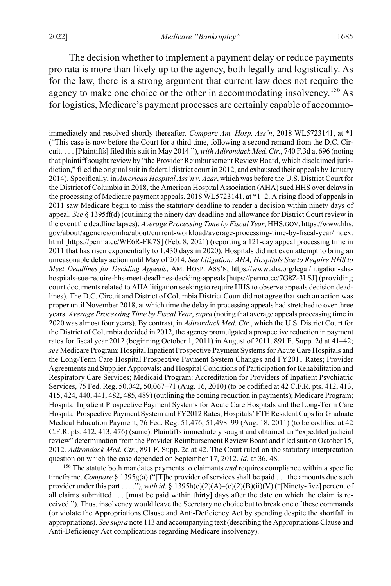The decision whether to implement a payment delay or reduce payments pro rata is more than likely up to the agency, both legally and logistically. As for the law, there is a strong argument that current law does not require the agency to make one choice or the other in accommodating insolvency.<sup>[156](#page-29-0)</sup> As for logistics, Medicare's payment processes are certainly capable of accommo-

<span id="page-29-0"></span><sup>156</sup> The statute both mandates payments to claimants *and* requires compliance within a specific timeframe. *Compare* § 1395g(a) ("[T]he provider of services shall be paid . . . the amounts due such provider under this part . . . ."), *with id.* § 1395h(c)(2)(A)–(c)(2)(B)(ii)(V) ("[Ninety-five] percent of all claims submitted . . . [must be paid within thirty] days after the date on which the claim is received."). Thus, insolvency would leave the Secretary no choice but to break one of these commands (or violate the Appropriations Clause and Anti-Deficiency Act by spending despite the shortfall in appropriations). *See supra* not[e 113](#page-22-8) and accompanying text (describing the Appropriations Clause and Anti-Deficiency Act complications regarding Medicare insolvency).

immediately and resolved shortly thereafter. *Compare Am. Hosp. Ass'n*, 2018 WL5723141, at \*1 ("This case is now before the Court for a third time, following a second remand from the D.C. Circuit. . . . [Plaintiffs] filed this suit in May 2014."), *with Adirondack Med. Ctr.*, 740 F.3d at 696 (noting that plaintiff sought review by "the Provider Reimbursement Review Board, which disclaimed jurisdiction," filed the original suit in federal district court in 2012, and exhausted their appeals by January 2014). Specifically, in *American Hospital Ass'n v. Azar*, which was before the U.S. District Court for the District of Columbia in 2018, the American Hospital Association (AHA) sued HHS over delays in the processing of Medicare payment appeals. 2018 WL5723141, at \*1–2. A rising flood of appeals in 2011 saw Medicare begin to miss the statutory deadline to render a decision within ninety days of appeal. *See* § 1395ff(d) (outlining the ninety day deadline and allowance for District Court review in the event the deadline lapses); *Average Processing Time by Fiscal Year*, HHS.GOV, https://www.hhs. gov/about/agencies/omha/about/current-workload/average-processing-time-by-fiscal-year/index. html [https://perma.cc/WE6R-FK7S] (Feb. 8, 2021) (reporting a 121-day appeal processing time in 2011 that has risen exponentially to 1,430 days in 2020). Hospitals did not even attempt to bring an unreasonable delay action until May of 2014. *See Litigation: AHA, Hospitals Sue to Require HHS to Meet Deadlines for Deciding Appeals*, AM. HOSP. ASS'N, https://www.aha.org/legal/litigation-ahahospitals-sue-require-hhs-meet-deadlines-deciding-appeals[https://perma.cc/7G8Z-3LSJ] (providing court documents related to AHA litigation seeking to require HHS to observe appeals decision deadlines). The D.C. Circuit and District of Columbia District Court did not agree that such an action was proper until November 2018, at which time the delay in processing appeals had stretched to over three years. *Average Processing Time by Fiscal Year*,*supra* (noting that average appeals processing time in 2020 was almost four years). By contrast, in *Adirondack Med. Ctr.*, which the U.S. District Court for the District of Columbia decided in 2012, the agency promulgated a prospective reduction in payment rates for fiscal year 2012 (beginning October 1, 2011) in August of 2011. 891 F. Supp. 2d at 41–42; *see* Medicare Program; Hospital Inpatient Prospective Payment Systems for Acute Care Hospitals and the Long-Term Care Hospital Prospective Payment System Changes and FY2011 Rates; Provider Agreements and Supplier Approvals; and Hospital Conditions of Participation for Rehabilitation and Respiratory Care Services; Medicaid Program: Accreditation for Providers of Inpatient Psychiatric Services, 75 Fed. Reg. 50,042, 50,067–71 (Aug. 16, 2010) (to be codified at 42 C.F.R. pts. 412, 413, 415, 424, 440, 441, 482, 485, 489) (outlining the coming reduction in payments); Medicare Program; Hospital Inpatient Prospective Payment Systems for Acute Care Hospitals and the Long-Term Care Hospital Prospective Payment System and FY2012 Rates; Hospitals' FTE Resident Caps for Graduate Medical Education Payment, 76 Fed. Reg. 51,476, 51,498–99 (Aug. 18, 2011) (to be codified at 42 C.F.R. pts. 412, 413, 476) (same). Plaintiffs immediately sought and obtained an "expedited judicial review" determination from the Provider Reimbursement Review Board and filed suit on October 15, 2012. *Adirondack Med. Ctr.*, 891 F. Supp. 2d at 42. The Court ruled on the statutory interpretation question on which the case depended on September 17, 2012. *Id.* at 36, 48.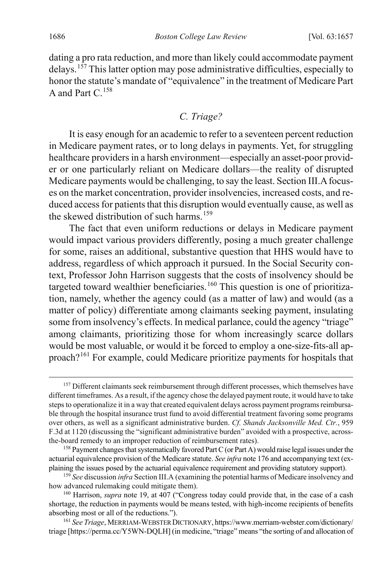<span id="page-30-0"></span>dating a pro rata reduction, and more than likely could accommodate payment delays. [157](#page-30-2) This latter option may pose administrative difficulties, especially to honor the statute's mandate of "equivalence" in the treatment of Medicare Part A and Part  $C<sup>158</sup>$  $C<sup>158</sup>$  $C<sup>158</sup>$ 

## <span id="page-30-1"></span>*C. Triage?*

It is easy enough for an academic to refer to a seventeen percent reduction in Medicare payment rates, or to long delays in payments. Yet, for struggling healthcare providers in a harsh environment—especially an asset-poor provider or one particularly reliant on Medicare dollars—the reality of disrupted Medicare payments would be challenging, to say the least. Section III.A focuses on the market concentration, provider insolvencies, increased costs, and reduced access for patients that this disruption would eventually cause, as well as the skewed distribution of such harms.<sup>[159](#page-30-4)</sup>

The fact that even uniform reductions or delays in Medicare payment would impact various providers differently, posing a much greater challenge for some, raises an additional, substantive question that HHS would have to address, regardless of which approach it pursued. In the Social Security context, Professor John Harrison suggests that the costs of insolvency should be targeted toward wealthier beneficiaries.<sup>[160](#page-30-5)</sup> This question is one of prioritization, namely, whether the agency could (as a matter of law) and would (as a matter of policy) differentiate among claimants seeking payment, insulating some from insolvency's effects. In medical parlance, could the agency "triage" among claimants, prioritizing those for whom increasingly scarce dollars would be most valuable, or would it be forced to employ a one-size-fits-all approach?[161](#page-30-6) For example, could Medicare prioritize payments for hospitals that

<span id="page-30-2"></span><sup>&</sup>lt;sup>157</sup> Different claimants seek reimbursement through different processes, which themselves have different timeframes. As a result, if the agency chose the delayed payment route, it would have to take steps to operationalize it in a way that created equivalent delays across payment programs reimbursable through the hospital insurance trust fund to avoid differential treatment favoring some programs over others, as well as a significant administrative burden. *Cf. Shands Jacksonville Med. Ctr.*, 959 F.3d at 1120 (discussing the "significant administrative burden" avoided with a prospective, acrossthe-board remedy to an improper reduction of reimbursement rates).

<span id="page-30-3"></span><sup>&</sup>lt;sup>158</sup> Payment changes that systematically favored Part C (or Part A) would raise legal issues under the actuarial equivalence provision of the Medicare statute. *See infra* not[e 176](#page-33-1) and accompanying text (explaining the issues posed by the actuarial equivalence requirement and providing statutory support).

<span id="page-30-4"></span><sup>159</sup> *See* discussion *infra* Section III.A (examining the potential harms of Medicare insolvency and how advanced rulemaking could mitigate them).

<span id="page-30-5"></span><sup>&</sup>lt;sup>160</sup> Harrison, *supra* note [19,](#page-6-4) at 407 ("Congress today could provide that, in the case of a cash shortage, the reduction in payments would be means tested, with high-income recipients of benefits absorbing most or all of the reductions.").

<span id="page-30-6"></span><sup>161</sup> *See Triage*, MERRIAM-WEBSTER DICTIONARY, https://www.merriam-webster.com/dictionary/ triage [https://perma.cc/Y5WN-DQLH] (in medicine, "triage" means "the sorting of and allocation of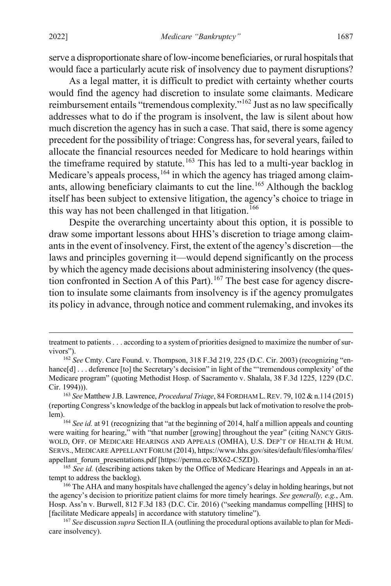serve a disproportionate share of low-income beneficiaries, or rural hospitals that would face a particularly acute risk of insolvency due to payment disruptions?

As a legal matter, it is difficult to predict with certainty whether courts would find the agency had discretion to insulate some claimants. Medicare reimbursement entails "tremendous complexity."[162](#page-31-0) Just as no law specifically addresses what to do if the program is insolvent, the law is silent about how much discretion the agency has in such a case. That said, there is some agency precedent for the possibility of triage: Congress has, for several years, failed to allocate the financial resources needed for Medicare to hold hearings within the timeframe required by statute.<sup>[163](#page-31-1)</sup> This has led to a multi-year backlog in Medicare's appeals process,  $164$  in which the agency has triaged among claim-ants, allowing beneficiary claimants to cut the line.<sup>[165](#page-31-3)</sup> Although the backlog itself has been subject to extensive litigation, the agency's choice to triage in this way has not been challenged in that litigation.<sup>[166](#page-31-4)</sup>

Despite the overarching uncertainty about this option, it is possible to draw some important lessons about HHS's discretion to triage among claimants in the event of insolvency. First, the extent of the agency's discretion—the laws and principles governing it—would depend significantly on the process by which the agency made decisions about administering insolvency (the ques-tion confronted in Section A of this Part).<sup>[167](#page-31-5)</sup> The best case for agency discretion to insulate some claimants from insolvency is if the agency promulgates its policy in advance, through notice and comment rulemaking, and invokes its

treatment to patients . . . according to a system of priorities designed to maximize the number of survivors").

<span id="page-31-0"></span><sup>162</sup> *See* Cmty. Care Found. v. Thompson, 318 F.3d 219, 225 (D.C. Cir. 2003) (recognizing "enhance[d] . . . deference [to] the Secretary's decision" in light of the "'tremendous complexity' of the Medicare program" (quoting Methodist Hosp. of Sacramento v. Shalala, 38 F.3d 1225, 1229 (D.C. Cir. 1994))).

<span id="page-31-1"></span><sup>163</sup> *See* Matthew J.B. Lawrence, *Procedural Triage*, 84 FORDHAM L.REV. 79, 102 & n.114 (2015) (reporting Congress's knowledge of the backlog in appeals but lack of motivation to resolve the problem).<br><sup>164</sup> *See id.* at 91 (recognizing that "at the beginning of 2014, half a million appeals and counting

<span id="page-31-2"></span>were waiting for hearing," with "that number [growing] throughout the year" (citing NANCY GRIS-WOLD, OFF. OF MEDICARE HEARINGS AND APPEALS (OMHA), U.S. DEP'T OF HEALTH & HUM. SERVS., MEDICARE APPELLANT FORUM (2014), https://www.hhs.gov/sites/default/files/omha/files/ appellant\_forum\_presentations.pdf [https://perma.cc/BX62-C5ZD]).

<span id="page-31-3"></span><sup>&</sup>lt;sup>165</sup> See id. (describing actions taken by the Office of Medicare Hearings and Appeals in an attempt to address the backlog).

<span id="page-31-4"></span><sup>&</sup>lt;sup>166</sup> The AHA and many hospitals have challenged the agency's delay in holding hearings, but not the agency's decision to prioritize patient claims for more timely hearings. *See generally, e.g.*, Am. Hosp. Ass'n v. Burwell, 812 F.3d 183 (D.C. Cir. 2016) ("seeking mandamus compelling [HHS] to [facilitate Medicare appeals] in accordance with statutory timeline").

<span id="page-31-5"></span><sup>167</sup> *See* discussion *supra* Section II.A (outlining the procedural options available to plan for Medicare insolvency).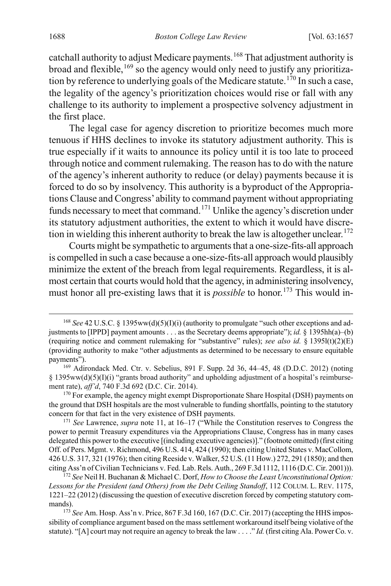catchall authority to adjust Medicare payments. [168](#page-32-0) That adjustment authority is broad and flexible, $169$  so the agency would only need to justify any prioritiza-tion by reference to underlying goals of the Medicare statute.<sup>[170](#page-32-2)</sup> In such a case, the legality of the agency's prioritization choices would rise or fall with any challenge to its authority to implement a prospective solvency adjustment in the first place.

The legal case for agency discretion to prioritize becomes much more tenuous if HHS declines to invoke its statutory adjustment authority. This is true especially if it waits to announce its policy until it is too late to proceed through notice and comment rulemaking. The reason has to do with the nature of the agency's inherent authority to reduce (or delay) payments because it is forced to do so by insolvency. This authority is a byproduct of the Appropriations Clause and Congress' ability to command payment without appropriating funds necessary to meet that command.<sup>[171](#page-32-3)</sup> Unlike the agency's discretion under its statutory adjustment authorities, the extent to which it would have discre-tion in wielding this inherent authority to break the law is altogether unclear.<sup>[172](#page-32-4)</sup>

Courts might be sympathetic to arguments that a one-size-fits-all approach is compelled in such a case because a one-size-fits-all approach would plausibly minimize the extent of the breach from legal requirements. Regardless, it is almost certain that courts would hold that the agency, in administering insolvency, must honor all pre-existing laws that it is *possible* to honor.<sup>[173](#page-32-5)</sup> This would in-

<span id="page-32-0"></span><sup>&</sup>lt;sup>168</sup> See 42 U.S.C. § 1395ww(d)(5)(I)(i) (authority to promulgate "such other exceptions and adjustments to [IPPD] payment amounts . . . as the Secretary deems appropriate"); *id.* § 1395hh(a)–(b) (requiring notice and comment rulemaking for "substantive" rules); *see also id.* § 1395l(t)(2)(E) (providing authority to make "other adjustments as determined to be necessary to ensure equitable payments").

<span id="page-32-1"></span><sup>169</sup> Adirondack Med. Ctr. v. Sebelius, 891 F. Supp. 2d 36, 44–45, 48 (D.D.C. 2012) (noting § 1395ww(d)(5)(I)(i) "grants broad authority" and upholding adjustment of a hospital's reimbursement rate), *aff'd*, 740 F.3d 692 (D.C. Cir. 2014).

<span id="page-32-2"></span><sup>&</sup>lt;sup>170</sup> For example, the agency might exempt Disproportionate Share Hospital (DSH) payments on the ground that DSH hospitals are the most vulnerable to funding shortfalls, pointing to the statutory concern for that fact in the very existence of DSH payments.

<span id="page-32-3"></span><sup>171</sup> *See* Lawrence, *supra* not[e 11,](#page-4-7) at 16–17 ("While the Constitution reserves to Congress the power to permit Treasury expenditures via the Appropriations Clause, Congress has in many cases delegated this power to the executive [(including executive agencies)]." (footnote omitted) (first citing Off. of Pers. Mgmt. v. Richmond, 496 U.S. 414, 424 (1990); then citing United States v. MacCollom, 426 U.S. 317, 321 (1976); then citing Reeside v. Walker, 52 U.S. (11 How.) 272, 291 (1850); and then citing Ass'n of Civilian Technicians v. Fed. Lab. Rels. Auth., 269 F.3d 1112, 1116 (D.C. Cir. 2001))).

<span id="page-32-4"></span><sup>172</sup> *See* Neil H. Buchanan & Michael C. Dorf, *How to Choose the Least Unconstitutional Option: Lessons for the President (and Others) from the Debt Ceiling Standoff*, 112 COLUM. L. REV. 1175, 1221–22 (2012) (discussing the question of executive discretion forced by competing statutory commands).

<span id="page-32-5"></span><sup>&</sup>lt;sup>173</sup> See Am. Hosp. Ass'n v. Price, 867 F.3d 160, 167 (D.C. Cir. 2017) (accepting the HHS impossibility of compliance argument based on the mass settlement workaround itself being violative of the statute). "[A] court may not require an agency to break the law . . . ." *Id.* (first citing Ala. Power Co. v.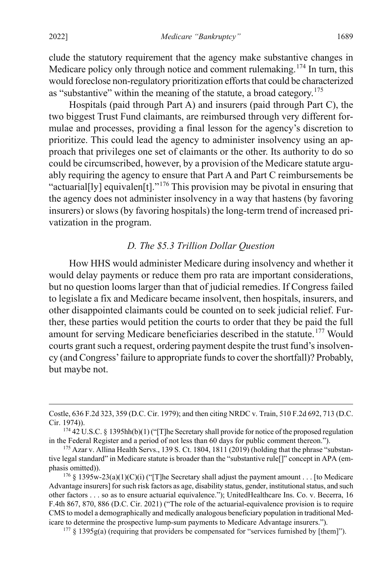clude the statutory requirement that the agency make substantive changes in Medicare policy only through notice and comment rulemaking.<sup>[174](#page-33-2)</sup> In turn, this would foreclose non-regulatory prioritization efforts that could be characterized as "substantive" within the meaning of the statute, a broad category.<sup>[175](#page-33-3)</sup>

Hospitals (paid through Part A) and insurers (paid through Part C), the two biggest Trust Fund claimants, are reimbursed through very different formulae and processes, providing a final lesson for the agency's discretion to prioritize. This could lead the agency to administer insolvency using an approach that privileges one set of claimants or the other. Its authority to do so could be circumscribed, however, by a provision of the Medicare statute arguably requiring the agency to ensure that Part A and Part C reimbursements be "actuarial[ly] equivalen[t]."<sup>[176](#page-33-4)</sup> This provision may be pivotal in ensuring that the agency does not administer insolvency in a way that hastens (by favoring insurers) or slows (by favoring hospitals) the long-term trend of increased privatization in the program.

#### <span id="page-33-1"></span><span id="page-33-0"></span>*D. The \$5.3 Trillion Dollar Question*

How HHS would administer Medicare during insolvency and whether it would delay payments or reduce them pro rata are important considerations, but no question looms larger than that of judicial remedies. If Congress failed to legislate a fix and Medicare became insolvent, then hospitals, insurers, and other disappointed claimants could be counted on to seek judicial relief. Further, these parties would petition the courts to order that they be paid the full amount for serving Medicare beneficiaries described in the statute.<sup>[177](#page-33-5)</sup> Would courts grant such a request, ordering payment despite the trust fund's insolvency (and Congress' failure to appropriate funds to cover the shortfall)? Probably, but maybe not.

<span id="page-33-5"></span><sup>177</sup> § 1395g(a) (requiring that providers be compensated for "services furnished by [them]").

Costle, 636 F.2d 323, 359 (D.C. Cir. 1979); and then citing NRDC v. Train, 510 F.2d 692, 713 (D.C. Cir. 1974)).

<span id="page-33-2"></span><sup>174</sup> 42 U.S.C. § 1395hh(b)(1) ("[T]he Secretary shall provide for notice of the proposed regulation in the Federal Register and a period of not less than 60 days for public comment thereon.").

<span id="page-33-3"></span><sup>&</sup>lt;sup>175</sup> Azar v. Allina Health Servs., 139 S. Ct. 1804, 1811 (2019) (holding that the phrase "substantive legal standard" in Medicare statute is broader than the "substantive rule[]" concept in APA (emphasis omitted)).

<span id="page-33-4"></span><sup>&</sup>lt;sup>176</sup> § 1395w-23(a)(1)(C)(i) ("[T]he Secretary shall adjust the payment amount . . . [to Medicare Advantage insurers] for such risk factors as age, disability status, gender, institutional status, and such other factors . . . so as to ensure actuarial equivalence."); UnitedHealthcare Ins. Co. v. Becerra, 16 F.4th 867, 870, 886 (D.C. Cir. 2021) ("The role of the actuarial-equivalence provision is to require CMS to model a demographically and medically analogous beneficiary population in traditional Medicare to determine the prospective lump-sum payments to Medicare Advantage insurers.").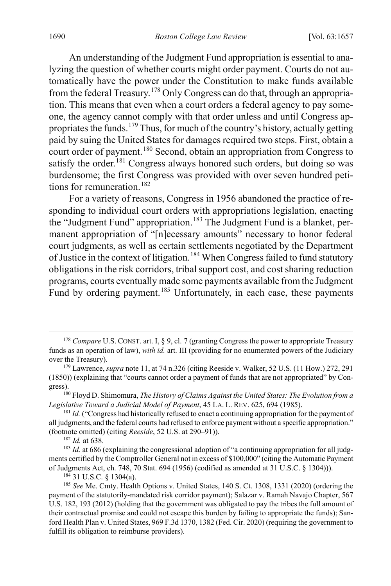An understanding of the Judgment Fund appropriation is essential to analyzing the question of whether courts might order payment. Courts do not automatically have the power under the Constitution to make funds available from the federal Treasury.[178](#page-34-0) Only Congress can do that, through an appropriation. This means that even when a court orders a federal agency to pay someone, the agency cannot comply with that order unless and until Congress appropriates the funds.[179](#page-34-1) Thus, for much of the country's history, actually getting paid by suing the United States for damages required two steps. First, obtain a court order of payment.<sup>[180](#page-34-2)</sup> Second, obtain an appropriation from Congress to satisfy the order.<sup>[181](#page-34-3)</sup> Congress always honored such orders, but doing so was burdensome; the first Congress was provided with over seven hundred petitions for remuneration. [182](#page-34-4)

For a variety of reasons, Congress in 1956 abandoned the practice of responding to individual court orders with appropriations legislation, enacting the "Judgment Fund" appropriation.<sup>[183](#page-34-5)</sup> The Judgment Fund is a blanket, permanent appropriation of "[n]ecessary amounts" necessary to honor federal court judgments, as well as certain settlements negotiated by the Department of Justice in the context of litigation.<sup>[184](#page-34-6)</sup> When Congress failed to fund statutory obligations in the risk corridors, tribal support cost, and cost sharing reduction programs, courts eventually made some payments available from the Judgment Fund by ordering payment.<sup>[185](#page-34-7)</sup> Unfortunately, in each case, these payments

<sup>182</sup> *Id.* at 638.

<sup>184</sup> 31 U.S.C. § 1304(a).

<span id="page-34-0"></span><sup>&</sup>lt;sup>178</sup> *Compare* U.S. CONST. art. I, § 9, cl. 7 (granting Congress the power to appropriate Treasury funds as an operation of law), *with id.* art. III (providing for no enumerated powers of the Judiciary over the Treasury).

<span id="page-34-1"></span><sup>179</sup> Lawrence, *supra* not[e 11,](#page-4-7) at 74 n.326 (citing Reeside v. Walker, 52 U.S. (11 How.) 272, 291 (1850)) (explaining that "courts cannot order a payment of funds that are not appropriated" by Congress).

<span id="page-34-2"></span><sup>180</sup> Floyd D. Shimomura, *The History of Claims Against the United States: The Evolution from a Legislative Toward a Judicial Model of Payment*, 45 LA. L. REV. 625, 694 (1985).

<span id="page-34-3"></span><sup>&</sup>lt;sup>181</sup> *Id.* ("Congress had historically refused to enact a continuing appropriation for the payment of all judgments, and the federal courts had refused to enforce payment without a specific appropriation." (footnote omitted) (citing *Reeside*, 52 U.S. at 290–91)).

<span id="page-34-5"></span><span id="page-34-4"></span><sup>&</sup>lt;sup>183</sup> *Id.* at 686 (explaining the congressional adoption of "a continuing appropriation for all judgments certified by the Comptroller General not in excess of \$100,000" (citing the Automatic Payment of Judgments Act, ch. 748, 70 Stat. 694 (1956) (codified as amended at 31 U.S.C. § 1304))).

<span id="page-34-7"></span><span id="page-34-6"></span><sup>185</sup> *See* Me. Cmty. Health Options v. United States, 140 S. Ct. 1308, 1331 (2020) (ordering the payment of the statutorily-mandated risk corridor payment); Salazar v. Ramah Navajo Chapter, 567 U.S. 182, 193 (2012) (holding that the government was obligated to pay the tribes the full amount of their contractual promise and could not escape this burden by failing to appropriate the funds); Sanford Health Plan v. United States, 969 F.3d 1370, 1382 (Fed. Cir. 2020) (requiring the government to fulfill its obligation to reimburse providers).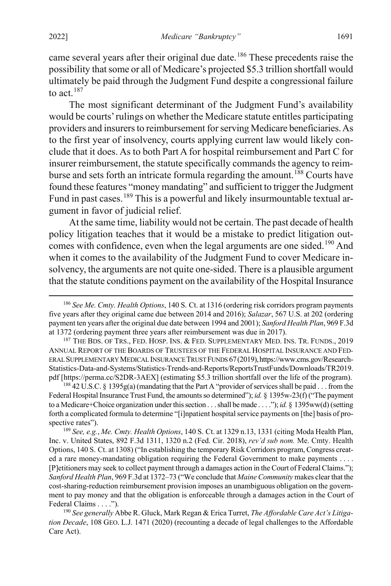came several years after their original due date.<sup>[186](#page-35-0)</sup> These precedents raise the possibility that some or all of Medicare's projected \$5.3 trillion shortfall would ultimately be paid through the Judgment Fund despite a congressional failure to act.  $187$ 

The most significant determinant of the Judgment Fund's availability would be courts' rulings on whether the Medicare statute entitles participating providers and insurers to reimbursement for serving Medicare beneficiaries. As to the first year of insolvency, courts applying current law would likely conclude that it does. As to both Part A for hospital reimbursement and Part C for insurer reimbursement, the statute specifically commands the agency to reim-burse and sets forth an intricate formula regarding the amount. <sup>[188](#page-35-2)</sup> Courts have found these features "money mandating" and sufficient to trigger the Judgment Fund in past cases.<sup>[189](#page-35-3)</sup> This is a powerful and likely insurmountable textual argument in favor of judicial relief.

At the same time, liability would not be certain. The past decade of health policy litigation teaches that it would be a mistake to predict litigation out-comes with confidence, even when the legal arguments are one sided.<sup>[190](#page-35-4)</sup> And when it comes to the availability of the Judgment Fund to cover Medicare insolvency, the arguments are not quite one-sided. There is a plausible argument that the statute conditions payment on the availability of the Hospital Insurance

<span id="page-35-2"></span><sup>188</sup> 42 U.S.C. § 1395g(a) (mandating that the Part A "provider of services shall be paid . . . from the Federal Hospital Insurance Trust Fund, the amounts so determined"); *id.* § 1395w-23(f) ("The payment to a Medicare+Choice organization under this section . . . shall be made . . . ."); *id.* § 1395ww(d) (setting forth a complicated formula to determine "[i]npatient hospital service payments on [the] basis of prospective rates").

<span id="page-35-3"></span><sup>189</sup> *See, e.g.*, *Me. Cmty. Health Options*, 140 S. Ct. at 1329 n.13, 1331 (citing Moda Health Plan, Inc. v. United States, 892 F.3d 1311, 1320 n.2 (Fed. Cir. 2018), *rev'd sub nom.* Me. Cmty. Health Options, 140 S. Ct. at 1308) ("In establishing the temporary Risk Corridors program, Congress created a rare money-mandating obligation requiring the Federal Government to make payments . . . . [P]etitioners may seek to collect payment through a damages action in the Court of Federal Claims."); *Sanford Health Plan*, 969 F.3d at 1372–73 ("We conclude that *Maine Community* makes clear that the cost-sharing-reduction reimbursement provision imposes an unambiguous obligation on the government to pay money and that the obligation is enforceable through a damages action in the Court of Federal Claims . . . .").

<span id="page-35-4"></span><sup>190</sup> *See generally* Abbe R. Gluck, Mark Regan & Erica Turret, *The Affordable Care Act's Litigation Decade*, 108 GEO. L.J. 1471 (2020) (recounting a decade of legal challenges to the Affordable Care Act).

<span id="page-35-0"></span> <sup>186</sup> *See Me. Cmty. Health Options*, 140 S. Ct. at 1316 (ordering risk corridors program payments five years after they original came due between 2014 and 2016); *Salazar*, 567 U.S. at 202 (ordering payment ten years after the original due date between 1994 and 2001); *Sanford Health Plan*, 969 F.3d at 1372 (ordering payment three years after reimbursement was due in 2017).

<span id="page-35-1"></span><sup>&</sup>lt;sup>187</sup> THE BDS. OF TRS., FED. HOSP. INS. & FED. SUPPLEMENTARY MED. INS. TR. FUNDS., 2019 ANNUAL REPORT OF THE BOARDS OF TRUSTEES OF THE FEDERAL HOSPITAL INSURANCE AND FED-ERAL SUPPLEMENTARY MEDICAL INSURANCE TRUST FUNDS 67(2019),https://www.cms.gov/Research-Statistics-Data-and-Systems/Statistics-Trends-and-Reports/ReportsTrustFunds/Downloads/TR2019. pdf [https://perma.cc/S2DR-3AEX] (estimating \$5.3 trillion shortfall over the life of the program).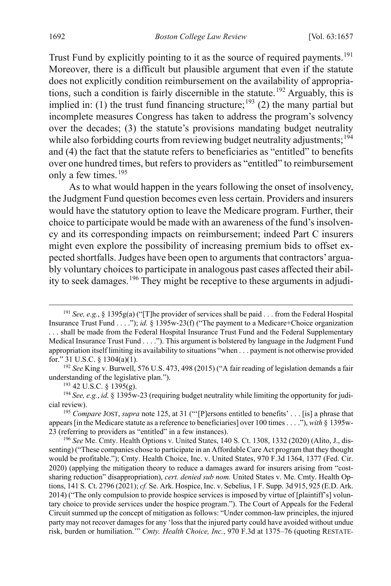Trust Fund by explicitly pointing to it as the source of required payments.<sup>[191](#page-36-0)</sup> Moreover, there is a difficult but plausible argument that even if the statute does not explicitly condition reimbursement on the availability of appropriations, such a condition is fairly discernible in the statute. [192](#page-36-1) Arguably, this is implied in: (1) the trust fund financing structure;<sup>[193](#page-36-2)</sup> (2) the many partial but incomplete measures Congress has taken to address the program's solvency over the decades; (3) the statute's provisions mandating budget neutrality while also forbidding courts from reviewing budget neutrality adjustments;<sup>[194](#page-36-3)</sup> and (4) the fact that the statute refers to beneficiaries as "entitled" to benefits over one hundred times, but refers to providers as "entitled" to reimbursement only a few times. [195](#page-36-4)

As to what would happen in the years following the onset of insolvency, the Judgment Fund question becomes even less certain. Providers and insurers would have the statutory option to leave the Medicare program. Further, their choice to participate would be made with an awareness of the fund's insolvency and its corresponding impacts on reimbursement; indeed Part C insurers might even explore the possibility of increasing premium bids to offset expected shortfalls. Judges have been open to arguments that contractors' arguably voluntary choices to participate in analogous past cases affected their abil-ity to seek damages.<sup>[196](#page-36-5)</sup> They might be receptive to these arguments in adjudi-

<span id="page-36-0"></span> <sup>191</sup> *See, e.g.*, § 1395g(a) ("[T]he provider of services shall be paid . . . from the Federal Hospital Insurance Trust Fund . . . ."); *id.* § 1395w-23(f) ("The payment to a Medicare+Choice organization . . . shall be made from the Federal Hospital Insurance Trust Fund and the Federal Supplementary Medical Insurance Trust Fund . . . ."). This argument is bolstered by language in the Judgment Fund appropriation itself limiting its availability to situations "when . . . payment is not otherwise provided for." 31 U.S.C. § 1304(a)(1).

<span id="page-36-1"></span><sup>192</sup> *See* King v. Burwell, 576 U.S. 473, 498 (2015) ("A fair reading of legislation demands a fair understanding of the legislative plan.").

 $193$  42 U.S.C. § 1395(g).

<span id="page-36-3"></span><span id="page-36-2"></span><sup>194</sup> *See, e.g.*, *id.* § 1395w-23 (requiring budget neutrality while limiting the opportunity for judicial review).

<span id="page-36-4"></span><sup>195</sup> *Compare* JOST, *supra* not[e 125,](#page-24-0) at 31 ("'[P]ersons entitled to benefits' . . . [is] a phrase that appears [in the Medicare statute as a reference to beneficiaries] over 100 times. . . ."), *with* § 1395w-23 (referring to providers as "entitled" in a few instances).

<span id="page-36-5"></span><sup>196</sup> *See* Me. Cmty. Health Options v. United States, 140 S. Ct. 1308, 1332 (2020) (Alito, J., dissenting) ("These companies chose to participate in an Affordable Care Act program that they thought would be profitable."); Cmty. Health Choice, Inc. v. United States, 970 F.3d 1364, 1377 (Fed. Cir. 2020) (applying the mitigation theory to reduce a damages award for insurers arising from "costsharing reduction" disappropriation), *cert. denied sub nom.* United States v. Me. Cmty. Health Options, 141 S. Ct. 2796 (2021); *cf.* Se. Ark. Hospice, Inc. v. Sebelius, 1 F. Supp. 3d 915, 925 (E.D. Ark. 2014) ("The only compulsion to provide hospice services is imposed by virtue of [plaintiff's] voluntary choice to provide services under the hospice program."). The Court of Appeals for the Federal Circuit summed up the concept of mitigation as follows: "Under common-law principles, the injured party may not recover damages for any 'loss that the injured party could have avoided without undue risk, burden or humiliation.'" *Cmty. Health Choice, Inc.*, 970 F.3d at 1375–76 (quoting RESTATE-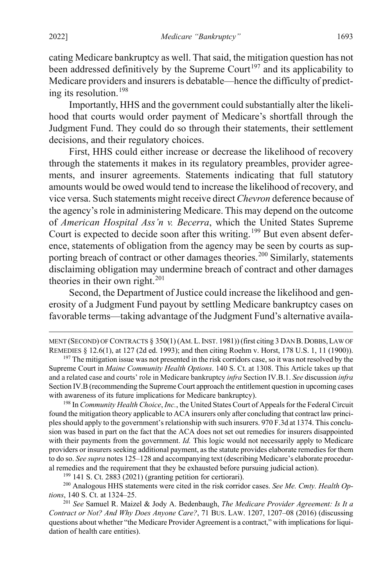cating Medicare bankruptcy as well. That said, the mitigation question has not been addressed definitively by the Supreme Court<sup>[197](#page-37-0)</sup> and its applicability to Medicare providers and insurers is debatable—hence the difficulty of predicting its resolution.[198](#page-37-1)

Importantly, HHS and the government could substantially alter the likelihood that courts would order payment of Medicare's shortfall through the Judgment Fund. They could do so through their statements, their settlement decisions, and their regulatory choices.

First, HHS could either increase or decrease the likelihood of recovery through the statements it makes in its regulatory preambles, provider agreements, and insurer agreements. Statements indicating that full statutory amounts would be owed would tend to increase the likelihood of recovery, and vice versa. Such statements might receive direct *Chevron* deference because of the agency's role in administering Medicare. This may depend on the outcome of *American Hospital Ass'n v. Becerra*, which the United States Supreme Court is expected to decide soon after this writing.<sup>[199](#page-37-2)</sup> But even absent deference, statements of obligation from the agency may be seen by courts as sup-porting breach of contract or other damages theories.<sup>[200](#page-37-3)</sup> Similarly, statements disclaiming obligation may undermine breach of contract and other damages theories in their own right.<sup>[201](#page-37-4)</sup>

Second, the Department of Justice could increase the likelihood and generosity of a Judgment Fund payout by settling Medicare bankruptcy cases on favorable terms—taking advantage of the Judgment Fund's alternative availa-

<span id="page-37-1"></span><sup>198</sup> In *Community Health Choice*, *Inc.*, the United States Court of Appeals for the Federal Circuit found the mitigation theory applicable to ACA insurers only after concluding that contract law principles should apply to the government's relationship with such insurers. 970 F.3d at 1374. This conclusion was based in part on the fact that the ACA does not set out remedies for insurers disappointed with their payments from the government. *Id.* This logic would not necessarily apply to Medicare providers or insurers seeking additional payment, as the statute provides elaborate remedies for them to do so. *See supra* note[s 125](#page-24-0)[–128](#page-24-1) and accompanying text (describing Medicare's elaborate procedural remedies and the requirement that they be exhausted before pursuing judicial action).

<sup>199</sup> 141 S. Ct. 2883 (2021) (granting petition for certiorari).

<span id="page-37-3"></span><span id="page-37-2"></span><sup>200</sup> Analogous HHS statements were cited in the risk corridor cases. *See Me. Cmty. Health Options*, 140 S. Ct. at 1324–25.

MENT (SECOND) OF CONTRACTS § 350(1) (AM.L.INST. 1981)) (first citing 3 DAN B.DOBBS,LAW OF REMEDIES § 12.6(1), at 127 (2d ed. 1993); and then citing Roehm v. Horst, 178 U.S. 1, 11 (1900)).

<span id="page-37-0"></span><sup>&</sup>lt;sup>197</sup> The mitigation issue was not presented in the risk corridors case, so it was not resolved by the Supreme Court in *Maine Community Health Options*. 140 S. Ct. at 1308. This Article takes up that and a related case and courts' role in Medicare bankruptcy *infra* Section IV.B.1. *See* discussion *infra* Section IV.B (recommending the Supreme Court approach the entitlement question in upcoming cases with awareness of its future implications for Medicare bankruptcy).

<span id="page-37-4"></span><sup>201</sup> *See* Samuel R. Maizel & Jody A. Bedenbaugh, *The Medicare Provider Agreement: Is It a Contract or Not? And Why Does Anyone Care?*, 71 BUS. LAW. 1207, 1207–08 (2016) (discussing questions about whether "the Medicare Provider Agreement is a contract," with implications for liquidation of health care entities).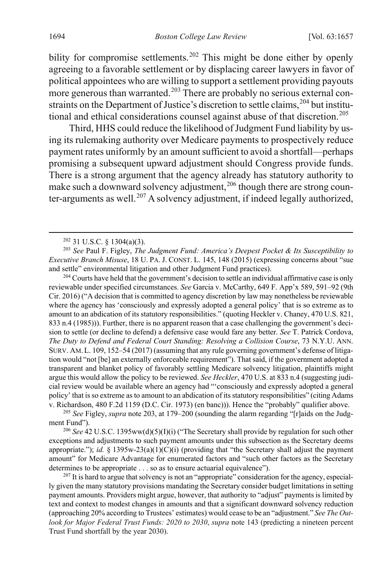<span id="page-38-0"></span>bility for compromise settlements.<sup>[202](#page-38-1)</sup> This might be done either by openly agreeing to a favorable settlement or by displacing career lawyers in favor of political appointees who are willing to support a settlement providing payouts more generous than warranted.<sup>[203](#page-38-2)</sup> There are probably no serious external con-straints on the Department of Justice's discretion to settle claims,<sup>[204](#page-38-3)</sup> but institu-tional and ethical considerations counsel against abuse of that discretion.<sup>[205](#page-38-4)</sup>

Third, HHS could reduce the likelihood of Judgment Fund liability by using its rulemaking authority over Medicare payments to prospectively reduce payment rates uniformly by an amount sufficient to avoid a shortfall—perhaps promising a subsequent upward adjustment should Congress provide funds. There is a strong argument that the agency already has statutory authority to make such a downward solvency adjustment,  $206$  though there are strong coun-ter-arguments as well.<sup>[207](#page-38-6)</sup> A solvency adjustment, if indeed legally authorized,

<span id="page-38-3"></span><sup>204</sup> Courts have held that the government's decision to settle an individual affirmative case is only reviewable under specified circumstances. *See* Garcia v. McCarthy, 649 F. App'x 589, 591–92 (9th Cir. 2016) ("A decision that is committed to agency discretion by law may nonetheless be reviewable where the agency has 'consciously and expressly adopted a general policy' that is so extreme as to amount to an abdication of its statutory responsibilities." (quoting Heckler v. Chaney, 470 U.S. 821, 833 n.4 (1985))). Further, there is no apparent reason that a case challenging the government's decision to settle (or decline to defend) a defensive case would fare any better. *See* T. Patrick Cordova, *The Duty to Defend and Federal Court Standing: Resolving a Collision Course*, 73 N.Y.U. ANN. SURV. AM.L. 109, 152–54 (2017) (assuming that any rule governing government's defense of litigation would "not [be] an externally enforceable requirement"). That said, if the government adopted a transparent and blanket policy of favorably settling Medicare solvency litigation, plaintiffs might argue this would allow the policy to be reviewed. *See Heckler*, 470 U.S. at 833 n.4 (suggesting judicial review would be available where an agency had "'consciously and expressly adopted a general policy' that is so extreme as to amount to an abdication of its statutory responsibilities" (citing Adams v. Richardson, 480 F.2d 1159 (D.C. Cir. 1973) (en banc))). Hence the "probably" qualifier above.

<span id="page-38-4"></span><sup>205</sup> *See* Figley, *supra* not[e 203,](#page-38-0) at 179–200 (sounding the alarm regarding "[r]aids on the Judgment Fund").<br><sup>206</sup> See 42 U.S.C. 1395ww(d)(5)(I)(i) ("The Secretary shall provide by regulation for such other

<span id="page-38-5"></span>exceptions and adjustments to such payment amounts under this subsection as the Secretary deems appropriate."); *id.* § 1395w-23(a)(1)(C)(i) (providing that "the Secretary shall adjust the payment amount" for Medicare Advantage for enumerated factors and "such other factors as the Secretary determines to be appropriate . . . so as to ensure actuarial equivalence").

<span id="page-38-6"></span><sup>207</sup> It is hard to argue that solvency is not an "appropriate" consideration for the agency, especially given the many statutory provisions mandating the Secretary consider budget limitations in setting payment amounts. Providers might argue, however, that authority to "adjust" payments is limited by text and context to modest changes in amounts and that a significant downward solvency reduction (approaching 20% according to Trustees' estimates) would cease to be an "adjustment." *See The Outlook for Major Federal Trust Funds: 2020 to 2030*, *supra* not[e 143](#page-27-0) (predicting a nineteen percent Trust Fund shortfall by the year 2030).

<span id="page-38-8"></span><span id="page-38-7"></span> $202$  31 U.S.C. § 1304(a)(3).

<span id="page-38-2"></span><span id="page-38-1"></span><sup>203</sup> *See* Paul F. Figley, *The Judgment Fund: America's Deepest Pocket & Its Susceptibility to Executive Branch Misuse*, 18 U. PA. J. CONST. L. 145, 148 (2015) (expressing concerns about "sue and settle" environmental litigation and other Judgment Fund practices).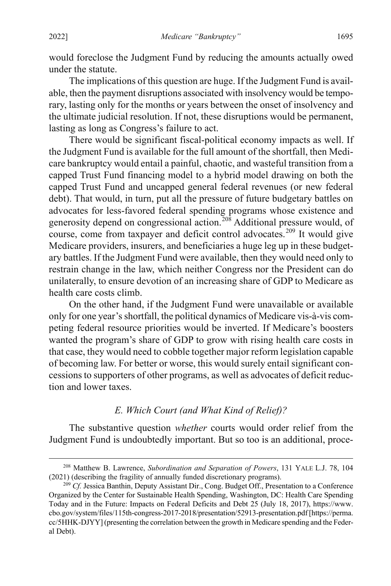would foreclose the Judgment Fund by reducing the amounts actually owed under the statute.

The implications of this question are huge. If the Judgment Fund is available, then the payment disruptions associated with insolvency would be temporary, lasting only for the months or years between the onset of insolvency and the ultimate judicial resolution. If not, these disruptions would be permanent, lasting as long as Congress's failure to act.

There would be significant fiscal-political economy impacts as well. If the Judgment Fund is available for the full amount of the shortfall, then Medicare bankruptcy would entail a painful, chaotic, and wasteful transition from a capped Trust Fund financing model to a hybrid model drawing on both the capped Trust Fund and uncapped general federal revenues (or new federal debt). That would, in turn, put all the pressure of future budgetary battles on advocates for less-favored federal spending programs whose existence and generosity depend on congressional action. [208](#page-39-0) Additional pressure would, of course, come from taxpayer and deficit control advocates.<sup>[209](#page-39-1)</sup> It would give Medicare providers, insurers, and beneficiaries a huge leg up in these budgetary battles. If the Judgment Fund were available, then they would need only to restrain change in the law, which neither Congress nor the President can do unilaterally, to ensure devotion of an increasing share of GDP to Medicare as health care costs climb.

On the other hand, if the Judgment Fund were unavailable or available only for one year's shortfall, the political dynamics of Medicare vis-à-vis competing federal resource priorities would be inverted. If Medicare's boosters wanted the program's share of GDP to grow with rising health care costs in that case, they would need to cobble together major reform legislation capable of becoming law. For better or worse, this would surely entail significant concessions to supporters of other programs, as well as advocates of deficit reduction and lower taxes.

## *E. Which Court (and What Kind of Relief)?*

The substantive question *whether* courts would order relief from the Judgment Fund is undoubtedly important. But so too is an additional, proce-

<span id="page-39-0"></span> <sup>208</sup> Matthew B. Lawrence, *Subordination and Separation of Powers*, 131 YALE L.J. 78, 104 (2021) (describing the fragility of annually funded discretionary programs).

<span id="page-39-1"></span><sup>209</sup> *Cf.* Jessica Banthin, Deputy Assistant Dir., Cong. Budget Off., Presentation to a Conference Organized by the Center for Sustainable Health Spending, Washington, DC: Health Care Spending Today and in the Future: Impacts on Federal Deficits and Debt 25 (July 18, 2017), https://www. cbo.gov/system/files/115th-congress-2017-2018/presentation/52913-presentation.pdf [https://perma. cc/5HHK-DJYY] (presenting the correlation between the growth in Medicare spending and the Federal Debt).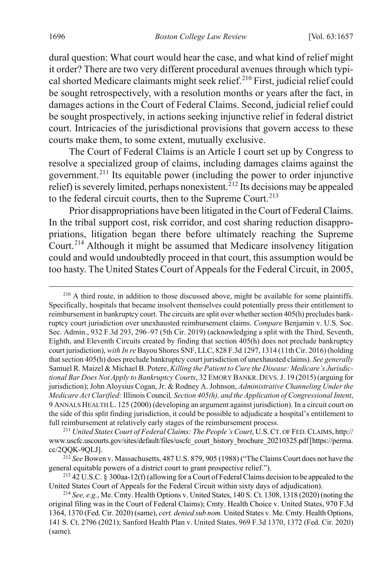dural question: What court would hear the case, and what kind of relief might it order? There are two very different procedural avenues through which typi-cal shorted Medicare claimants might seek relief.<sup>[210](#page-40-0)</sup> First, judicial relief could be sought retrospectively, with a resolution months or years after the fact, in damages actions in the Court of Federal Claims. Second, judicial relief could be sought prospectively, in actions seeking injunctive relief in federal district court. Intricacies of the jurisdictional provisions that govern access to these courts make them, to some extent, mutually exclusive.

<span id="page-40-5"></span>The Court of Federal Claims is an Article I court set up by Congress to resolve a specialized group of claims, including damages claims against the government.[211](#page-40-1) Its equitable power (including the power to order injunctive relief) is severely limited, perhaps nonexistent.<sup>[212](#page-40-2)</sup> Its decisions may be appealed to the federal circuit courts, then to the Supreme Court.<sup>[213](#page-40-3)</sup>

<span id="page-40-6"></span>Prior disappropriations have been litigated in the Court of Federal Claims. In the tribal support cost, risk corridor, and cost sharing reduction disappropriations, litigation began there before ultimately reaching the Supreme Court.[214](#page-40-4) Although it might be assumed that Medicare insolvency litigation could and would undoubtedly proceed in that court, this assumption would be too hasty. The United States Court of Appeals for the Federal Circuit, in 2005,

<span id="page-40-0"></span><sup>&</sup>lt;sup>210</sup> A third route, in addition to those discussed above, might be available for some plaintiffs. Specifically, hospitals that became insolvent themselves could potentially press their entitlement to reimbursement in bankruptcy court. The circuits are split over whether section 405(h) precludes bankruptcy court jurisdiction over unexhausted reimbursement claims. *Compare* Benjamin v. U.S. Soc. Sec. Admin., 932 F.3d 293, 296–97 (5th Cir. 2019) (acknowledging a split with the Third, Seventh, Eighth, and Eleventh Circuits created by finding that section 405(h) does not preclude bankruptcy court jurisdiction), *with In re* Bayou Shores SNF, LLC, 828 F.3d 1297, 1314 (11th Cir. 2016) (holding that section 405(h) does preclude bankruptcy court jurisdiction of unexhausted claims). *See generally*  Samuel R. Maizel & Michael B. Potere, *Killing the Patient to Cure the Disease: Medicare's Jurisdictional Bar Does Not Apply to Bankruptcy Courts*, 32 EMORY BANKR. DEVS.J. 19 (2015) (arguing for jurisdiction); John Aloysius Cogan, Jr. & Rodney A. Johnson, *Administrative Channeling Under the Medicare Act Clarified:* Illinois Council*, Section 405(h), and the Application of Congressional Intent*, 9 ANNALS HEALTH L. 125 (2000) (developing an argument against jurisdiction). In a circuit court on the side of this split finding jurisdiction, it could be possible to adjudicate a hospital's entitlement to full reimbursement at relatively early stages of the reimbursement process.

<span id="page-40-1"></span><sup>211</sup> *United States Court of Federal Claims: The People's Court*, U.S.CT. OF FED.CLAIMS, http:// www.uscfc.uscourts.gov/sites/default/files/uscfc\_court\_history\_brochure\_20210325.pdf [https://perma. cc/2QQK-9QLJ].

<span id="page-40-2"></span><sup>212</sup> *See* Bowen v. Massachusetts, 487 U.S. 879, 905 (1988) ("The Claims Court does not have the general equitable powers of a district court to grant prospective relief.").

<span id="page-40-3"></span><sup>213</sup> 42 U.S.C. § 300aa-12(f) (allowing for a Court of Federal Claims decision to be appealed to the United States Court of Appeals for the Federal Circuit within sixty days of adjudication).

<span id="page-40-4"></span><sup>214</sup> *See, e.g.*, Me. Cmty. Health Options v. United States, 140 S. Ct. 1308, 1318 (2020) (noting the original filing was in the Court of Federal Claims); Cmty. Health Choice v. United States, 970 F.3d 1364, 1370 (Fed. Cir. 2020) (same), *cert. denied sub nom.* United States v. Me. Cmty. Health Options, 141 S. Ct. 2796 (2021); Sanford Health Plan v. United States, 969 F.3d 1370, 1372 (Fed. Cir. 2020) (same).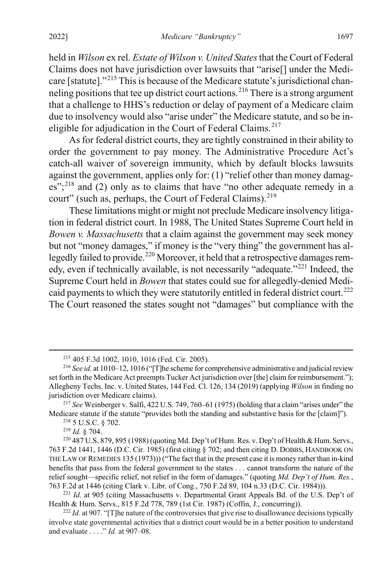held in *Wilson* ex rel. *Estate of Wilson v. United States*that the Court of Federal Claims does not have jurisdiction over lawsuits that "arise[] under the Medicare [statute]."[215](#page-41-0) This is because of the Medicare statute's jurisdictional chan-neling positions that tee up district court actions.<sup>[216](#page-41-1)</sup> There is a strong argument that a challenge to HHS's reduction or delay of payment of a Medicare claim due to insolvency would also "arise under" the Medicare statute, and so be in-eligible for adjudication in the Court of Federal Claims.<sup>[217](#page-41-2)</sup>

As for federal district courts, they are tightly constrained in their ability to order the government to pay money. The Administrative Procedure Act's catch-all waiver of sovereign immunity, which by default blocks lawsuits against the government, applies only for: (1) "relief other than money damag-es";<sup>[218](#page-41-3)</sup> and (2) only as to claims that have "no other adequate remedy in a court" (such as, perhaps, the Court of Federal Claims).<sup>[219](#page-41-4)</sup>

These limitations might or might not preclude Medicare insolvency litigation in federal district court. In 1988, The United States Supreme Court held in *Bowen v. Massachusetts* that a claim against the government may seek money but not "money damages," if money is the "very thing" the government has al-legedly failed to provide.<sup>[220](#page-41-5)</sup> Moreover, it held that a retrospective damages remedy, even if technically available, is not necessarily "adequate."[221](#page-41-6) Indeed, the Supreme Court held in *Bowen* that states could sue for allegedly-denied Medi-caid payments to which they were statutorily entitled in federal district court.<sup>[222](#page-41-7)</sup> The Court reasoned the states sought not "damages" but compliance with the

<sup>218</sup> 5 U.S.C. § 702.

 <sup>215</sup> 405 F.3d 1002, 1010, 1016 (Fed. Cir. 2005).

<span id="page-41-1"></span><span id="page-41-0"></span><sup>216</sup> *See id.* at 1010–12, 1016 ("[T]he scheme for comprehensive administrative and judicial review set forth in the Medicare Act preempts Tucker Act jurisdiction over [the] claim for reimbursement."); Allegheny Techs. Inc. v. United States, 144 Fed. Cl. 126, 134 (2019) (applying *Wilson* in finding no jurisdiction over Medicare claims).

<span id="page-41-3"></span><span id="page-41-2"></span><sup>217</sup> *See* Weinberger v. Salfi, 422 U.S. 749, 760–61 (1975) (holding that a claim "arises under" the Medicare statute if the statute "provides both the standing and substantive basis for the [claim]").

<sup>219</sup> *Id.* § 704.

<span id="page-41-5"></span><span id="page-41-4"></span><sup>&</sup>lt;sup>220</sup> 487 U.S. 879, 895 (1988) (quoting Md. Dep't of Hum. Res. v. Dep't of Health & Hum. Servs., 763 F.2d 1441, 1446 (D.C. Cir. 1985) (first citing § 702; and then citing D. DOBBS, HANDBOOK ON THE LAW OF REMEDIES 135 (1973))) ("The fact that in the present case it is money rather than in-kind benefits that pass from the federal government to the states . . . cannot transform the nature of the relief sought—specific relief, not relief in the form of damages." (quoting *Md. Dep't of Hum. Res.*, 763 F.2d at 1446 (citing Clark v. Libr. of Cong., 750 F.2d 89, 104 n.33 (D.C. Cir. 1984))).

<span id="page-41-6"></span><sup>&</sup>lt;sup>221</sup> *Id.* at 905 (citing Massachusetts v. Departmental Grant Appeals Bd. of the U.S. Dep't of Health & Hum. Servs., 815 F.2d 778, 789 (1st Cir. 1987) (Coffin, J., concurring)).

<span id="page-41-7"></span> $^{222}$  *Id.* at 907. "[T]he nature of the controversies that give rise to disallowance decisions typically involve state governmental activities that a district court would be in a better position to understand and evaluate . . . ." *Id.* at 907–08.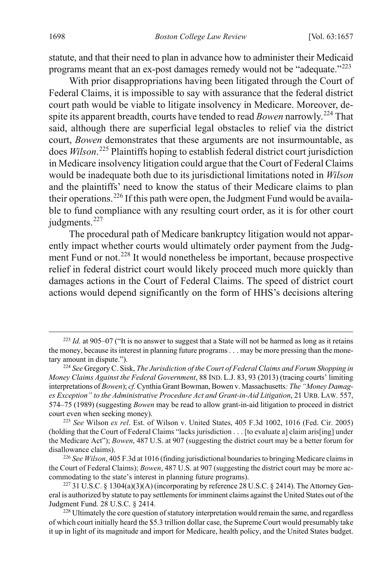statute, and that their need to plan in advance how to administer their Medicaid programs meant that an ex-post damages remedy would not be "adequate."[223](#page-42-0)

With prior disappropriations having been litigated through the Court of Federal Claims, it is impossible to say with assurance that the federal district court path would be viable to litigate insolvency in Medicare. Moreover, despite its apparent breadth, courts have tended to read *Bowen* narrowly.<sup>[224](#page-42-1)</sup> That said, although there are superficial legal obstacles to relief via the district court, *Bowen* demonstrates that these arguments are not insurmountable, as does *Wilson*. [225](#page-42-2) Plaintiffs hoping to establish federal district court jurisdiction in Medicare insolvency litigation could argue that the Court of Federal Claims would be inadequate both due to its jurisdictional limitations noted in *Wilson*  and the plaintiffs' need to know the status of their Medicare claims to plan their operations.<sup>[226](#page-42-3)</sup> If this path were open, the Judgment Fund would be available to fund compliance with any resulting court order, as it is for other court judgments.<sup>[227](#page-42-4)</sup>

The procedural path of Medicare bankruptcy litigation would not apparently impact whether courts would ultimately order payment from the Judg-ment Fund or not.<sup>[228](#page-42-5)</sup> It would nonetheless be important, because prospective relief in federal district court would likely proceed much more quickly than damages actions in the Court of Federal Claims. The speed of district court actions would depend significantly on the form of HHS's decisions altering

<span id="page-42-0"></span> <sup>223</sup> *Id.* at 905–07 ("It is no answer to suggest that a State will not be harmed as long as it retains the money, because its interest in planning future programs . . . may be more pressing than the monetary amount in dispute.").

<span id="page-42-1"></span><sup>224</sup> *See* Gregory C. Sisk, *The Jurisdiction of the Court of Federal Claims and Forum Shopping in Money Claims Against the Federal Government*, 88 IND. L.J. 83, 93 (2013) (tracing courts' limiting interpretations of *Bowen*); *cf.* Cynthia Grant Bowman, Bowen v. Massachusetts*: The "Money Damages Exception" to the Administrative Procedure Act and Grant-in-Aid Litigation*, 21 URB. LAW. 557, 574–75 (1989) (suggesting *Bowen* may be read to allow grant-in-aid litigation to proceed in district court even when seeking money).

<span id="page-42-2"></span><sup>225</sup> *See* Wilson *ex rel*. Est. of Wilson v. United States, 405 F.3d 1002, 1016 (Fed. Cir. 2005) (holding that the Court of Federal Claims "lacks jurisdiction . . . [to evaluate a] claim aris[ing] under the Medicare Act"); *Bowen*, 487 U.S. at 907 (suggesting the district court may be a better forum for disallowance claims).

<span id="page-42-3"></span><sup>226</sup> *See Wilson*, 405 F.3d at 1016 (finding jurisdictional boundaries to bringing Medicare claims in the Court of Federal Claims); *Bowen*, 487 U.S. at 907 (suggesting the district court may be more accommodating to the state's interest in planning future programs).

<span id="page-42-4"></span><sup>227</sup> 31 U.S.C. § 1304(a)(3)(A) (incorporating by reference 28 U.S.C. § 2414). The Attorney General is authorized by statute to pay settlements for imminent claims against the United States out of the Judgment Fund. 28 U.S.C. § 2414.

<span id="page-42-5"></span><sup>&</sup>lt;sup>228</sup> Ultimately the core question of statutory interpretation would remain the same, and regardless of which court initially heard the \$5.3 trillion dollar case, the Supreme Court would presumably take it up in light of its magnitude and import for Medicare, health policy, and the United States budget.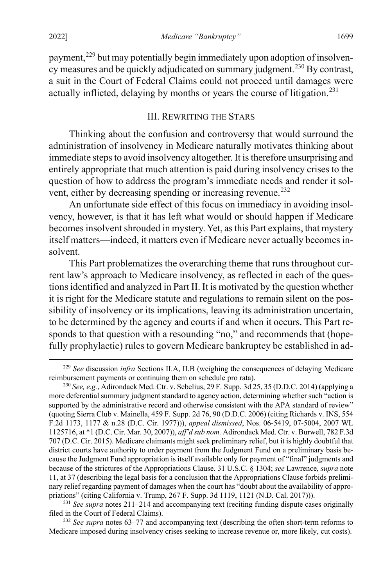payment,<sup>[229](#page-43-0)</sup> but may potentially begin immediately upon adoption of insolven-cy measures and be quickly adjudicated on summary judgment.<sup>[230](#page-43-1)</sup> By contrast, a suit in the Court of Federal Claims could not proceed until damages were actually inflicted, delaying by months or years the course of litigation.<sup>[231](#page-43-2)</sup>

#### III. REWRITING THE STARS

Thinking about the confusion and controversy that would surround the administration of insolvency in Medicare naturally motivates thinking about immediate steps to avoid insolvency altogether. It is therefore unsurprising and entirely appropriate that much attention is paid during insolvency crises to the question of how to address the program's immediate needs and render it sol-vent, either by decreasing spending or increasing revenue.<sup>[232](#page-43-3)</sup>

An unfortunate side effect of this focus on immediacy in avoiding insolvency, however, is that it has left what would or should happen if Medicare becomes insolvent shrouded in mystery. Yet, as this Part explains, that mystery itself matters—indeed, it matters even if Medicare never actually becomes insolvent.

This Part problematizes the overarching theme that runs throughout current law's approach to Medicare insolvency, as reflected in each of the questions identified and analyzed in Part II. It is motivated by the question whether it is right for the Medicare statute and regulations to remain silent on the possibility of insolvency or its implications, leaving its administration uncertain, to be determined by the agency and courts if and when it occurs. This Part responds to that question with a resounding "no," and recommends that (hopefully prophylactic) rules to govern Medicare bankruptcy be established in ad-

<span id="page-43-0"></span> <sup>229</sup> *See* discussion *infra* Sections II.A, II.B (weighing the consequences of delaying Medicare reimbursement payments or continuing them on schedule pro rata).

<span id="page-43-1"></span><sup>230</sup> *See, e.g.*, Adirondack Med. Ctr. v. Sebelius, 29 F. Supp. 3d 25, 35 (D.D.C. 2014) (applying a more deferential summary judgment standard to agency action, determining whether such "action is supported by the administrative record and otherwise consistent with the APA standard of review" (quoting Sierra Club v. Mainella, 459 F. Supp. 2d 76, 90 (D.D.C. 2006) (citing Richards v. INS, 554 F.2d 1173, 1177 & n.28 (D.C. Cir. 1977))), *appeal dismissed*, Nos. 06-5419, 07-5004, 2007 WL 1125716, at \*1 (D.C. Cir. Mar. 30, 2007)), *aff'd sub nom.* Adirondack Med. Ctr. v. Burwell, 782 F.3d 707 (D.C. Cir. 2015). Medicare claimants might seek preliminary relief, but it is highly doubtful that district courts have authority to order payment from the Judgment Fund on a preliminary basis because the Judgment Fund appropriation is itself available only for payment of "final" judgments and because of the strictures of the Appropriations Clause. 31 U.S.C. § 1304; *see* Lawrence, *supra* note [11,](#page-4-0) at 37 (describing the legal basis for a conclusion that the Appropriations Clause forbids preliminary relief regarding payment of damages when the court has "doubt about the availability of appropriations" (citing California v. Trump, 267 F. Supp. 3d 1119, 1121 (N.D. Cal. 2017))).

<span id="page-43-2"></span><sup>231</sup> *See supra* notes [211–](#page-40-5)[214](#page-40-6) and accompanying text (reciting funding dispute cases originally filed in the Court of Federal Claims).

<span id="page-43-3"></span><sup>&</sup>lt;sup>232</sup> See supra notes [63–](#page-14-0)[77](#page-15-0) and accompanying text (describing the often short-term reforms to Medicare imposed during insolvency crises seeking to increase revenue or, more likely, cut costs).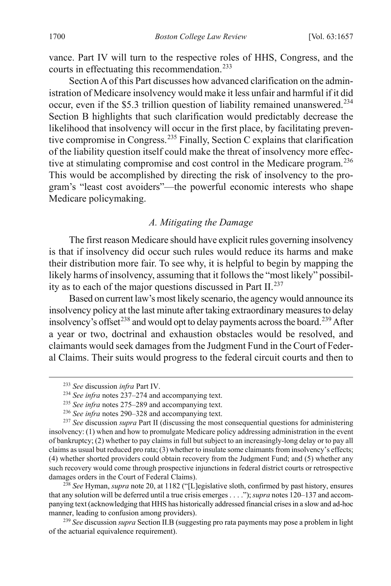vance. Part IV will turn to the respective roles of HHS, Congress, and the courts in effectuating this recommendation.[233](#page-44-1)

Section A of this Part discusses how advanced clarification on the administration of Medicare insolvency would make it less unfair and harmful if it did occur, even if the \$5.3 trillion question of liability remained unanswered.<sup>[234](#page-44-2)</sup> Section B highlights that such clarification would predictably decrease the likelihood that insolvency will occur in the first place, by facilitating preventive compromise in Congress.[235](#page-44-3) Finally, Section C explains that clarification of the liability question itself could make the threat of insolvency more effec-tive at stimulating compromise and cost control in the Medicare program.<sup>[236](#page-44-4)</sup> This would be accomplished by directing the risk of insolvency to the program's "least cost avoiders"—the powerful economic interests who shape Medicare policymaking.

# <span id="page-44-0"></span>*A. Mitigating the Damage*

The first reason Medicare should have explicit rules governing insolvency is that if insolvency did occur such rules would reduce its harms and make their distribution more fair. To see why, it is helpful to begin by mapping the likely harms of insolvency, assuming that it follows the "most likely" possibility as to each of the major questions discussed in Part II. $^{237}$  $^{237}$  $^{237}$ 

Based on current law's most likely scenario, the agency would announce its insolvency policy at the last minute after taking extraordinary measures to delay insolvency's offset<sup>[238](#page-44-6)</sup> and would opt to delay payments across the board.<sup>[239](#page-44-7)</sup> After a year or two, doctrinal and exhaustion obstacles would be resolved, and claimants would seek damages from the Judgment Fund in the Court of Federal Claims. Their suits would progress to the federal circuit courts and then to

<span id="page-44-6"></span><sup>238</sup> See Hyman, *supra* not[e 20,](#page-6-0) at 1182 ("[L]egislative sloth, confirmed by past history, ensures that any solution will be deferred until a true crisis emerges . . . ."); *supra* note[s 120–](#page-23-0)[137](#page-25-0) and accompanying text (acknowledging that HHS has historically addressed financial crises in a slow and ad-hoc manner, leading to confusion among providers).

<span id="page-44-7"></span><sup>239</sup> *See* discussion *supra* Section II.B (suggesting pro rata payments may pose a problem in light of the actuarial equivalence requirement).

 <sup>233</sup> *See* discussion *infra* Part IV.

<sup>234</sup> *See infra* notes [237–](#page-44-0)[274](#page-52-0) and accompanying text.

<sup>235</sup> *See infra* notes [275–](#page-53-0)[289](#page-56-0) and accompanying text.

<sup>236</sup> *See infra* notes [290–](#page-57-0)[328](#page-65-0) and accompanying text.

<span id="page-44-5"></span><span id="page-44-4"></span><span id="page-44-3"></span><span id="page-44-2"></span><span id="page-44-1"></span><sup>237</sup> *See* discussion *supra* Part II (discussing the most consequential questions for administering insolvency: (1) when and how to promulgate Medicare policy addressing administration in the event of bankruptcy; (2) whether to pay claims in full but subject to an increasingly-long delay or to pay all claims as usual but reduced pro rata; (3) whether to insulate some claimants from insolvency's effects; (4) whether shorted providers could obtain recovery from the Judgment Fund; and (5) whether any such recovery would come through prospective injunctions in federal district courts or retrospective damages orders in the Court of Federal Claims).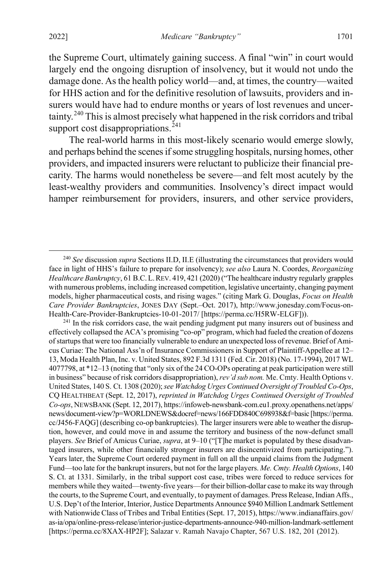the Supreme Court, ultimately gaining success. A final "win" in court would largely end the ongoing disruption of insolvency, but it would not undo the damage done. As the health policy world—and, at times, the country—waited for HHS action and for the definitive resolution of lawsuits, providers and insurers would have had to endure months or years of lost revenues and uncertainty.[240](#page-45-0) This is almost precisely what happened in the risk corridors and tribal support cost disappropriations. $^{241}$  $^{241}$  $^{241}$ 

<span id="page-45-2"></span>The real-world harms in this most-likely scenario would emerge slowly, and perhaps behind the scenes if some struggling hospitals, nursing homes, other providers, and impacted insurers were reluctant to publicize their financial precarity. The harms would nonetheless be severe—and felt most acutely by the least-wealthy providers and communities. Insolvency's direct impact would hamper reimbursement for providers, insurers, and other service providers,

<span id="page-45-1"></span><sup>241</sup> In the risk corridors case, the wait pending judgment put many insurers out of business and effectively collapsed the ACA's promising "co-op" program, which had fueled the creation of dozens of startups that were too financially vulnerable to endure an unexpected loss of revenue. Brief of Amicus Curiae: The National Ass'n of Insurance Commissioners in Support of Plaintiff-Appellee at 12– 13, Moda Health Plan, Inc. v. United States, 892 F.3d 1311 (Fed. Cir. 2018) (No. 17-1994), 2017 WL 4077798, at \*12–13 (noting that "only six of the 24 CO-OPs operating at peak participation were still in business" because of risk corridors disappropriation), *rev'd sub nom.* Me. Cmty. Health Options v. United States, 140 S. Ct. 1308 (2020); *see Watchdog Urges Continued Oversight of Troubled Co-Ops*, CQ HEALTHBEAT (Sept. 12, 2017), *reprinted in Watchdog Urges Continued Oversight of Troubled Co-ops*, NEWSBANK (Sept. 12, 2017), https://infoweb-newsbank-com.eu1.proxy.openathens.net/apps/ news/document-view?p=WORLDNEWS&docref=news/166FDD840C698938&f=basic [https://perma. cc/J456-FAQG] (describing co-op bankruptcies). The larger insurers were able to weather the disruption, however, and could move in and assume the territory and business of the now-defunct small players. *See* Brief of Amicus Curiae, *supra*, at 9–10 ("[T]he market is populated by these disadvantaged insurers, while other financially stronger insurers are disincentivized from participating."). Years later, the Supreme Court ordered payment in full on all the unpaid claims from the Judgment Fund—too late for the bankrupt insurers, but not for the large players. *Me. Cmty. Health Options*, 140 S. Ct. at 1331. Similarly, in the tribal support cost case, tribes were forced to reduce services for members while they waited—twenty-five years—for their billion-dollar case to make its way through the courts, to the Supreme Court, and eventually, to payment of damages. Press Release, Indian Affs., U.S. Dep't of the Interior, Interior, Justice Departments Announce \$940 Million Landmark Settlement with Nationwide Class of Tribes and Tribal Entities (Sept. 17, 2015), https://www.indianaffairs.gov/ as-ia/opa/online-press-release/interior-justice-departments-announce-940-million-landmark-settlement [https://perma.cc/8XAX-HP2F]; Salazar v. Ramah Navajo Chapter, 567 U.S. 182, 201 (2012).

<span id="page-45-0"></span> <sup>240</sup> *See* discussion *supra* Sections II.D, II.E (illustrating the circumstances that providers would face in light of HHS's failure to prepare for insolvency); *see also* Laura N. Coordes, *Reorganizing Healthcare Bankruptcy*, 61 B.C.L.REV. 419, 421 (2020) ("The healthcare industry regularly grapples with numerous problems, including increased competition, legislative uncertainty, changing payment models, higher pharmaceutical costs, and rising wages." (citing Mark G. Douglas, *Focus on Health Care Provider Bankruptcies*, JONES DAY (Sept.–Oct. 2017), http://www.jonesday.com/Focus-on-Health-Care-Provider-Bankruptcies-10-01-2017/ [https://perma.cc/H5RW-ELGF])).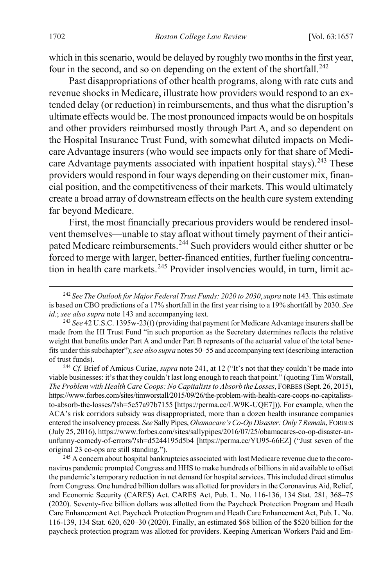which in this scenario, would be delayed by roughly two months in the first year, four in the second, and so on depending on the extent of the shortfall.<sup>[242](#page-46-0)</sup>

Past disappropriations of other health programs, along with rate cuts and revenue shocks in Medicare, illustrate how providers would respond to an extended delay (or reduction) in reimbursements, and thus what the disruption's ultimate effects would be. The most pronounced impacts would be on hospitals and other providers reimbursed mostly through Part A, and so dependent on the Hospital Insurance Trust Fund, with somewhat diluted impacts on Medicare Advantage insurers (who would see impacts only for that share of Medi-care Advantage payments associated with inpatient hospital stays).<sup>[243](#page-46-1)</sup> These providers would respond in four ways depending on their customer mix, financial position, and the competitiveness of their markets. This would ultimately create a broad array of downstream effects on the health care system extending far beyond Medicare.

First, the most financially precarious providers would be rendered insolvent themselves—unable to stay afloat without timely payment of their anticipated Medicare reimbursements.[244](#page-46-2) Such providers would either shutter or be forced to merge with larger, better-financed entities, further fueling concentra-tion in health care markets.<sup>[245](#page-46-3)</sup> Provider insolvencies would, in turn, limit ac-

<span id="page-46-0"></span> <sup>242</sup> *See The Outlook for Major Federal Trust Funds: 2020 to 2030*,*supra* not[e 143.](#page-27-0) This estimate is based on CBO predictions of a 17% shortfall in the first year rising to a 19% shortfall by 2030. *See id.*; *see also supra* not[e 143](#page-27-0) and accompanying text.

<span id="page-46-1"></span><sup>243</sup> *See* 42 U.S.C. 1395w-23(f) (providing that payment for Medicare Advantage insurers shall be made from the HI Trust Fund "in such proportion as the Secretary determines reflects the relative weight that benefits under Part A and under Part B represents of the actuarial value of the total benefits under this subchapter"); *see also supra* note[s 50](#page-12-0)[–55](#page-13-0) and accompanying text (describing interaction of trust funds).

<span id="page-46-2"></span><sup>244</sup> *Cf.* Brief of Amicus Curiae, *supra* not[e 241,](#page-45-2) at 12 ("It's not that they couldn't be made into viable businesses: it's that they couldn't last long enough to reach that point." (quoting Tim Worstall, *The Problem with Health Care Coops: No Capitalists to Absorb the Losses*, FORBES (Sept. 26, 2015), https://www.forbes.com/sites/timworstall/2015/09/26/the-problem-with-health-care-coops-no-capitaliststo-absorb-the-losses/?sh=5e57a97b7155 [https://perma.cc/LW9K-UQE7])). For example, when the ACA's risk corridors subsidy was disappropriated, more than a dozen health insurance companies entered the insolvency process. *See* Sally Pipes, *Obamacare's Co-Op Disaster: Only 7 Remain*, FORBES (July 25, 2016), https://www.forbes.com/sites/sallypipes/2016/07/25/obamacares-co-op-disaster-anunfunny-comedy-of-errors/?sh=d5244195d5b4 [https://perma.cc/YU95-66EZ] ("Just seven of the original 23 co-ops are still standing.").

<span id="page-46-3"></span><sup>&</sup>lt;sup>245</sup> A concern about hospital bankruptcies associated with lost Medicare revenue due to the coronavirus pandemic prompted Congress and HHS to make hundreds of billions in aid available to offset the pandemic's temporary reduction in net demand for hospital services. This included direct stimulus from Congress. One hundred billion dollars was allotted for providers in the Coronavirus Aid, Relief, and Economic Security (CARES) Act. CARES Act, Pub. L. No. 116-136, 134 Stat. 281, 368–75 (2020). Seventy-five billion dollars was allotted from the Paycheck Protection Program and Heath Care Enhancement Act. Paycheck Protection Program and Heath Care Enhancement Act, Pub. L. No. 116-139, 134 Stat. 620, 620–30 (2020). Finally, an estimated \$68 billion of the \$520 billion for the paycheck protection program was allotted for providers. Keeping American Workers Paid and Em-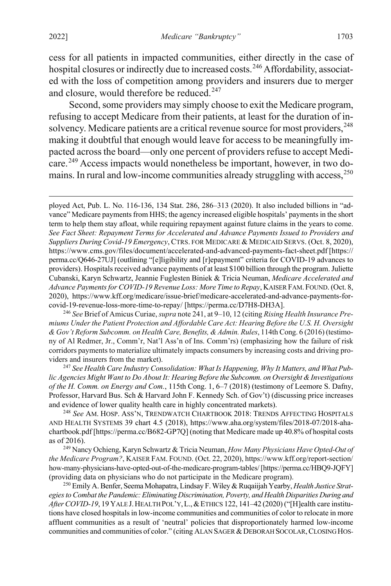cess for all patients in impacted communities, either directly in the case of hospital closures or indirectly due to increased costs.<sup>[246](#page-47-0)</sup> Affordability, associated with the loss of competition among providers and insurers due to merger and closure, would therefore be reduced.<sup>[247](#page-47-1)</sup>

Second, some providers may simply choose to exit the Medicare program, refusing to accept Medicare from their patients, at least for the duration of in-solvency. Medicare patients are a critical revenue source for most providers, <sup>[248](#page-47-2)</sup> making it doubtful that enough would leave for access to be meaningfully impacted across the board—only one percent of providers refuse to accept Medi-care.<sup>[249](#page-47-3)</sup> Access impacts would nonetheless be important, however, in two do-mains. In rural and low-income communities already struggling with access,<sup>[250](#page-47-4)</sup>

<span id="page-47-0"></span><sup>246</sup> *See* Brief of Amicus Curiae, *supra* not[e 241,](#page-45-2) at 9–10, 12 (citing *Rising Health Insurance Premiums Under the Patient Protection and Affordable Care Act: Hearing Before the U.S. H. Oversight & Gov't Reform Subcomm. on Health Care, Benefits, & Admin. Rules*, 114th Cong. 6 (2016) (testimony of Al Redmer, Jr., Comm'r, Nat'l Ass'n of Ins. Comm'rs) (emphasizing how the failure of risk corridors payments to materialize ultimately impacts consumers by increasing costs and driving providers and insurers from the market).

<span id="page-47-1"></span><sup>247</sup> *See Health Care Industry Consolidation: What Is Happening, Why It Matters, and What Public Agencies Might Want to Do About It: Hearing Before the Subcomm. on Oversight & Investigations of the H. Comm. on Energy and Com.*, 115th Cong. 1, 6–7 (2018) (testimony of Leemore S. Dafny, Professor, Harvard Bus. Sch & Harvard John F. Kennedy Sch. of Gov't) (discussing price increases and evidence of lower quality health care in highly concentrated markets).

<span id="page-47-2"></span><sup>248</sup> *See* AM. HOSP. ASS'N, TRENDWATCH CHARTBOOK 2018: TRENDS AFFECTING HOSPITALS AND HEALTH SYSTEMS 39 chart 4.5 (2018), https://www.aha.org/system/files/2018-07/2018-ahachartbook.pdf [https://perma.cc/B682-GP7Q] (noting that Medicare made up 40.8% of hospital costs as of 2016).

<span id="page-47-3"></span><sup>249</sup> Nancy Ochieng, Karyn Schwartz & Tricia Neuman, *How Many Physicians Have Opted-Out of the Medicare Program?*, KAISER FAM. FOUND. (Oct. 22, 2020), https://www.kff.org/report-section/ how-many-physicians-have-opted-out-of-the-medicare-program-tables/ [https://perma.cc/HBQ9-JQFY] (providing data on physicians who do not participate in the Medicare program).

<span id="page-47-4"></span><sup>250</sup> Emily A. Benfer, Seema Mohapatra, Lindsay F. Wiley & Ruqaiijah Yearby, *Health Justice Strategies to Combat the Pandemic: Eliminating Discrimination, Poverty, and Health Disparities During and*  After COVID-19, 19 YALE J. HEALTH POL'Y, L., & ETHICS 122, 141-42 (2020) ("[H]ealth care institutions have closed hospitals in low-income communities and communities of color to relocate in more affluent communities as a result of 'neutral' policies that disproportionately harmed low-income communities and communities of color." (citing ALAN SAGER & DEBORAH SOCOLAR, CLOSING HOS-

<span id="page-47-5"></span>ployed Act, Pub. L. No. 116-136, 134 Stat. 286, 286–313 (2020). It also included billions in "advance" Medicare payments from HHS; the agency increased eligible hospitals' payments in the short term to help them stay afloat, while requiring repayment against future claims in the years to come. *See Fact Sheet: Repayment Terms for Accelerated and Advance Payments Issued to Providers and Suppliers During Covid-19 Emergency*, CTRS. FOR MEDICARE & MEDICAID SERVS. (Oct. 8, 2020), https://www.cms.gov/files/document/accelerated-and-advanced-payments-fact-sheet.pdf [https:// perma.cc/Q646-27UJ] (outlining "[e]ligibility and [r]epayment" criteria for COVID-19 advances to providers). Hospitals received advance payments of at least \$100 billion through the program. Juliette Cubanski, Karyn Schwartz, Jeannie Fuglesten Biniek & Tricia Neuman, *Medicare Accelerated and Advance Payments for COVID-19 Revenue Loss: More Time to Repay*, KAISER FAM. FOUND. (Oct. 8, 2020), https://www.kff.org/medicare/issue-brief/medicare-accelerated-and-advance-payments-forcovid-19-revenue-loss-more-time-to-repay/ [https://perma.cc/D7H8-DH3A].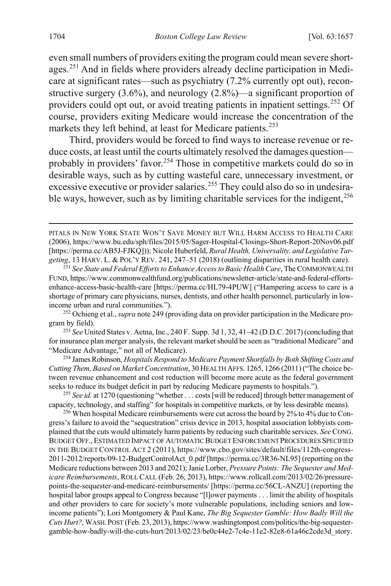even small numbers of providers exiting the program could mean severe shortages.[251](#page-48-0) And in fields where providers already decline participation in Medicare at significant rates—such as psychiatry (7.2% currently opt out), reconstructive surgery  $(3.6\%)$ , and neurology  $(2.8\%)$ —a significant proportion of providers could opt out, or avoid treating patients in inpatient settings.<sup>[252](#page-48-1)</sup> Of course, providers exiting Medicare would increase the concentration of the markets they left behind, at least for Medicare patients.<sup>[253](#page-48-2)</sup>

<span id="page-48-7"></span>Third, providers would be forced to find ways to increase revenue or reduce costs, at least until the courts ultimately resolved the damages question— probably in providers' favor.<sup>[254](#page-48-3)</sup> Those in competitive markets could do so in desirable ways, such as by cutting wasteful care, unnecessary investment, or excessive executive or provider salaries.<sup>[255](#page-48-4)</sup> They could also do so in undesirable ways, however, such as by limiting charitable services for the indigent,  $256$ 

<span id="page-48-3"></span><sup>254</sup> James Robinson, *Hospitals Respond to Medicare Payment Shortfalls by Both Shifting Costs and Cutting Them, Based on Market Concentration*, 30 HEALTH AFFS. 1265, 1266 (2011) ("The choice between revenue enhancement and cost reduction will become more acute as the federal government seeks to reduce its budget deficit in part by reducing Medicare payments to hospitals.").

<span id="page-48-4"></span><sup>255</sup> *See id.* at 1270 (questioning "whether . . . costs [will be reduced] through better management of capacity, technology, and staffing" for hospitals in competitive markets, or by less desirable means).

<span id="page-48-5"></span><sup>256</sup> When hospital Medicare reimbursements were cut across the board by 2% to 4% due to Congress's failure to avoid the "sequestration" crisis device in 2013, hospital association lobbyists complained that the cuts would ultimately harm patients by reducing such charitable services. *See* CONG. BUDGET OFF., ESTIMATED IMPACT OF AUTOMATIC BUDGET ENFORCEMENT PROCEDURES SPECIFIED IN THE BUDGET CONTROL ACT 2 (2011), https://www.cbo.gov/sites/default/files/112th-congress-2011-2012/reports/09-12-BudgetControlAct\_0.pdf [https://perma.cc/3R36-NL95] (reporting on the Medicare reductions between 2013 and 2021); Janie Lorber, *Pressure Points: The Sequester and Medicare Reimbursements*, ROLL CALL (Feb. 26, 2013), https://www.rollcall.com/2013/02/26/pressurepoints-the-sequester-and-medicare-reimbursements/ [https://perma.cc/56CL-ANZU] (reporting the hospital labor groups appeal to Congress because "[l]ower payments . . . limit the ability of hospitals and other providers to care for society's more vulnerable populations, including seniors and lowincome patients"); Lori Montgomery & Paul Kane, *The Big Sequester Gamble: How Badly Will the Cuts Hurt?*, WASH.POST (Feb. 23, 2013), https://www.washingtonpost.com/politics/the-big-sequestergamble-how-badly-will-the-cuts-hurt/2013/02/23/be0c44e2-7c4e-11e2-82e8-61a46c2cde3d\_story.

<span id="page-48-6"></span>PITALS IN NEW YORK STATE WON'T SAVE MONEY BUT WILL HARM ACCESS TO HEALTH CARE (2006), https://www.bu.edu/sph/files/2015/05/Sager-Hospital-Closings-Short-Report-20Nov06.pdf [https://perma.cc/AB5J-FJKQ])); Nicole Huberfeld, *Rural Health, Universality, and Legislative Targeting*, 13 HARV. L. & POL'Y REV. 241, 247–51 (2018) (outlining disparities in rural health care).

<span id="page-48-0"></span><sup>251</sup> *See State and Federal Efforts to Enhance Access to Basic Health Care*, The COMMONWEALTH FUND, https://www.commonwealthfund.org/publications/newsletter-article/state-and-federal-effortsenhance-access-basic-health-care [https://perma.cc/HL79-4PUW] ("Hampering access to care is a shortage of primary care physicians, nurses, dentists, and other health personnel, particularly in lowincome urban and rural communities.").

<span id="page-48-1"></span><sup>252</sup> Ochieng et al., *supra* not[e 249](#page-47-5) (providing data on provider participation in the Medicare program by field).

<span id="page-48-2"></span><sup>253</sup> *See* United States v. Aetna, Inc., 240 F. Supp. 3d 1, 32, 41–42 (D.D.C. 2017) (concluding that for insurance plan merger analysis, the relevant market should be seen as "traditional Medicare" and "Medicare Advantage," not all of Medicare).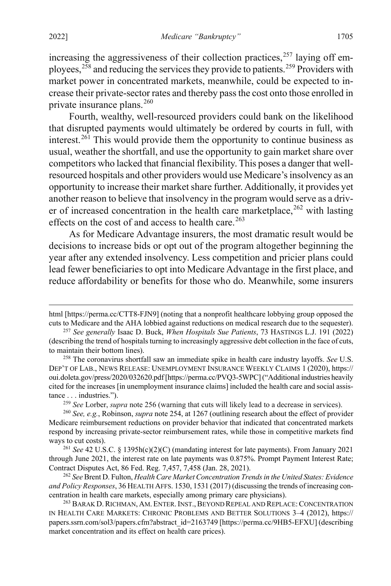<span id="page-49-7"></span>increasing the aggressiveness of their collection practices,<sup>[257](#page-49-0)</sup> laying off employees,  $258$  and reducing the services they provide to patients.<sup>[259](#page-49-2)</sup> Providers with market power in concentrated markets, meanwhile, could be expected to increase their private-sector rates and thereby pass the cost onto those enrolled in private insurance plans. $260$ 

Fourth, wealthy, well-resourced providers could bank on the likelihood that disrupted payments would ultimately be ordered by courts in full, with interest.<sup>[261](#page-49-4)</sup> This would provide them the opportunity to continue business as usual, weather the shortfall, and use the opportunity to gain market share over competitors who lacked that financial flexibility. This poses a danger that wellresourced hospitals and other providers would use Medicare's insolvency as an opportunity to increase their market share further. Additionally, it provides yet another reason to believe that insolvency in the program would serve as a driver of increased concentration in the health care marketplace,  $^{262}$  $^{262}$  $^{262}$  with lasting effects on the cost of and access to health care.<sup>[263](#page-49-6)</sup>

As for Medicare Advantage insurers, the most dramatic result would be decisions to increase bids or opt out of the program altogether beginning the year after any extended insolvency. Less competition and pricier plans could lead fewer beneficiaries to opt into Medicare Advantage in the first place, and reduce affordability or benefits for those who do. Meanwhile, some insurers

<sup>259</sup> *See* Lorber, *supra* note [256](#page-48-6) (warning that cuts will likely lead to a decrease in services).

html [https://perma.cc/CTT8-FJN9] (noting that a nonprofit healthcare lobbying group opposed the cuts to Medicare and the AHA lobbied against reductions on medical research due to the sequester).

<span id="page-49-0"></span><sup>257</sup> *See generally* Isaac D. Buck, *When Hospitals Sue Patients*, 73 HASTINGS L.J. 191 (2022) (describing the trend of hospitals turning to increasingly aggressive debt collection in the face of cuts, to maintain their bottom lines).

<span id="page-49-1"></span><sup>258</sup> The coronavirus shortfall saw an immediate spike in health care industry layoffs. *See* U.S. DEP'T OF LAB., NEWS RELEASE: UNEMPLOYMENT INSURANCE WEEKLY CLAIMS 1 (2020), https:// oui.doleta.gov/press/2020/032620.pdf [https://perma.cc/PVQ3-5WPC] ("Additional industries heavily cited for the increases [in unemployment insurance claims] included the health care and social assistance . . . industries.").

<span id="page-49-3"></span><span id="page-49-2"></span><sup>260</sup> *See, e.g.*, Robinson, *supra* not[e 254,](#page-48-7) at 1267 (outlining research about the effect of provider Medicare reimbursement reductions on provider behavior that indicated that concentrated markets respond by increasing private-sector reimbursement rates, while those in competitive markets find ways to cut costs).

<span id="page-49-4"></span><sup>261</sup> *See* 42 U.S.C. § 1395h(c)(2)(C) (mandating interest for late payments). From January 2021 through June 2021, the interest rate on late payments was 0.875%. Prompt Payment Interest Rate; Contract Disputes Act, 86 Fed. Reg. 7,457, 7,458 (Jan. 28, 2021).

<span id="page-49-5"></span><sup>262</sup> *See* Brent D. Fulton, *Health Care Market Concentration Trends in the United States: Evidence and Policy Responses*, 36 HEALTH AFFS. 1530, 1531 (2017) (discussing the trends of increasing concentration in health care markets, especially among primary care physicians).

<span id="page-49-6"></span><sup>&</sup>lt;sup>263</sup> BARAK D. RICHMAN, AM. ENTER. INST., BEYOND REPEAL AND REPLACE: CONCENTRATION IN HEALTH CARE MARKETS: CHRONIC PROBLEMS AND BETTER SOLUTIONS 3–4 (2012), https:// papers.ssrn.com/sol3/papers.cfm?abstract\_id=2163749 [https://perma.cc/9HB5-EFXU] (describing market concentration and its effect on health care prices).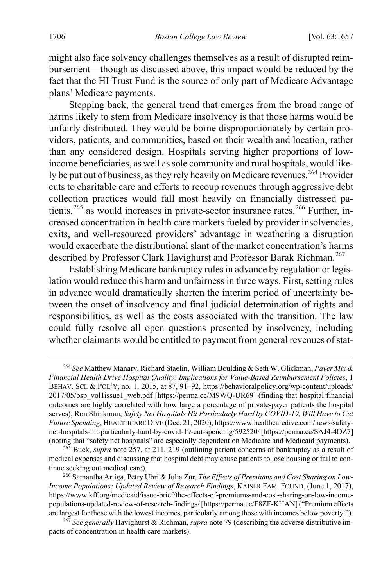might also face solvency challenges themselves as a result of disrupted reimbursement—though as discussed above, this impact would be reduced by the fact that the HI Trust Fund is the source of only part of Medicare Advantage plans' Medicare payments.

<span id="page-50-4"></span>Stepping back, the general trend that emerges from the broad range of harms likely to stem from Medicare insolvency is that those harms would be unfairly distributed. They would be borne disproportionately by certain providers, patients, and communities, based on their wealth and location, rather than any considered design. Hospitals serving higher proportions of lowincome beneficiaries, as well as sole community and rural hospitals, would like-ly be put out of business, as they rely heavily on Medicare revenues.<sup>[264](#page-50-0)</sup> Provider cuts to charitable care and efforts to recoup revenues through aggressive debt collection practices would fall most heavily on financially distressed patients,[265](#page-50-1) as would increases in private-sector insurance rates.[266](#page-50-2) Further, increased concentration in health care markets fueled by provider insolvencies, exits, and well-resourced providers' advantage in weathering a disruption would exacerbate the distributional slant of the market concentration's harms described by Professor Clark Havighurst and Professor Barak Richman.<sup>[267](#page-50-3)</sup>

<span id="page-50-5"></span>Establishing Medicare bankruptcy rules in advance by regulation or legislation would reduce this harm and unfairness in three ways. First, setting rules in advance would dramatically shorten the interim period of uncertainty between the onset of insolvency and final judicial determination of rights and responsibilities, as well as the costs associated with the transition. The law could fully resolve all open questions presented by insolvency, including whether claimants would be entitled to payment from general revenues of stat-

<span id="page-50-0"></span> <sup>264</sup> *See* Matthew Manary, Richard Staelin, William Boulding & Seth W. Glickman, *Payer Mix & Financial Health Drive Hospital Quality: Implications for Value-Based Reimbursement Policies*, 1 BEHAV. SCI. & POL'Y, no. 1, 2015, at 87, 91–92, https://behavioralpolicy.org/wp-content/uploads/ 2017/05/bsp\_vol1issue1\_web.pdf [https://perma.cc/M9WQ-UR69] (finding that hospital financial outcomes are highly correlated with how large a percentage of private-payer patients the hospital serves); Ron Shinkman, *Safety Net Hospitals Hit Particularly Hard by COVID-19, Will Have to Cut Future Spending*, HEALTHCARE DIVE (Dec. 21, 2020), https://www.healthcaredive.com/news/safetynet-hospitals-hit-particularly-hard-by-covid-19-cut-spending/592520/[https://perma.cc/SAJ4-4DZ7] (noting that "safety net hospitals" are especially dependent on Medicare and Medicaid payments).

<span id="page-50-1"></span><sup>265</sup> Buck, *supra* note [257,](#page-49-7) at 211, 219 (outlining patient concerns of bankruptcy as a result of medical expenses and discussing that hospital debt may cause patients to lose housing or fail to continue seeking out medical care).

<span id="page-50-2"></span><sup>266</sup> Samantha Artiga, Petry Ubri & Julia Zur, *The Effects of Premiums and Cost Sharing on Low-Income Populations: Updated Review of Research Findings*, KAISER FAM. FOUND. (June 1, 2017), https://www.kff.org/medicaid/issue-brief/the-effects-of-premiums-and-cost-sharing-on-low-incomepopulations-updated-review-of-research-findings/ [https://perma.cc/F8ZF-KHAN] ("Premium effects are largest for those with the lowest incomes, particularly among those with incomes below poverty.").

<span id="page-50-3"></span><sup>267</sup> *See generally* Havighurst & Richman, *supra* not[e 79](#page-16-0) (describing the adverse distributive impacts of concentration in health care markets).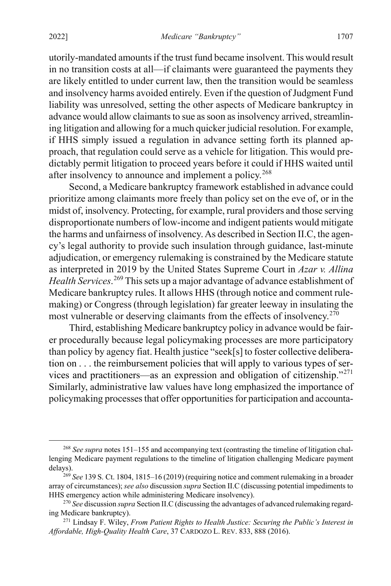utorily-mandated amounts if the trust fund became insolvent. This would result in no transition costs at all—if claimants were guaranteed the payments they are likely entitled to under current law, then the transition would be seamless and insolvency harms avoided entirely. Even if the question of Judgment Fund liability was unresolved, setting the other aspects of Medicare bankruptcy in advance would allow claimants to sue as soon as insolvency arrived, streamlining litigation and allowing for a much quicker judicial resolution. For example, if HHS simply issued a regulation in advance setting forth its planned approach, that regulation could serve as a vehicle for litigation. This would predictably permit litigation to proceed years before it could if HHS waited until after insolvency to announce and implement a policy.<sup>[268](#page-51-0)</sup>

Second, a Medicare bankruptcy framework established in advance could prioritize among claimants more freely than policy set on the eve of, or in the midst of, insolvency. Protecting, for example, rural providers and those serving disproportionate numbers of low-income and indigent patients would mitigate the harms and unfairness of insolvency. As described in Section II.C, the agency's legal authority to provide such insulation through guidance, last-minute adjudication, or emergency rulemaking is constrained by the Medicare statute as interpreted in 2019 by the United States Supreme Court in *Azar v. Allina Health Services*. [269](#page-51-1) This sets up a major advantage of advance establishment of Medicare bankruptcy rules. It allows HHS (through notice and comment rulemaking) or Congress (through legislation) far greater leeway in insulating the most vulnerable or deserving claimants from the effects of insolvency.<sup>[270](#page-51-2)</sup>

Third, establishing Medicare bankruptcy policy in advance would be fairer procedurally because legal policymaking processes are more participatory than policy by agency fiat. Health justice "seek[s] to foster collective deliberation on . . . the reimbursement policies that will apply to various types of services and practitioners—as an expression and obligation of citizenship."[271](#page-51-3) Similarly, administrative law values have long emphasized the importance of policymaking processes that offer opportunities for participation and accounta-

<span id="page-51-0"></span> <sup>268</sup> *See supra* note[s 151–](#page-28-0)[155](#page-28-1) and accompanying text (contrasting the timeline of litigation challenging Medicare payment regulations to the timeline of litigation challenging Medicare payment delays).

<span id="page-51-1"></span><sup>269</sup> *See* 139 S. Ct. 1804, 1815–16 (2019) (requiring notice and comment rulemaking in a broader array of circumstances); *see also* discussion *supra* Section II.C (discussing potential impediments to HHS emergency action while administering Medicare insolvency).

<span id="page-51-2"></span><sup>270</sup> *See* discussion *supra* Section II.C (discussing the advantages of advanced rulemaking regarding Medicare bankruptcy).

<span id="page-51-3"></span><sup>271</sup> Lindsay F. Wiley, *From Patient Rights to Health Justice: Securing the Public's Interest in Affordable, High-Quality Health Care*, 37 CARDOZO L. REV. 833, 888 (2016).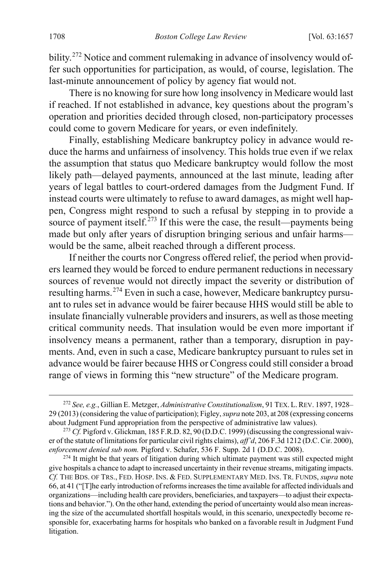bility.<sup>[272](#page-52-1)</sup> Notice and comment rulemaking in advance of insolvency would offer such opportunities for participation, as would, of course, legislation. The last-minute announcement of policy by agency fiat would not.

There is no knowing for sure how long insolvency in Medicare would last if reached. If not established in advance, key questions about the program's operation and priorities decided through closed, non-participatory processes could come to govern Medicare for years, or even indefinitely.

Finally, establishing Medicare bankruptcy policy in advance would reduce the harms and unfairness of insolvency. This holds true even if we relax the assumption that status quo Medicare bankruptcy would follow the most likely path—delayed payments, announced at the last minute, leading after years of legal battles to court-ordered damages from the Judgment Fund. If instead courts were ultimately to refuse to award damages, as might well happen, Congress might respond to such a refusal by stepping in to provide a source of payment itself.<sup>[273](#page-52-2)</sup> If this were the case, the result—payments being made but only after years of disruption bringing serious and unfair harms would be the same, albeit reached through a different process.

<span id="page-52-0"></span>If neither the courts nor Congress offered relief, the period when providers learned they would be forced to endure permanent reductions in necessary sources of revenue would not directly impact the severity or distribution of resulting harms.<sup>[274](#page-52-3)</sup> Even in such a case, however, Medicare bankruptcy pursuant to rules set in advance would be fairer because HHS would still be able to insulate financially vulnerable providers and insurers, as well asthose meeting critical community needs. That insulation would be even more important if insolvency means a permanent, rather than a temporary, disruption in payments. And, even in such a case, Medicare bankruptcy pursuant to rules set in advance would be fairer because HHS or Congress could still consider a broad range of views in forming this "new structure" of the Medicare program.

<span id="page-52-1"></span> <sup>272</sup> *See, e.g.*, Gillian E. Metzger, *Administrative Constitutionalism*, 91 TEX. L.REV. 1897, 1928– 29 (2013) (considering the value of participation); Figley, *supra* not[e 203,](#page-38-0) at 208 (expressing concerns about Judgment Fund appropriation from the perspective of administrative law values).

<span id="page-52-2"></span><sup>&</sup>lt;sup>273</sup> *Cf.* Pigford v. Glickman, 185 F.R.D. 82, 90 (D.D.C. 1999) (discussing the congressional waiver of the statute of limitations for particular civil rights claims), *aff'd*, 206 F.3d 1212 (D.C. Cir. 2000), *enforcement denied sub nom.* Pigford v. Schafer, 536 F. Supp. 2d 1 (D.D.C. 2008).

<span id="page-52-3"></span> $274$  It might be that years of litigation during which ultimate payment was still expected might give hospitals a chance to adapt to increased uncertainty in their revenue streams, mitigating impacts. *Cf.* THE BDS. OF TRS., FED. HOSP. INS. & FED. SUPPLEMENTARY MED. INS. TR. FUNDS, *supra* note [66,](#page-14-1) at 41 ("[T]he early introduction of reforms increases the time available for affected individuals and organizations—including health care providers, beneficiaries, and taxpayers—to adjust their expectations and behavior."). On the other hand, extending the period of uncertainty would also mean increasing the size of the accumulated shortfall hospitals would, in this scenario, unexpectedly become responsible for, exacerbating harms for hospitals who banked on a favorable result in Judgment Fund litigation.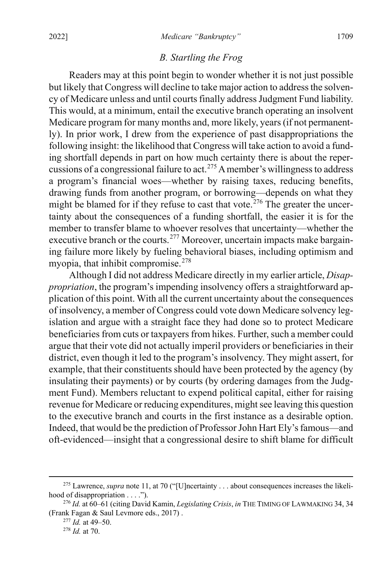# <span id="page-53-5"></span><span id="page-53-0"></span>*B. Startling the Frog*

Readers may at this point begin to wonder whether it is not just possible but likely that Congress will decline to take major action to address the solvency of Medicare unless and until courts finally address Judgment Fund liability. This would, at a minimum, entail the executive branch operating an insolvent Medicare program for many months and, more likely, years (if not permanently). In prior work, I drew from the experience of past disappropriations the following insight: the likelihood that Congress will take action to avoid a funding shortfall depends in part on how much certainty there is about the repercussions of a congressional failure to act.[275](#page-53-1) A member's willingness to address a program's financial woes—whether by raising taxes, reducing benefits, drawing funds from another program, or borrowing—depends on what they might be blamed for if they refuse to cast that vote.<sup>[276](#page-53-2)</sup> The greater the uncertainty about the consequences of a funding shortfall, the easier it is for the member to transfer blame to whoever resolves that uncertainty—whether the executive branch or the courts.<sup>[277](#page-53-3)</sup> Moreover, uncertain impacts make bargaining failure more likely by fueling behavioral biases, including optimism and myopia, that inhibit compromise.<sup>[278](#page-53-4)</sup>

Although I did not address Medicare directly in my earlier article, *Disappropriation*, the program's impending insolvency offers a straightforward application of this point. With all the current uncertainty about the consequences of insolvency, a member of Congress could vote down Medicare solvency legislation and argue with a straight face they had done so to protect Medicare beneficiaries from cuts or taxpayers from hikes. Further, such a member could argue that their vote did not actually imperil providers or beneficiaries in their district, even though it led to the program's insolvency. They might assert, for example, that their constituents should have been protected by the agency (by insulating their payments) or by courts (by ordering damages from the Judgment Fund). Members reluctant to expend political capital, either for raising revenue for Medicare or reducing expenditures, might see leaving this question to the executive branch and courts in the first instance as a desirable option. Indeed, that would be the prediction of Professor John Hart Ely's famous—and oft-evidenced—insight that a congressional desire to shift blame for difficult

<span id="page-53-1"></span><sup>&</sup>lt;sup>275</sup> Lawrence, *supra* note [11,](#page-4-0) at 70 ("[U]ncertainty . . . about consequences increases the likelihood of disappropriation . . . .").

<span id="page-53-4"></span><span id="page-53-3"></span><span id="page-53-2"></span><sup>276</sup> *Id.* at 60–61 (citing David Kamin, *Legislating Crisis*, *in* THE TIMING OF LAWMAKING 34, 34 (Frank Fagan & Saul Levmore eds., 2017) .

<sup>277</sup> *Id.* at 49–50.

<sup>278</sup> *Id.* at 70.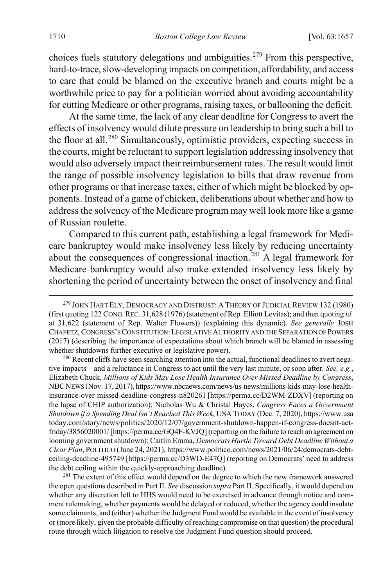choices fuels statutory delegations and ambiguities.<sup>[279](#page-54-0)</sup> From this perspective, hard-to-trace, slow-developing impacts on competition, affordability, and access to care that could be blamed on the executive branch and courts might be a worthwhile price to pay for a politician worried about avoiding accountability for cutting Medicare or other programs, raising taxes, or ballooning the deficit.

At the same time, the lack of any clear deadline for Congress to avert the effects of insolvency would dilute pressure on leadership to bring such a bill to the floor at all.<sup>[280](#page-54-1)</sup> Simultaneously, optimistic providers, expecting success in the courts, might be reluctant to support legislation addressing insolvency that would also adversely impact their reimbursement rates. The result would limit the range of possible insolvency legislation to bills that draw revenue from other programs or that increase taxes, either of which might be blocked by opponents. Instead of a game of chicken, deliberations about whether and how to address the solvency of the Medicare program may well look more like a game of Russian roulette.

Compared to this current path, establishing a legal framework for Medicare bankruptcy would make insolvency less likely by reducing uncertainty about the consequences of congressional inaction.<sup>[281](#page-54-2)</sup> A legal framework for Medicare bankruptcy would also make extended insolvency less likely by shortening the period of uncertainty between the onset of insolvency and final

<span id="page-54-1"></span><sup>280</sup> Recent cliffs have seen searching attention into the actual, functional deadlines to avert negative impacts—and a reluctance in Congress to act until the very last minute, or soon after. *See, e.g.*, Elizabeth Chuck, *Millions of Kids May Lose Health Insurance Over Missed Deadline by Congress*, NBCNEWS (Nov. 17, 2017), https://www.nbcnews.com/news/us-news/millions-kids-may-lose-healthinsurance-over-missed-deadline-congress-n820261 [https://perma.cc/D2WM-ZDXV] (reporting on the lapse of CHIP authorization); Nicholas Wu & Christal Hayes, *Congress Faces a Government Shutdown if a Spending Deal Isn't Reached This Week*, USA TODAY (Dec. 7, 2020), https://www.usa today.com/story/news/politics/2020/12/07/government-shutdown-happen-if-congress-doesnt-actfriday/3856020001/ [https://perma.cc/GQ4F-KVJQ] (reporting on the failure to reach an agreement on looming government shutdown); Caitlin Emma, *Democrats Hurtle Toward Debt Deadline Without a Clear Plan*, POLITICO (June 24, 2021), https://www.politico.com/news/2021/06/24/democrats-debtceiling-deadline-495749 [https://perma.cc/D3WD-E47Q] (reporting on Democrats' need to address the debt ceiling within the quickly-approaching deadline).

<span id="page-54-2"></span><sup>281</sup> The extent of this effect would depend on the degree to which the new framework answered the open questions described in Part II. *See* discussion *supra* Part II. Specifically, it would depend on whether any discretion left to HHS would need to be exercised in advance through notice and comment rulemaking, whether payments would be delayed or reduced, whether the agency could insulate some claimants, and (either) whether the Judgment Fund would be available in the event of insolvency or (more likely, given the probable difficulty of reaching compromise on that question) the procedural route through which litigation to resolve the Judgment Fund question should proceed.

<span id="page-54-0"></span><sup>&</sup>lt;sup>279</sup> JOHN HART ELY, DEMOCRACY AND DISTRUST: A THEORY OF JUDICIAL REVIEW 132 (1980) (first quoting 122 CONG.REC. 31,628 (1976) (statement of Rep. Elliott Levitas); and then quoting *id.* at 31,622 (statement of Rep. Walter Flowers)) (explaining this dynamic). *See generally* JOSH CHAFETZ, CONGRESS'S CONSTITUTION:LEGISLATIVE AUTHORITY AND THE SEPARATION OF POWERS (2017) (describing the importance of expectations about which branch will be blamed in assessing whether shutdowns further executive or legislative power).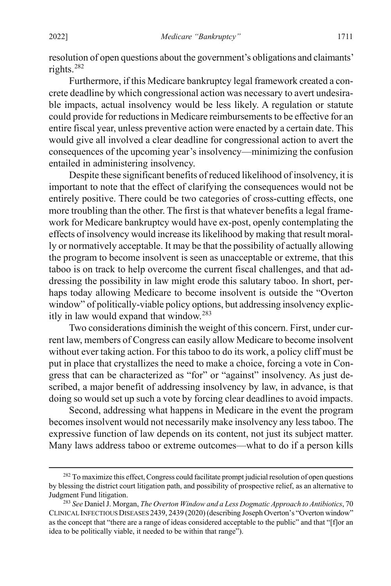resolution of open questions about the government's obligations and claimants' rights.[282](#page-55-0)

Furthermore, if this Medicare bankruptcy legal framework created a concrete deadline by which congressional action was necessary to avert undesirable impacts, actual insolvency would be less likely. A regulation or statute could provide for reductions in Medicare reimbursements to be effective for an entire fiscal year, unless preventive action were enacted by a certain date. This would give all involved a clear deadline for congressional action to avert the consequences of the upcoming year's insolvency—minimizing the confusion entailed in administering insolvency.

Despite these significant benefits of reduced likelihood of insolvency, it is important to note that the effect of clarifying the consequences would not be entirely positive. There could be two categories of cross-cutting effects, one more troubling than the other. The first is that whatever benefits a legal framework for Medicare bankruptcy would have ex-post, openly contemplating the effects of insolvency would increase its likelihood by making that result morally or normatively acceptable. It may be that the possibility of actually allowing the program to become insolvent is seen as unacceptable or extreme, that this taboo is on track to help overcome the current fiscal challenges, and that addressing the possibility in law might erode this salutary taboo. In short, perhaps today allowing Medicare to become insolvent is outside the "Overton window" of politically-viable policy options, but addressing insolvency explicitly in law would expand that window.[283](#page-55-1)

Two considerations diminish the weight of this concern. First, under current law, members of Congress can easily allow Medicare to become insolvent without ever taking action. For this taboo to do its work, a policy cliff must be put in place that crystallizes the need to make a choice, forcing a vote in Congress that can be characterized as "for" or "against" insolvency. As just described, a major benefit of addressing insolvency by law, in advance, is that doing so would set up such a vote by forcing clear deadlines to avoid impacts.

Second, addressing what happens in Medicare in the event the program becomes insolvent would not necessarily make insolvency any less taboo. The expressive function of law depends on its content, not just its subject matter. Many laws address taboo or extreme outcomes—what to do if a person kills

<span id="page-55-0"></span><sup>&</sup>lt;sup>282</sup> To maximize this effect, Congress could facilitate prompt judicial resolution of open questions by blessing the district court litigation path, and possibility of prospective relief, as an alternative to Judgment Fund litigation.

<span id="page-55-1"></span><sup>283</sup> *See* Daniel J. Morgan, *The Overton Window and a Less Dogmatic Approach to Antibiotics*, 70 CLINICAL INFECTIOUS DISEASES 2439, 2439 (2020) (describing Joseph Overton's "Overton window" as the concept that "there are a range of ideas considered acceptable to the public" and that "[f]or an idea to be politically viable, it needed to be within that range").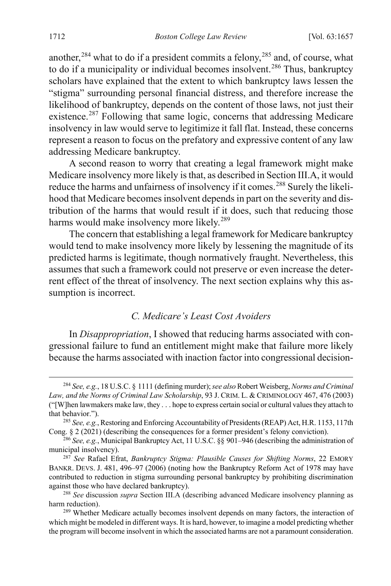another,<sup>[284](#page-56-1)</sup> what to do if a president commits a felony,<sup>[285](#page-56-2)</sup> and, of course, what to do if a municipality or individual becomes insolvent.<sup>[286](#page-56-3)</sup> Thus, bankruptcy scholars have explained that the extent to which bankruptcy laws lessen the "stigma" surrounding personal financial distress, and therefore increase the likelihood of bankruptcy, depends on the content of those laws, not just their existence.<sup>[287](#page-56-4)</sup> Following that same logic, concerns that addressing Medicare insolvency in law would serve to legitimize it fall flat. Instead, these concerns represent a reason to focus on the prefatory and expressive content of any law addressing Medicare bankruptcy.

A second reason to worry that creating a legal framework might make Medicare insolvency more likely is that, as described in Section III.A, it would reduce the harms and unfairness of insolvency if it comes.<sup>[288](#page-56-5)</sup> Surely the likelihood that Medicare becomes insolvent depends in part on the severity and distribution of the harms that would result if it does, such that reducing those harms would make insolvency more likely.<sup>[289](#page-56-6)</sup>

The concern that establishing a legal framework for Medicare bankruptcy would tend to make insolvency more likely by lessening the magnitude of its predicted harms is legitimate, though normatively fraught. Nevertheless, this assumes that such a framework could not preserve or even increase the deterrent effect of the threat of insolvency. The next section explains why this assumption is incorrect.

### <span id="page-56-0"></span>*C. Medicare's Least Cost Avoiders*

In *Disappropriation*, I showed that reducing harms associated with congressional failure to fund an entitlement might make that failure more likely because the harms associated with inaction factor into congressional decision-

<span id="page-56-1"></span> <sup>284</sup> *See, e.g.*, 18 U.S.C. § 1111 (defining murder); *see also* Robert Weisberg, *Norms and Criminal Law, and the Norms of Criminal Law Scholarship*, 93 J. CRIM. L. & CRIMINOLOGY 467, 476 (2003) ("[W]hen lawmakers make law, they . . . hope to express certain social or cultural values they attach to that behavior.").

<span id="page-56-2"></span><sup>285</sup> *See, e.g.*, Restoring and Enforcing Accountability of Presidents (REAP) Act, H.R. 1153, 117th Cong. § 2 (2021) (describing the consequences for a former president's felony conviction).

<span id="page-56-3"></span><sup>286</sup> *See, e.g.*, Municipal Bankruptcy Act, 11 U.S.C. §§ 901–946 (describing the administration of municipal insolvency).

<span id="page-56-4"></span><sup>287</sup> *See* Rafael Efrat, *Bankruptcy Stigma: Plausible Causes for Shifting Norms*, 22 EMORY BANKR. DEVS. J. 481, 496–97 (2006) (noting how the Bankruptcy Reform Act of 1978 may have contributed to reduction in stigma surrounding personal bankruptcy by prohibiting discrimination against those who have declared bankruptcy).

<span id="page-56-5"></span><sup>288</sup> *See* discussion *supra* Section III.A (describing advanced Medicare insolvency planning as harm reduction).

<span id="page-56-6"></span><sup>&</sup>lt;sup>289</sup> Whether Medicare actually becomes insolvent depends on many factors, the interaction of which might be modeled in different ways. It is hard, however, to imagine a model predicting whether the program will become insolvent in which the associated harms are not a paramount consideration.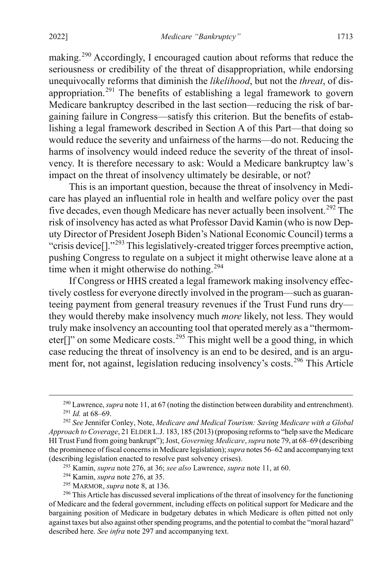<span id="page-57-0"></span>making.<sup>[290](#page-57-1)</sup> Accordingly, I encouraged caution about reforms that reduce the seriousness or credibility of the threat of disappropriation, while endorsing unequivocally reforms that diminish the *likelihood*, but not the *threat*, of dis-appropriation.<sup>[291](#page-57-2)</sup> The benefits of establishing a legal framework to govern Medicare bankruptcy described in the last section—reducing the risk of bargaining failure in Congress—satisfy this criterion. But the benefits of establishing a legal framework described in Section A of this Part—that doing so would reduce the severity and unfairness of the harms—do not. Reducing the harms of insolvency would indeed reduce the severity of the threat of insolvency. It is therefore necessary to ask: Would a Medicare bankruptcy law's impact on the threat of insolvency ultimately be desirable, or not?

This is an important question, because the threat of insolvency in Medicare has played an influential role in health and welfare policy over the past five decades, even though Medicare has never actually been insolvent.<sup>[292](#page-57-3)</sup> The risk of insolvency has acted as what Professor David Kamin (who is now Deputy Director of President Joseph Biden's National Economic Council) terms a "crisis device<sup>[]</sup>."<sup>[293](#page-57-4)</sup> This legislatively-created trigger forces preemptive action, pushing Congress to regulate on a subject it might otherwise leave alone at a time when it might otherwise do nothing.<sup>[294](#page-57-5)</sup>

If Congress or HHS created a legal framework making insolvency effectively costless for everyone directly involved in the program—such as guaranteeing payment from general treasury revenues if the Trust Fund runs dry they would thereby make insolvency much *more* likely, not less. They would truly make insolvency an accounting tool that operated merely as a "thermom-eter<sup>[]"</sup> on some Medicare costs.<sup>[295](#page-57-6)</sup> This might well be a good thing, in which case reducing the threat of insolvency is an end to be desired, and is an argu-ment for, not against, legislation reducing insolvency's costs.<sup>[296](#page-57-7)</sup> This Article

<sup>&</sup>lt;sup>290</sup> Lawrence, *supra* not[e 11,](#page-4-0) at 67 (noting the distinction between durability and entrenchment). <sup>291</sup> *Id.* at 68–69.

<span id="page-57-3"></span><span id="page-57-2"></span><span id="page-57-1"></span><sup>292</sup> *See* Jennifer Conley, Note, *Medicare and Medical Tourism: Saving Medicare with a Global Approach to Coverage*, 21 ELDER L.J. 183, 185 (2013) (proposing reforms to "help save the Medicare HI Trust Fund from going bankrupt"); Jost, *Governing Medicare*, *supra* not[e 79,](#page-16-0) at 68–69 (describing the prominence of fiscal concerns in Medicare legislation); *supra* note[s 56](#page-13-1)[–62](#page-14-2) and accompanying text (describing legislation enacted to resolve past solvency crises).

<sup>293</sup> Kamin, *supra* note [276,](#page-53-5) at 36; *see also* Lawrence, *supra* not[e 11,](#page-4-0) at 60.

<sup>294</sup> Kamin, *supra* note [276,](#page-53-5) at 35.

<sup>295</sup> MARMOR, *supra* note [8,](#page-4-1) at 136.

<span id="page-57-7"></span><span id="page-57-6"></span><span id="page-57-5"></span><span id="page-57-4"></span><sup>&</sup>lt;sup>296</sup> This Article has discussed several implications of the threat of insolvency for the functioning of Medicare and the federal government, including effects on political support for Medicare and the bargaining position of Medicare in budgetary debates in which Medicare is often pitted not only against taxes but also against other spending programs, and the potential to combat the "moral hazard" described here. *See infra* note [297](#page-58-0) and accompanying text.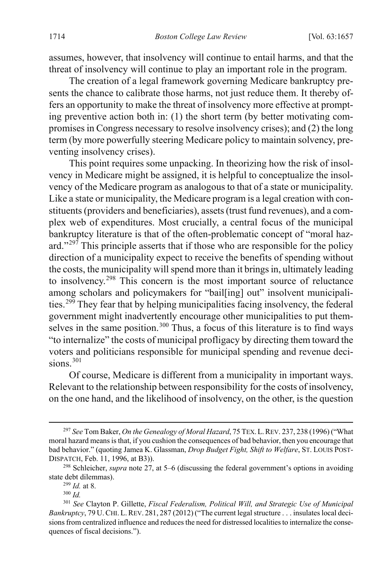assumes, however, that insolvency will continue to entail harms, and that the threat of insolvency will continue to play an important role in the program.

The creation of a legal framework governing Medicare bankruptcy presents the chance to calibrate those harms, not just reduce them. It thereby offers an opportunity to make the threat of insolvency more effective at prompting preventive action both in: (1) the short term (by better motivating compromises in Congress necessary to resolve insolvency crises); and (2) the long term (by more powerfully steering Medicare policy to maintain solvency, preventing insolvency crises).

<span id="page-58-0"></span>This point requires some unpacking. In theorizing how the risk of insolvency in Medicare might be assigned, it is helpful to conceptualize the insolvency of the Medicare program as analogous to that of a state or municipality. Like a state or municipality, the Medicare program is a legal creation with constituents (providers and beneficiaries), assets (trust fund revenues), and a complex web of expenditures. Most crucially, a central focus of the municipal bankruptcy literature is that of the often-problematic concept of "moral haz-ard."<sup>[297](#page-58-1)</sup> This principle asserts that if those who are responsible for the policy direction of a municipality expect to receive the benefits of spending without the costs, the municipality will spend more than it brings in, ultimately leading to insolvency.[298](#page-58-2) This concern is the most important source of reluctance among scholars and policymakers for "bail[ing] out" insolvent municipalities. [299](#page-58-3) They fear that by helping municipalities facing insolvency, the federal government might inadvertently encourage other municipalities to put them-selves in the same position.<sup>[300](#page-58-4)</sup> Thus, a focus of this literature is to find ways "to internalize" the costs of municipal profligacy by directing them toward the voters and politicians responsible for municipal spending and revenue decisions. $301$ 

Of course, Medicare is different from a municipality in important ways. Relevant to the relationship between responsibility for the costs of insolvency, on the one hand, and the likelihood of insolvency, on the other, is the question

<span id="page-58-1"></span> <sup>297</sup> *See* Tom Baker, *On the Genealogy of Moral Hazard*, 75 TEX.L.REV. 237, 238 (1996) ("What moral hazard means is that, if you cushion the consequences of bad behavior, then you encourage that bad behavior." (quoting Jamea K. Glassman, *Drop Budget Fight, Shift to Welfare*, ST. LOUIS POST-DISPATCH, Feb. 11, 1996, at B3)).

<span id="page-58-3"></span><span id="page-58-2"></span><sup>298</sup> Schleicher, *supra* not[e 27,](#page-8-0) at 5–6 (discussing the federal government's options in avoiding state debt dilemmas).

<sup>299</sup> *Id.* at 8.

<sup>300</sup> *Id.*

<span id="page-58-5"></span><span id="page-58-4"></span><sup>301</sup> *See* Clayton P. Gillette, *Fiscal Federalism, Political Will, and Strategic Use of Municipal Bankruptcy*, 79 U.CHI.L.REV. 281, 287 (2012) ("The current legal structure . . . insulates local decisions from centralized influence and reduces the need for distressed localities to internalize the consequences of fiscal decisions.").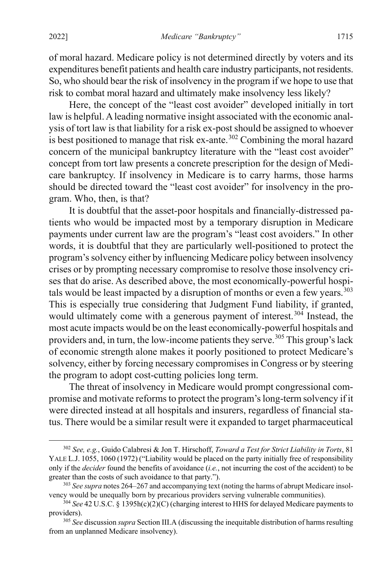of moral hazard. Medicare policy is not determined directly by voters and its expenditures benefit patients and health care industry participants, not residents. So, who should bear the risk of insolvency in the program if we hope to use that risk to combat moral hazard and ultimately make insolvency less likely?

Here, the concept of the "least cost avoider" developed initially in tort law is helpful. A leading normative insight associated with the economic analysis of tort law is that liability for a risk ex-postshould be assigned to whoever is best positioned to manage that risk ex-ante.<sup>[302](#page-59-0)</sup> Combining the moral hazard concern of the municipal bankruptcy literature with the "least cost avoider" concept from tort law presents a concrete prescription for the design of Medicare bankruptcy. If insolvency in Medicare is to carry harms, those harms should be directed toward the "least cost avoider" for insolvency in the program. Who, then, is that?

It is doubtful that the asset-poor hospitals and financially-distressed patients who would be impacted most by a temporary disruption in Medicare payments under current law are the program's "least cost avoiders." In other words, it is doubtful that they are particularly well-positioned to protect the program's solvency either by influencing Medicare policy between insolvency crises or by prompting necessary compromise to resolve those insolvency crises that do arise. As described above, the most economically-powerful hospitals would be least impacted by a disruption of months or even a few years. [303](#page-59-1) This is especially true considering that Judgment Fund liability, if granted, would ultimately come with a generous payment of interest.<sup>[304](#page-59-2)</sup> Instead, the most acute impacts would be on the least economically-powerful hospitals and providers and, in turn, the low-income patients they serve.<sup>[305](#page-59-3)</sup> This group's lack of economic strength alone makes it poorly positioned to protect Medicare's solvency, either by forcing necessary compromises in Congress or by steering the program to adopt cost-cutting policies long term.

<span id="page-59-4"></span>The threat of insolvency in Medicare would prompt congressional compromise and motivate reforms to protect the program'slong-term solvency if it were directed instead at all hospitals and insurers, regardless of financial status. There would be a similar result were it expanded to target pharmaceutical

<span id="page-59-0"></span> <sup>302</sup> *See, e.g.*, Guido Calabresi & Jon T. Hirschoff, *Toward a Test for Strict Liability in Torts*, 81 YALE L.J. 1055, 1060 (1972) ("Liability would be placed on the party initially free of responsibility only if the *decider* found the benefits of avoidance (*i.e.*, not incurring the cost of the accident) to be greater than the costs of such avoidance to that party.").

<span id="page-59-1"></span><sup>&</sup>lt;sup>303</sup> See supra note[s 264](#page-50-4)[–267](#page-50-5) and accompanying text (noting the harms of abrupt Medicare insolvency would be unequally born by precarious providers serving vulnerable communities).

<span id="page-59-2"></span><sup>304</sup> *See* 42 U.S.C. § 1395h(c)(2)(C) (charging interest to HHS for delayed Medicare payments to providers).

<span id="page-59-3"></span><sup>305</sup> *See* discussion *supra* Section III.A (discussing the inequitable distribution of harms resulting from an unplanned Medicare insolvency).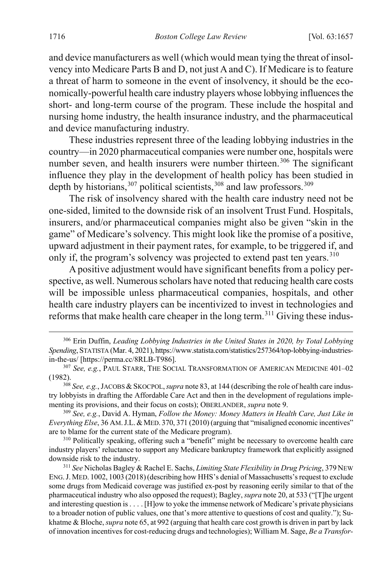and device manufacturers as well (which would mean tying the threat of insolvency into Medicare Parts B and D, not just A and C). If Medicare is to feature a threat of harm to someone in the event of insolvency, it should be the economically-powerful health care industry players whose lobbying influences the short- and long-term course of the program. These include the hospital and nursing home industry, the health insurance industry, and the pharmaceutical and device manufacturing industry.

These industries represent three of the leading lobbying industries in the country—in 2020 pharmaceutical companies were number one, hospitals were number seven, and health insurers were number thirteen.<sup>[306](#page-60-0)</sup> The significant influence they play in the development of health policy has been studied in depth by historians,  $307$  political scientists,  $308$  and law professors.  $309$ 

The risk of insolvency shared with the health care industry need not be one-sided, limited to the downside risk of an insolvent Trust Fund. Hospitals, insurers, and/or pharmaceutical companies might also be given "skin in the game" of Medicare's solvency. This might look like the promise of a positive, upward adjustment in their payment rates, for example, to be triggered if, and only if, the program's solvency was projected to extend past ten years.<sup>[310](#page-60-4)</sup>

A positive adjustment would have significant benefits from a policy perspective, as well. Numerous scholars have noted that reducing health care costs will be impossible unless pharmaceutical companies, hospitals, and other health care industry players can be incentivized to invest in technologies and reforms that make health care cheaper in the long term.[311](#page-60-5) Giving these indus-

<span id="page-60-2"></span><sup>308</sup> See, e.g., JACOBS & SKOCPOL, *supra* not[e 83,](#page-17-0) at 144 (describing the role of health care industry lobbyists in drafting the Affordable Care Act and then in the development of regulations implementing its provisions, and their focus on costs); OBERLANDER, *supra* note [9.](#page-4-2)

<span id="page-60-3"></span><sup>309</sup> *See, e.g.*, David A. Hyman, *Follow the Money: Money Matters in Health Care, Just Like in Everything Else*, 36 AM.J.L.&MED. 370, 371 (2010) (arguing that "misaligned economic incentives" are to blame for the current state of the Medicare program).

<span id="page-60-4"></span><sup>310</sup> Politically speaking, offering such a "benefit" might be necessary to overcome health care industry players' reluctance to support any Medicare bankruptcy framework that explicitly assigned downside risk to the industry.

<span id="page-60-5"></span><sup>311</sup> *See* Nicholas Bagley & Rachel E. Sachs, *Limiting State Flexibility in Drug Pricing*, 379 NEW ENG.J. MED. 1002, 1003 (2018)(describing how HHS's denial of Massachusetts's request to exclude some drugs from Medicaid coverage was justified ex-post by reasoning eerily similar to that of the pharmaceutical industry who also opposed the request); Bagley, *supra* not[e 20,](#page-6-0) at 533 ("[T]he urgent and interesting question is . . . . [H]ow to yoke the immense network of Medicare's private physicians to a broader notion of public values, one that's more attentive to questions of cost and quality."); Sukhatme & Bloche,*supra* not[e 65,](#page-14-3) at 992 (arguing that health care cost growth is driven in part by lack of innovation incentives for cost-reducing drugs and technologies); William M. Sage, *Be a Transfor-*

<span id="page-60-0"></span> <sup>306</sup> Erin Duffin, *Leading Lobbying Industries in the United States in 2020, by Total Lobbying Spending*, STATISTA (Mar. 4, 2021), https://www.statista.com/statistics/257364/top-lobbying-industriesin-the-us/ [https://perma.cc/8RLB-T986].

<span id="page-60-1"></span><sup>307</sup> *See, e.g.*, PAUL STARR, THE SOCIAL TRANSFORMATION OF AMERICAN MEDICINE 401–02 (1982).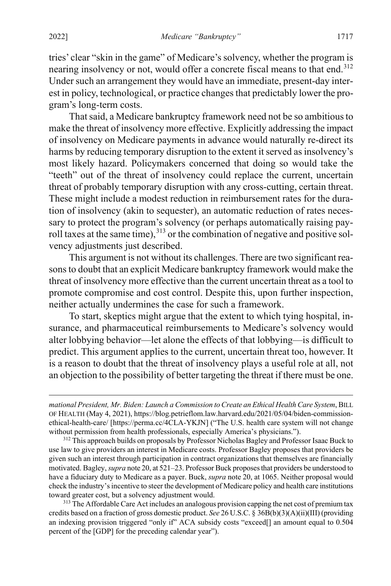tries' clear "skin in the game" of Medicare's solvency, whether the program is nearing insolvency or not, would offer a concrete fiscal means to that end.<sup>[312](#page-61-0)</sup> Under such an arrangement they would have an immediate, present-day interest in policy, technological, or practice changes that predictably lower the program's long-term costs.

That said, a Medicare bankruptcy framework need not be so ambitious to make the threat of insolvency more effective. Explicitly addressing the impact of insolvency on Medicare payments in advance would naturally re-direct its harms by reducing temporary disruption to the extent it served as insolvency's most likely hazard. Policymakers concerned that doing so would take the "teeth" out of the threat of insolvency could replace the current, uncertain threat of probably temporary disruption with any cross-cutting, certain threat. These might include a modest reduction in reimbursement rates for the duration of insolvency (akin to sequester), an automatic reduction of rates necessary to protect the program's solvency (or perhaps automatically raising payroll taxes at the same time),  $313$  or the combination of negative and positive solvency adjustments just described.

This argument is not without its challenges. There are two significant reasons to doubt that an explicit Medicare bankruptcy framework would make the threat of insolvency more effective than the current uncertain threat as a tool to promote compromise and cost control. Despite this, upon further inspection, neither actually undermines the case for such a framework.

To start, skeptics might argue that the extent to which tying hospital, insurance, and pharmaceutical reimbursements to Medicare's solvency would alter lobbying behavior—let alone the effects of that lobbying—is difficult to predict. This argument applies to the current, uncertain threat too, however. It is a reason to doubt that the threat of insolvency plays a useful role at all, not an objection to the possibility of better targeting the threat if there must be one.

<span id="page-61-1"></span><sup>313</sup> The Affordable Care Act includes an analogous provision capping the net cost of premium tax credits based on a fraction of gross domestic product. *See* 26 U.S.C. § 36B(b)(3)(A)(ii)(III) (providing an indexing provision triggered "only if" ACA subsidy costs "exceed[] an amount equal to 0.504 percent of the [GDP] for the preceding calendar year").

 $\overline{a}$ 

*mational President, Mr. Biden: Launch a Commission to Create an Ethical Health Care System*, BILL OF HEALTH (May 4, 2021), https://blog.petrieflom.law.harvard.edu/2021/05/04/biden-commissionethical-health-care/ [https://perma.cc/4CLA-YKJN] ("The U.S. health care system will not change without permission from health professionals, especially America's physicians.").

<span id="page-61-0"></span><sup>&</sup>lt;sup>312</sup> This approach builds on proposals by Professor Nicholas Bagley and Professor Isaac Buck to use law to give providers an interest in Medicare costs. Professor Bagley proposes that providers be given such an interest through participation in contract organizations that themselves are financially motivated. Bagley, *supra* not[e 20,](#page-6-0) at 521–23. Professor Buck proposes that providers be understood to have a fiduciary duty to Medicare as a payer. Buck, *supra* not[e 20,](#page-6-0) at 1065. Neither proposal would check the industry's incentive to steer the development of Medicare policy and health care institutions toward greater cost, but a solvency adjustment would.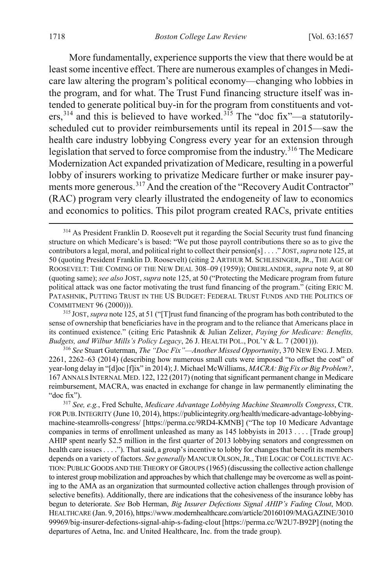More fundamentally, experience supports the view that there would be at least some incentive effect. There are numerous examples of changes in Medicare law altering the program's political economy—changing who lobbies in the program, and for what. The Trust Fund financing structure itself was intended to generate political buy-in for the program from constituents and vot- $ers, <sup>314</sup>$  $ers, <sup>314</sup>$  $ers, <sup>314</sup>$  and this is believed to have worked.<sup>[315](#page-62-1)</sup> The "doc fix"—a statutorilyscheduled cut to provider reimbursements until its repeal in 2015—saw the health care industry lobbying Congress every year for an extension through legislation that served to force compromise from the industry.<sup>[316](#page-62-2)</sup> The Medicare Modernization Act expanded privatization of Medicare, resulting in a powerful lobby of insurers working to privatize Medicare further or make insurer pay-ments more generous.<sup>[317](#page-62-3)</sup> And the creation of the "Recovery Audit Contractor" (RAC) program very clearly illustrated the endogeneity of law to economics and economics to politics. This pilot program created RACs, private entities

<span id="page-62-1"></span><sup>315</sup> JOST, *supra* not[e 125,](#page-24-0) at 51 ("[T]rust fund financing of the program has both contributed to the sense of ownership that beneficiaries have in the program and to the reliance that Americans place in its continued existence." (citing Eric Patashnik & Julian Zelizer, *Paying for Medicare: Benefits, Budgets, and Wilbur Mills's Policy Legacy*, 26 J. HEALTH POL., POL'Y & L. 7 (2001))).

<span id="page-62-2"></span><sup>316</sup> *See* Stuart Guterman, *The "Doc Fix"—Another Missed Opportunity*, 370 NEW ENG.J. MED. 2261, 2262–63 (2014) (describing how numerous small cuts were imposed "to offset the cost" of year-long delay in "[d]oc [f]ix" in 2014); J. Michael McWilliams, *MACRA: Big Fix or Big Problem*?, 167 ANNALS INTERNAL MED. 122, 122 (2017) (noting that significant permanent change in Medicare reimbursement, MACRA, was enacted in exchange for change in law permanently eliminating the "doc fix").

<span id="page-62-3"></span><sup>317</sup> *See, e.g.*, Fred Schulte, *Medicare Advantage Lobbying Machine Steamrolls Congress*, CTR. FOR PUB.INTEGRITY (June 10, 2014), https://publicintegrity.org/health/medicare-advantage-lobbyingmachine-steamrolls-congress/ [https://perma.cc/9RD4-KMNB] ("The top 10 Medicare Advantage companies in terms of enrollment unleashed as many as 145 lobbyists in 2013 . . . . [Trade group] AHIP spent nearly \$2.5 million in the first quarter of 2013 lobbying senators and congressmen on health care issues . . . ."). That said, a group's incentive to lobby for changes that benefit its members depends on a variety of factors. *See generally* MANCUR OLSON, JR., THE LOGIC OF COLLECTIVE AC-TION:PUBLIC GOODS AND THE THEORY OF GROUPS (1965) (discussing the collective action challenge to interest group mobilization and approaches by which that challenge may be overcome as well as pointing to the AMA as an organization that surmounted collective action challenges through provision of selective benefits). Additionally, there are indications that the cohesiveness of the insurance lobby has begun to deteriorate. *See* Bob Herman, *Big Insurer Defections Signal AHIP's Fading Clout*, MOD. HEALTHCARE (Jan. 9, 2016), https://www.modernhealthcare.com/article/20160109/MAGAZINE/3010 99969/big-insurer-defections-signal-ahip-s-fading-clout [https://perma.cc/W2U7-B92P] (noting the departures of Aetna, Inc. and United Healthcare, Inc. from the trade group).

<span id="page-62-0"></span><sup>&</sup>lt;sup>314</sup> As President Franklin D. Roosevelt put it regarding the Social Security trust fund financing structure on which Medicare's is based: "We put those payroll contributions there so as to give the contributors a legal, moral, and political right to collect their pension[s] . . . ." JOST, *supra* not[e 125,](#page-24-0) at 50 (quoting President Franklin D. Roosevelt) (citing 2 ARTHUR M. SCHLESINGER, JR., THE AGE OF ROOSEVELT: THE COMING OF THE NEW DEAL 308–09 (1959)); OBERLANDER, *supra* not[e 9,](#page-4-2) at 80 (quoting same); *see also* JOST, *supra* note 125, at 50 ("Protecting the Medicare program from future political attack was one factor motivating the trust fund financing of the program." (citing ERIC M. PATASHNIK, PUTTING TRUST IN THE US BUDGET: FEDERAL TRUST FUNDS AND THE POLITICS OF COMMITMENT 96 (2000))).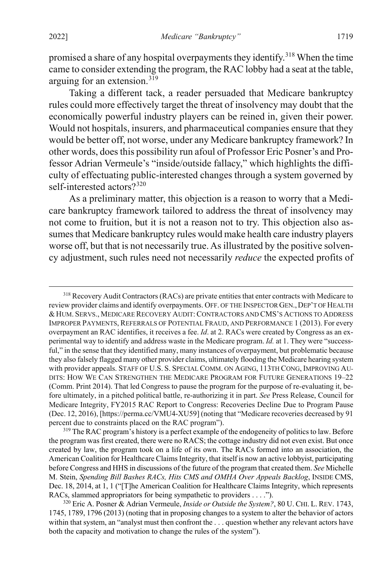promised a share of any hospital overpayments they identify.<sup>[318](#page-63-0)</sup> When the time came to consider extending the program, the RAC lobby had a seat at the table, arguing for an extension.[319](#page-63-1)

Taking a different tack, a reader persuaded that Medicare bankruptcy rules could more effectively target the threat of insolvency may doubt that the economically powerful industry players can be reined in, given their power. Would not hospitals, insurers, and pharmaceutical companies ensure that they would be better off, not worse, under any Medicare bankruptcy framework? In other words, does this possibility run afoul of Professor Eric Posner's and Professor Adrian Vermeule's "inside/outside fallacy," which highlights the difficulty of effectuating public-interested changes through a system governed by self-interested actors?<sup>[320](#page-63-2)</sup>

As a preliminary matter, this objection is a reason to worry that a Medicare bankruptcy framework tailored to address the threat of insolvency may not come to fruition, but it is not a reason not to try. This objection also assumes that Medicare bankruptcy rules would make health care industry players worse off, but that is not necessarily true. As illustrated by the positive solvency adjustment, such rules need not necessarily *reduce* the expected profits of

<span id="page-63-0"></span><sup>&</sup>lt;sup>318</sup> Recovery Audit Contractors (RACs) are private entities that enter contracts with Medicare to review provider claims and identify overpayments. OFF. OF THE INSPECTOR GEN., DEP'T OF HEALTH & HUM. SERVS., MEDICARE RECOVERY AUDIT:CONTRACTORS AND CMS'S ACTIONS TO ADDRESS IMPROPER PAYMENTS, REFERRALS OF POTENTIAL FRAUD, AND PERFORMANCE 1 (2013). For every overpayment an RAC identifies, it receives a fee. *Id*. at 2. RACs were created by Congress as an experimental way to identify and address waste in the Medicare program. *Id.* at 1. They were "successful," in the sense that they identified many, many instances of overpayment, but problematic because they also falsely flagged many other provider claims, ultimately flooding the Medicare hearing system with provider appeals. STAFF OF U.S. S. SPECIAL COMM. ON AGING, 113TH CONG, IMPROVING AU-DITS: HOW WE CAN STRENGTHEN THE MEDICARE PROGRAM FOR FUTURE GENERATIONS 19–22 (Comm. Print 2014). That led Congress to pause the program for the purpose of re-evaluating it, before ultimately, in a pitched political battle, re-authorizing it in part. *See* Press Release, Council for Medicare Integrity, FY2015 RAC Report to Congress: Recoveries Decline Due to Program Pause (Dec. 12, 2016), [https://perma.cc/VMU4-XU59] (noting that "Medicare recoveries decreased by 91 percent due to constraints placed on the RAC program").

<span id="page-63-1"></span><sup>&</sup>lt;sup>319</sup> The RAC program's history is a perfect example of the endogeneity of politics to law. Before the program was first created, there were no RACS; the cottage industry did not even exist. But once created by law, the program took on a life of its own. The RACs formed into an association, the American Coalition for Healthcare Claims Integrity, that itself is now an active lobbyist, participating before Congress and HHS in discussions of the future of the program that created them. *See* Michelle M. Stein, *Spending Bill Bashes RACs, Hits CMS and OMHA Over Appeals Backlog*, INSIDE CMS, Dec. 18, 2014, at 1, 1 ("[T]he American Coalition for Healthcare Claims Integrity, which represents RACs, slammed appropriators for being sympathetic to providers . . . .").

<span id="page-63-2"></span><sup>320</sup> Eric A. Posner & Adrian Vermeule, *Inside or Outside the System?*, 80 U. CHI. L. REV. 1743, 1745, 1789, 1796 (2013) (noting that in proposing changes to a system to alter the behavior of actors within that system, an "analyst must then confront the . . . question whether any relevant actors have both the capacity and motivation to change the rules of the system").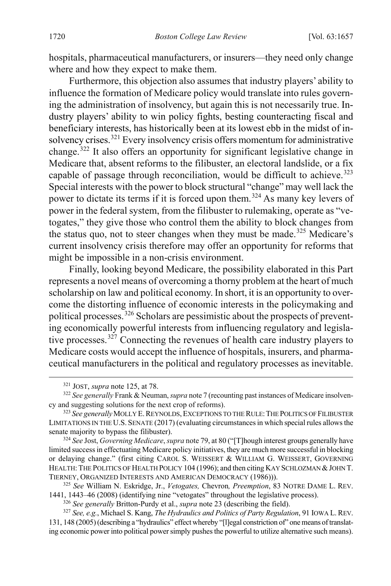hospitals, pharmaceutical manufacturers, or insurers—they need only change where and how they expect to make them.

Furthermore, this objection also assumes that industry players' ability to influence the formation of Medicare policy would translate into rules governing the administration of insolvency, but again this is not necessarily true. Industry players' ability to win policy fights, besting counteracting fiscal and beneficiary interests, has historically been at its lowest ebb in the midst of insolvency crises.[321](#page-64-0) Every insolvency crisis offers momentum for administrative change. [322](#page-64-1) It also offers an opportunity for significant legislative change in Medicare that, absent reforms to the filibuster, an electoral landslide, or a fix capable of passage through reconciliation, would be difficult to achieve.<sup>[323](#page-64-2)</sup> Special interests with the power to block structural "change" may well lack the power to dictate its terms if it is forced upon them.<sup>[324](#page-64-3)</sup> As many key levers of power in the federal system, from the filibuster to rulemaking, operate as "vetogates," they give those who control them the ability to block changes from the status quo, not to steer changes when they must be made.<sup>[325](#page-64-4)</sup> Medicare's current insolvency crisis therefore may offer an opportunity for reforms that might be impossible in a non-crisis environment.

Finally, looking beyond Medicare, the possibility elaborated in this Part represents a novel means of overcoming a thorny problem at the heart of much scholarship on law and political economy. In short, it is an opportunity to overcome the distorting influence of economic interests in the policymaking and political processes.<sup>[326](#page-64-5)</sup> Scholars are pessimistic about the prospects of preventing economically powerful interests from influencing regulatory and legislative processes. $327$  Connecting the revenues of health care industry players to Medicare costs would accept the influence of hospitals, insurers, and pharmaceutical manufacturers in the political and regulatory processes as inevitable.

<span id="page-64-3"></span><sup>324</sup> *See* Jost, *Governing Medicare*, *supra* not[e 79,](#page-16-0) at 80 ("[T]hough interest groups generally have limited success in effectuating Medicare policy initiatives, they are much more successful in blocking or delaying change." (first citing CAROL S. WEISSERT & WILLIAM G. WEISSERT, GOVERNING HEALTH: THE POLITICS OF HEALTH POLICY 104 (1996); and then citing KAY SCHLOZMAN & JOHN T. TIERNEY, ORGANIZED INTERESTS AND AMERICAN DEMOCRACY (1986))).

<span id="page-64-4"></span><sup>325</sup> *See* William N. Eskridge, Jr., *Vetogates,* Chevron*, Preemption*, 83 NOTRE DAME L. REV. 1441, 1443–46 (2008) (identifying nine "vetogates" throughout the legislative process).

<sup>326</sup> *See generally* Britton-Purdy et al., *supra* not[e 23](#page-7-0) (describing the field).

<span id="page-64-6"></span><span id="page-64-5"></span><sup>327</sup> *See, e.g.*, Michael S. Kang, *The Hydraulics and Politics of Party Regulation*, 91 IOWA L. REV. 131, 148 (2005) (describing a "hydraulics" effect whereby "[l]egal constriction of" one means of translating economic power into political power simply pushes the powerful to utilize alternative such means).

 <sup>321</sup> JOST, *supra* not[e 125,](#page-24-0) at 78.

<span id="page-64-1"></span><span id="page-64-0"></span><sup>322</sup> *See generally* Frank & Neuman, *supra* not[e 7](#page-3-0) (recounting past instances of Medicare insolvency and suggesting solutions for the next crop of reforms).

<span id="page-64-2"></span><sup>&</sup>lt;sup>323</sup> See generally MOLLY E. REYNOLDS, EXCEPTIONS TO THE RULE: THE POLITICS OF FILIBUSTER LIMITATIONS IN THE U.S. SENATE (2017) (evaluating circumstances in which special rules allows the senate majority to bypass the filibuster).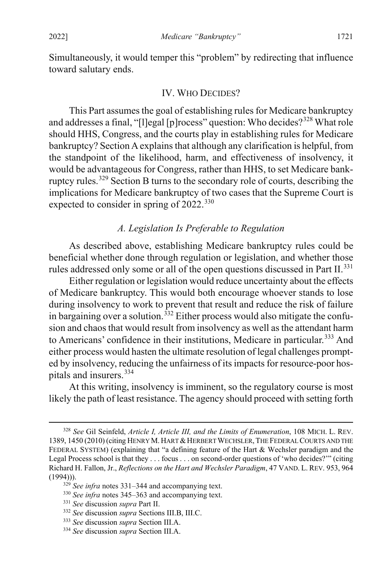Simultaneously, it would temper this "problem" by redirecting that influence toward salutary ends.

#### <span id="page-65-0"></span>IV. WHO DECIDES?

This Part assumes the goal of establishing rules for Medicare bankruptcy and addresses a final, "[l]egal [p]rocess" question: Who decides?<sup>[328](#page-65-2)</sup> What role should HHS, Congress, and the courts play in establishing rules for Medicare bankruptcy? Section A explains that although any clarification is helpful, from the standpoint of the likelihood, harm, and effectiveness of insolvency, it would be advantageous for Congress, rather than HHS, to set Medicare bankruptcy rules.[329](#page-65-3) Section B turns to the secondary role of courts, describing the implications for Medicare bankruptcy of two cases that the Supreme Court is expected to consider in spring of 2022.<sup>[330](#page-65-4)</sup>

### <span id="page-65-1"></span>*A. Legislation Is Preferable to Regulation*

As described above, establishing Medicare bankruptcy rules could be beneficial whether done through regulation or legislation, and whether those rules addressed only some or all of the open questions discussed in Part II.<sup>[331](#page-65-5)</sup>

Either regulation or legislation would reduce uncertainty about the effects of Medicare bankruptcy. This would both encourage whoever stands to lose during insolvency to work to prevent that result and reduce the risk of failure in bargaining over a solution.<sup>[332](#page-65-6)</sup> Either process would also mitigate the confusion and chaos that would result from insolvency as well asthe attendant harm to Americans' confidence in their institutions, Medicare in particular.<sup>[333](#page-65-7)</sup> And either process would hasten the ultimate resolution of legal challenges prompted by insolvency, reducing the unfairness of its impacts for resource-poor hospitals and insurers.[334](#page-65-8)

At this writing, insolvency is imminent, so the regulatory course is most likely the path of least resistance. The agency should proceed with setting forth

<span id="page-65-2"></span> <sup>328</sup> *See* Gil Seinfeld, *Article I, Article III, and the Limits of Enumeration*, 108 MICH. L. REV. 1389, 1450 (2010) (citing HENRY M. HART & HERBERT WECHSLER, THE FEDERAL COURTS AND THE FEDERAL SYSTEM) (explaining that "a defining feature of the Hart & Wechsler paradigm and the Legal Process school is that they . . . focus . . . on second-order questions of 'who decides?'" (citing Richard H. Fallon, Jr., *Reflections on the Hart and Wechsler Paradigm*, 47 VAND. L. REV. 953, 964 (1994))).

<span id="page-65-3"></span><sup>329</sup> *See infra* notes [331–](#page-65-1)[344](#page-67-0) and accompanying text.

<span id="page-65-5"></span><span id="page-65-4"></span><sup>330</sup> *See infra* notes [345–](#page-67-1)[363](#page-71-0) and accompanying text.

<sup>331</sup> *See* discussion *supra* Part II.

<span id="page-65-6"></span><sup>332</sup> *See* discussion *supra* Sections III.B, III.C.

<sup>333</sup> *See* discussion *supra* Section III.A.

<span id="page-65-8"></span><span id="page-65-7"></span><sup>334</sup> *See* discussion *supra* Section III.A.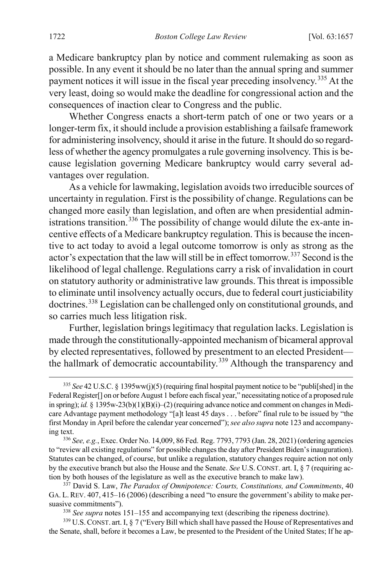a Medicare bankruptcy plan by notice and comment rulemaking as soon as possible. In any event it should be no later than the annual spring and summer payment notices it will issue in the fiscal year preceding insolvency.<sup>[335](#page-66-0)</sup> At the very least, doing so would make the deadline for congressional action and the consequences of inaction clear to Congress and the public.

Whether Congress enacts a short-term patch of one or two years or a longer-term fix, it should include a provision establishing a failsafe framework for administering insolvency, should it arise in the future. It should do so regardless of whether the agency promulgates a rule governing insolvency. This is because legislation governing Medicare bankruptcy would carry several advantages over regulation.

As a vehicle for lawmaking, legislation avoids two irreducible sources of uncertainty in regulation. First is the possibility of change. Regulations can be changed more easily than legislation, and often are when presidential admin-istrations transition.<sup>[336](#page-66-1)</sup> The possibility of change would dilute the ex-ante incentive effects of a Medicare bankruptcy regulation. This is because the incentive to act today to avoid a legal outcome tomorrow is only as strong as the actor's expectation that the law will still be in effect tomorrow.[337](#page-66-2) Second isthe likelihood of legal challenge. Regulations carry a risk of invalidation in court on statutory authority or administrative law grounds. This threat is impossible to eliminate until insolvency actually occurs, due to federal court justiciability doctrines.<sup>[338](#page-66-3)</sup> Legislation can be challenged only on constitutional grounds, and so carries much less litigation risk.

Further, legislation brings legitimacy that regulation lacks. Legislation is made through the constitutionally-appointed mechanism of bicameral approval by elected representatives, followed by presentment to an elected President— the hallmark of democratic accountability.<sup>[339](#page-66-4)</sup> Although the transparency and

<span id="page-66-0"></span> <sup>335</sup> *See* 42 U.S.C. § 1395ww(j)(5) (requiring final hospital payment notice to be "publi[shed] in the Federal Register<sup>[]</sup> on or before August 1 before each fiscal year," necessitating notice of a proposed rule in spring); *id.* § 1395w-23(b)(1)(B)(i)–(2) (requiring advance notice and comment on changes in Medicare Advantage payment methodology "[a]t least 45 days . . . before" final rule to be issued by "the first Monday in April before the calendar year concerned"); *see also supra* not[e 123](#page-23-1) and accompanying text.

<span id="page-66-1"></span><sup>336</sup> *See, e.g.*, Exec. Order No. 14,009, 86 Fed. Reg. 7793, 7793 (Jan. 28, 2021) (ordering agencies to "review all existing regulations" for possible changesthe day after President Biden's inauguration). Statutes can be changed, of course, but unlike a regulation, statutory changes require action not only by the executive branch but also the House and the Senate. *See* U.S. CONST. art. I, § 7 (requiring action by both houses of the legislature as well as the executive branch to make law).

<span id="page-66-2"></span><sup>337</sup> David S. Law, *The Paradox of Omnipotence: Courts, Constitutions, and Commitments*, 40 GA. L. REV. 407, 415–16 (2006) (describing a need "to ensure the government's ability to make persuasive commitments").

<sup>338</sup> *See supra* note[s 151](#page-28-0)[–155](#page-28-1) and accompanying text (describing the ripeness doctrine).

<span id="page-66-4"></span><span id="page-66-3"></span><sup>&</sup>lt;sup>339</sup> U.S. CONST. art. I, § 7 ("Every Bill which shall have passed the House of Representatives and the Senate, shall, before it becomes a Law, be presented to the President of the United States; If he ap-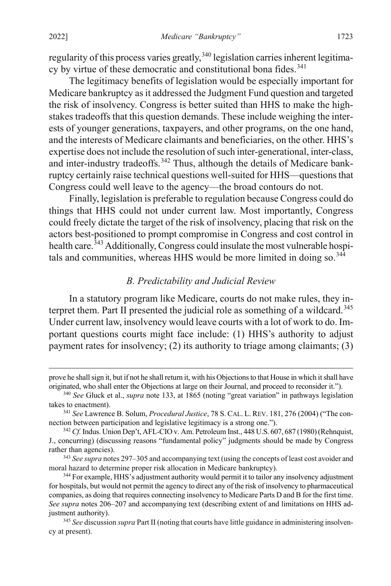regularity of this process varies greatly,  $340$  legislation carries inherent legitima-cy by virtue of these democratic and constitutional bona fides.<sup>[341](#page-67-3)</sup>

The legitimacy benefits of legislation would be especially important for Medicare bankruptcy as it addressed the Judgment Fund question and targeted the risk of insolvency. Congress is better suited than HHS to make the highstakes tradeoffs that this question demands. These include weighing the interests of younger generations, taxpayers, and other programs, on the one hand, and the interests of Medicare claimants and beneficiaries, on the other. HHS's expertise does not include the resolution of such inter-generational, inter-class, and inter-industry tradeoffs.<sup>[342](#page-67-4)</sup> Thus, although the details of Medicare bankruptcy certainly raise technical questions well-suited for HHS—questions that Congress could well leave to the agency—the broad contours do not.

Finally, legislation is preferable to regulation because Congress could do things that HHS could not under current law. Most importantly, Congress could freely dictate the target of the risk of insolvency, placing that risk on the actors best-positioned to prompt compromise in Congress and cost control in health care.<sup>[343](#page-67-5)</sup> Additionally, Congress could insulate the most vulnerable hospi-tals and communities, whereas HHS would be more limited in doing so.<sup>[344](#page-67-6)</sup>

## <span id="page-67-1"></span><span id="page-67-0"></span>*B. Predictability and Judicial Review*

In a statutory program like Medicare, courts do not make rules, they in-terpret them. Part II presented the judicial role as something of a wildcard.<sup>[345](#page-67-7)</sup> Under current law, insolvency would leave courts with a lot of work to do. Important questions courts might face include: (1) HHS's authority to adjust payment rates for insolvency; (2) its authority to triage among claimants; (3)

prove he shall sign it, but if not he shall return it, with his Objections to that House in which it shall have originated, who shall enter the Objections at large on their Journal, and proceed to reconsider it.").

<span id="page-67-2"></span><sup>340</sup> *See* Gluck et al., *supra* not[e 133,](#page-25-1) at 1865 (noting "great variation" in pathways legislation takes to enactment).

<span id="page-67-3"></span><sup>341</sup> *See* Lawrence B. Solum, *Procedural Justice*, 78 S. CAL. L. REV. 181, 276 (2004) ("The connection between participation and legislative legitimacy is a strong one.").

<span id="page-67-4"></span><sup>&</sup>lt;sup>342</sup> *Cf.* Indus. Union Dep't, AFL-CIO v. Am. Petroleum Inst., 448 U.S. 607, 687 (1980) (Rehnquist, J., concurring) (discussing reasons "fundamental policy" judgments should be made by Congress rather than agencies).

<span id="page-67-5"></span><sup>343</sup> *See supra* note[s 297](#page-58-0)[–305](#page-59-4) and accompanying text (using the concepts of least cost avoider and moral hazard to determine proper risk allocation in Medicare bankruptcy).

<span id="page-67-6"></span><sup>344</sup> For example, HHS's adjustment authority would permit it to tailor any insolvency adjustment for hospitals, but would not permit the agency to direct any of the risk of insolvency to pharmaceutical companies, as doing that requires connecting insolvency to Medicare Parts D and B for the first time. *See supra* notes [206–](#page-38-7)[207](#page-38-8) and accompanying text (describing extent of and limitations on HHS adjustment authority).

<span id="page-67-7"></span><sup>345</sup> *See* discussion *supra* Part II (noting that courts have little guidance in administering insolvency at present).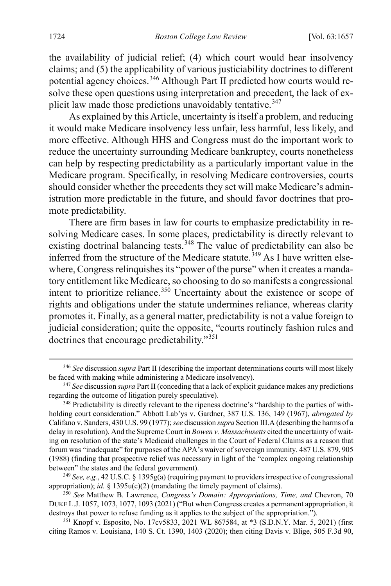the availability of judicial relief; (4) which court would hear insolvency claims; and (5) the applicability of various justiciability doctrines to different potential agency choices.<sup>[346](#page-68-0)</sup> Although Part II predicted how courts would resolve these open questions using interpretation and precedent, the lack of ex-plicit law made those predictions unavoidably tentative.<sup>[347](#page-68-1)</sup>

As explained by this Article, uncertainty is itself a problem, and reducing it would make Medicare insolvency less unfair, less harmful, less likely, and more effective. Although HHS and Congress must do the important work to reduce the uncertainty surrounding Medicare bankruptcy, courts nonetheless can help by respecting predictability as a particularly important value in the Medicare program. Specifically, in resolving Medicare controversies, courts should consider whether the precedents they set will make Medicare's administration more predictable in the future, and should favor doctrines that promote predictability.

<span id="page-68-6"></span>There are firm bases in law for courts to emphasize predictability in resolving Medicare cases. In some places, predictability is directly relevant to existing doctrinal balancing tests.<sup>[348](#page-68-2)</sup> The value of predictability can also be inferred from the structure of the Medicare statute.<sup>[349](#page-68-3)</sup> As I have written elsewhere, Congress relinquishes its "power of the purse" when it creates a mandatory entitlement like Medicare, so choosing to do so manifests a congressional intent to prioritize reliance.<sup>[350](#page-68-4)</sup> Uncertainty about the existence or scope of rights and obligations under the statute undermines reliance, whereas clarity promotes it. Finally, as a general matter, predictability is not a value foreign to judicial consideration; quite the opposite, "courts routinely fashion rules and doctrines that encourage predictability."[351](#page-68-5)

<span id="page-68-0"></span> <sup>346</sup> *See* discussion *supra* Part II (describing the important determinations courts will most likely be faced with making while administering a Medicare insolvency).

<span id="page-68-1"></span><sup>347</sup> *See* discussion *supra* Part II (conceding that a lack of explicit guidance makes any predictions regarding the outcome of litigation purely speculative).

<span id="page-68-2"></span><sup>&</sup>lt;sup>348</sup> Predictability is directly relevant to the ripeness doctrine's "hardship to the parties of withholding court consideration." Abbott Lab'ys v. Gardner, 387 U.S. 136, 149 (1967), *abrogated by* Califano v. Sanders, 430 U.S. 99 (1977); *see* discussion *supra* Section III.A (describing the harms of a delay in resolution). And the Supreme Court in *Bowen v. Massachusetts* cited the uncertainty of waiting on resolution of the state's Medicaid challenges in the Court of Federal Claims as a reason that forum was "inadequate" for purposes of the APA's waiver of sovereign immunity. 487 U.S. 879, 905 (1988) (finding that prospective relief was necessary in light of the "complex ongoing relationship between" the states and the federal government).

<span id="page-68-3"></span><sup>349</sup> *See, e.g.*, 42 U.S.C. § 1395g(a) (requiring payment to providers irrespective of congressional appropriation); *id.*  $\S$  1395u(c)(2) (mandating the timely payment of claims).

<span id="page-68-4"></span><sup>350</sup> *See* Matthew B. Lawrence, *Congress's Domain: Appropriations, Time, and* Chevron, 70 DUKE L.J. 1057, 1073, 1077, 1093 (2021) ("But when Congress creates a permanent appropriation, it destroys that power to refuse funding as it applies to the subject of the appropriation.").

<span id="page-68-5"></span><sup>351</sup> Knopf v. Esposito, No. 17cv5833, 2021 WL 867584, at \*3 (S.D.N.Y. Mar. 5, 2021) (first citing Ramos v. Louisiana, 140 S. Ct. 1390, 1403 (2020); then citing Davis v. Blige, 505 F.3d 90,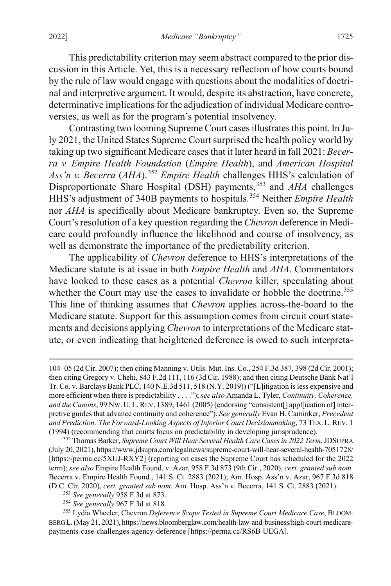This predictability criterion may seem abstract compared to the prior discussion in this Article. Yet, this is a necessary reflection of how courts bound by the rule of law would engage with questions about the modalities of doctrinal and interpretive argument. It would, despite its abstraction, have concrete, determinative implications for the adjudication of individual Medicare controversies, as well as for the program's potential insolvency.

Contrasting two looming Supreme Court cases illustrates this point. In July 2021, the United States Supreme Court surprised the health policy world by taking up two significant Medicare cases that it later heard in fall 2021: *Becerra v. Empire Health Foundation* (*Empire Health*), and *American Hospital Ass'n v. Becerra* (*AHA*).[352](#page-69-0) *Empire Health* challenges HHS's calculation of Disproportionate Share Hospital (DSH) payments,<sup>[353](#page-69-1)</sup> and *AHA* challenges HHS's adjustment of 340B payments to hospitals.[354](#page-69-2) Neither *Empire Health*  nor *AHA* is specifically about Medicare bankruptcy. Even so, the Supreme Court's resolution of a key question regarding the *Chevron* deference in Medicare could profoundly influence the likelihood and course of insolvency, as well as demonstrate the importance of the predictability criterion.

The applicability of *Chevron* deference to HHS's interpretations of the Medicare statute is at issue in both *Empire Health* and *AHA*. Commentators have looked to these cases as a potential *Chevron* killer, speculating about whether the Court may use the cases to invalidate or hobble the doctrine.<sup>[355](#page-69-3)</sup> This line of thinking assumes that *Chevron* applies across-the-board to the Medicare statute. Support for this assumption comes from circuit court statements and decisions applying *Chevron* to interpretations of the Medicare statute, or even indicating that heightened deference is owed to such interpreta-

 $\overline{a}$ 

<sup>104–05 (2</sup>d Cir. 2007); then citing Manning v. Utils. Mut. Ins. Co., 254 F.3d 387, 398 (2d Cir. 2001); then citing Gregory v. Chehi, 843 F.2d 111, 116 (3d Cir. 1988); and then citing Deutsche Bank Nat'l Tr. Co. v. Barclays Bank PLC, 140 N.E.3d 511, 518 (N.Y. 2019)) ("[L]itigation is less expensive and more efficient when there is predictability . . . .");*see also* Amanda L. Tyler, *Continuity, Coherence, and the Canons*, 99 NW. U.L.REV. 1389, 1461 (2005) (endorsing "consistent[] appl[ication of] interpretive guides that advance continuity and coherence"). *See generally* Evan H. Caminker, *Precedent and Prediction: The Forward-Looking Aspects of Inferior Court Decisionmaking*, 73 TEX. L.REV. 1 (1994) (recommending that courts focus on predictability in developing jurisprudence).

<span id="page-69-0"></span><sup>352</sup> Thomas Barker, *Supreme Court Will Hear Several Health Care Cases in 2022 Term*, JDSUPRA (July 20, 2021), https://www.jdsupra.com/legalnews/supreme-court-will-hear-several-health-7051728/ [https://perma.cc/5XUJ-RXY2] (reporting on cases the Supreme Court has scheduled for the 2022 term); *see also* Empire Health Found. v. Azar, 958 F.3d 873 (9th Cir., 2020), *cert. granted sub nom.* Becerra v. Empire Health Found., 141 S. Ct. 2883 (2021); Am. Hosp. Ass'n v. Azar, 967 F.3d 818

<span id="page-69-3"></span><span id="page-69-2"></span><span id="page-69-1"></span><sup>(</sup>D.C. Cir. 2020), cert. granted sub nom. Am. Hosp. Ass'n v. Becerra, 141 S. Ct. 2883 (2021).<br><sup>353</sup> See generally 958 F.3d at 873.<br><sup>354</sup> See generally 967 F.3d at 818.<br><sup>354</sup> See generally 967 F.3d at 818. BERG L.(May 21, 2021), https://news.bloomberglaw.com/health-law-and-business/high-court-medicarepayments-case-challenges-agency-deference [https://perma.cc/RS6B-UEGA].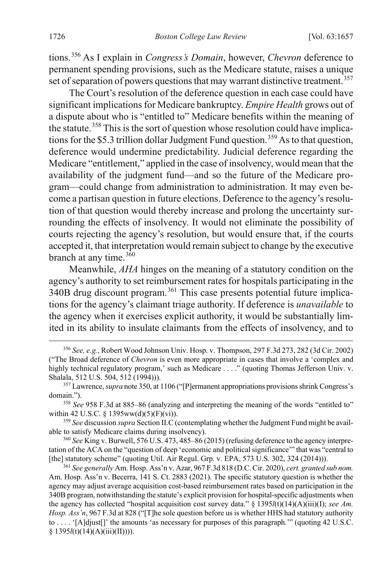tions.[356](#page-70-0) As I explain in *Congress's Domain*, however, *Chevron* deference to permanent spending provisions, such as the Medicare statute, raises a unique set of separation of powers questions that may warrant distinctive treatment.<sup>[357](#page-70-1)</sup>

The Court's resolution of the deference question in each case could have significant implications for Medicare bankruptcy. *Empire Health* grows out of a dispute about who is "entitled to" Medicare benefits within the meaning of the statute.<sup>[358](#page-70-2)</sup> This is the sort of question whose resolution could have implica-tions for the \$5.3 trillion dollar Judgment Fund question.<sup>[359](#page-70-3)</sup> As to that question, deference would undermine predictability. Judicial deference regarding the Medicare "entitlement," applied in the case of insolvency, would mean that the availability of the judgment fund—and so the future of the Medicare program—could change from administration to administration. It may even become a partisan question in future elections. Deference to the agency's resolution of that question would thereby increase and prolong the uncertainty surrounding the effects of insolvency. It would not eliminate the possibility of courts rejecting the agency's resolution, but would ensure that, if the courts accepted it, that interpretation would remain subject to change by the executive branch at any time.<sup>[360](#page-70-4)</sup>

Meanwhile, *AHA* hinges on the meaning of a statutory condition on the agency's authority to set reimbursement rates for hospitals participating in the 340B drug discount program.[361](#page-70-5) This case presents potential future implications for the agency's claimant triage authority. If deference is *unavailable* to the agency when it exercises explicit authority, it would be substantially limited in its ability to insulate claimants from the effects of insolvency, and to

<span id="page-70-0"></span> <sup>356</sup> *See, e.g.*, Robert Wood Johnson Univ. Hosp. v. Thompson, 297 F.3d 273, 282 (3d Cir. 2002) ("The Broad deference of *Chevron* is even more appropriate in cases that involve a 'complex and highly technical regulatory program,' such as Medicare . . . ." (quoting Thomas Jefferson Univ. v. Shalala, 512 U.S. 504, 512 (1994))).

<span id="page-70-1"></span><sup>357</sup> Lawrence, *supra* not[e 350,](#page-68-6) at 1106 ("[P]ermanent appropriations provisions shrink Congress's domain.").

<span id="page-70-2"></span><sup>358</sup> *See* 958 F.3d at 885–86 (analyzing and interpreting the meaning of the words "entitled to" within 42 U.S.C. § 1395ww(d)(5)(F)(vi)).

<span id="page-70-3"></span><sup>359</sup> *See* discussion *supra* Section II.C (contemplating whether the Judgment Fund might be available to satisfy Medicare claims during insolvency).

<span id="page-70-4"></span><sup>360</sup> *See* King v. Burwell, 576 U.S. 473, 485–86 (2015) (refusing deference to the agency interpretation of the ACA on the "question of deep 'economic and political significance'" that was "central to [the] statutory scheme" (quoting Util. Air Regul. Grp. v. EPA, 573 U.S. 302, 324 (2014))).

<span id="page-70-5"></span><sup>361</sup> *See generally* Am. Hosp. Ass'n v. Azar, 967 F.3d 818 (D.C. Cir. 2020), *cert. granted sub nom.* Am. Hosp. Ass'n v. Becerra, 141 S. Ct. 2883 (2021). The specific statutory question is whether the agency may adjust average acquisition cost-based reimbursement rates based on participation in the 340B program, notwithstanding the statute's explicit provision for hospital-specific adjustments when the agency has collected "hospital acquisition cost survey data." § 1395*l*(t)(14)(A)(iii)(I); *see Am. Hosp. Ass'n*, 967 F.3d at 828 ("[T]he sole question before us is whether HHS had statutory authority to . . . . '[A]djust[]' the amounts 'as necessary for purposes of this paragraph.'" (quoting 42 U.S.C. § 1395*l*(t)(14)(A)(iii)(II)))).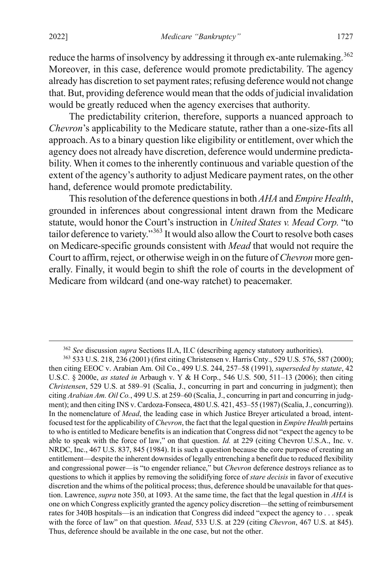reduce the harms of insolvency by addressing it through ex-ante rulemaking.<sup>[362](#page-71-1)</sup> Moreover, in this case, deference would promote predictability. The agency already has discretion to set payment rates; refusing deference would not change that. But, providing deference would mean that the odds of judicial invalidation would be greatly reduced when the agency exercises that authority.

The predictability criterion, therefore, supports a nuanced approach to *Chevron*'s applicability to the Medicare statute, rather than a one-size-fits all approach. As to a binary question like eligibility or entitlement, over which the agency does not already have discretion, deference would undermine predictability. When it comes to the inherently continuous and variable question of the extent of the agency's authority to adjust Medicare payment rates, on the other hand, deference would promote predictability.

<span id="page-71-0"></span>This resolution of the deference questions in both *AHA* and *Empire Health*, grounded in inferences about congressional intent drawn from the Medicare statute, would honor the Court's instruction in *United States v. Mead Corp.* "to tailor deference to variety."<sup>[363](#page-71-2)</sup> It would also allow the Court to resolve both cases on Medicare-specific grounds consistent with *Mead* that would not require the Court to affirm, reject, or otherwise weigh in on the future of *Chevron* more generally. Finally, it would begin to shift the role of courts in the development of Medicare from wildcard (and one-way ratchet) to peacemaker.

 <sup>362</sup> *See* discussion *supra* Sections II.A, II.C (describing agency statutory authorities).

<span id="page-71-2"></span><span id="page-71-1"></span><sup>363</sup> 533 U.S. 218, 236 (2001) (first citing Christensen v. Harris Cnty., 529 U.S. 576, 587 (2000); then citing EEOC v. Arabian Am. Oil Co., 499 U.S. 244, 257–58 (1991), *superseded by statute*, 42 U.S.C. § 2000e, *as stated in* Arbaugh v. Y & H Corp., 546 U.S. 500, 511–13 (2006); then citing *Christensen*, 529 U.S. at 589–91 (Scalia, J., concurring in part and concurring in judgment); then citing *Arabian Am. Oil Co.*, 499 U.S. at 259–60 (Scalia, J., concurring in part and concurring in judgment); and then citing INS v. Cardoza-Fonseca, 480 U.S. 421, 453–55 (1987) (Scalia, J., concurring)). In the nomenclature of *Mead*, the leading case in which Justice Breyer articulated a broad, intentfocused test for the applicability of *Chevron*, the fact that the legal question in *Empire Health* pertains to who is entitled to Medicare benefits is an indication that Congress did not "expect the agency to be able to speak with the force of law," on that question. *Id.* at 229 (citing Chevron U.S.A., Inc. v. NRDC, Inc., 467 U.S. 837, 845 (1984). It is such a question because the core purpose of creating an entitlement—despite the inherent downsides of legally entrenching a benefit due to reduced flexibility and congressional power—is "to engender reliance," but *Chevron* deference destroys reliance as to questions to which it applies by removing the solidifying force of *stare decisis* in favor of executive discretion and the whims of the political process; thus, deference should be unavailable for that question. Lawrence, *supra* note [350,](#page-68-6) at 1093. At the same time, the fact that the legal question in *AHA* is one on which Congress explicitly granted the agency policy discretion—the setting of reimbursement rates for 340B hospitals—is an indication that Congress did indeed "expect the agency to . . . speak with the force of law" on that question. *Mead*, 533 U.S. at 229 (citing *Chevron*, 467 U.S. at 845). Thus, deference should be available in the one case, but not the other.